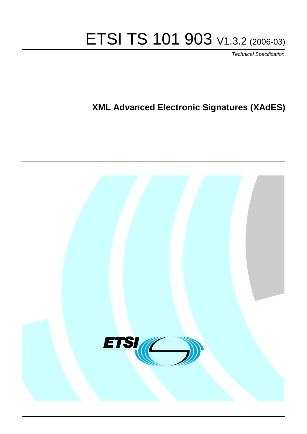# ETSI TS 101 903 V1.3.2 (2006-03)

Technical Specification

# **XML Advanced Electronic Signatures (XAdES)**

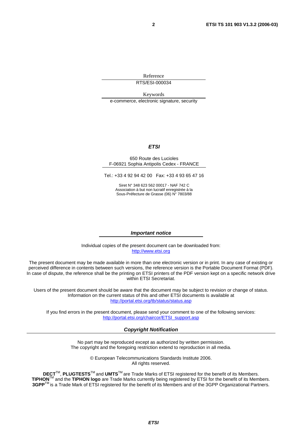Reference RTS/ESI-000034

Keywords

e-commerce, electronic signature, security

#### **ETSI**

#### 650 Route des Lucioles F-06921 Sophia Antipolis Cedex - FRANCE

Tel.: +33 4 92 94 42 00 Fax: +33 4 93 65 47 16

Siret N° 348 623 562 00017 - NAF 742 C Association à but non lucratif enregistrée à la Sous-Préfecture de Grasse (06) N° 7803/88

#### **Important notice**

Individual copies of the present document can be downloaded from: [http://www.etsi.org](http://www.etsi.org/)

The present document may be made available in more than one electronic version or in print. In any case of existing or perceived difference in contents between such versions, the reference version is the Portable Document Format (PDF). In case of dispute, the reference shall be the printing on ETSI printers of the PDF version kept on a specific network drive within ETSI Secretariat.

Users of the present document should be aware that the document may be subject to revision or change of status. Information on the current status of this and other ETSI documents is available at <http://portal.etsi.org/tb/status/status.asp>

If you find errors in the present document, please send your comment to one of the following services: [http://portal.etsi.org/chaircor/ETSI\\_support.asp](http://portal.etsi.org/chaircor/ETSI_support.asp)

#### **Copyright Notification**

No part may be reproduced except as authorized by written permission. The copyright and the foregoing restriction extend to reproduction in all media.

> © European Telecommunications Standards Institute 2006. All rights reserved.

**DECT**TM, **PLUGTESTS**TM and **UMTS**TM are Trade Marks of ETSI registered for the benefit of its Members. **TIPHON**TM and the **TIPHON logo** are Trade Marks currently being registered by ETSI for the benefit of its Members. **3GPP**TM is a Trade Mark of ETSI registered for the benefit of its Members and of the 3GPP Organizational Partners.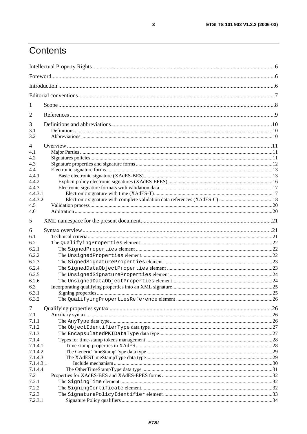# Contents

| 1                  |     |
|--------------------|-----|
| 2                  |     |
| 3                  |     |
| 3.1<br>3.2         |     |
| $\overline{4}$     |     |
| 4.1                |     |
| 4.2                |     |
| 4.3                |     |
| 4.4<br>4.4.1       |     |
| 4.4.2              |     |
| 4.4.3              |     |
| 4.4.3.1            |     |
| 4.4.3.2            |     |
| 4.5                |     |
| 4.6                |     |
| 5                  |     |
| 6                  |     |
| 6.1                |     |
| 6.2                |     |
| 6.2.1              |     |
| 6.2.2              |     |
| 6.2.3              |     |
| 6.2.4              |     |
| 6.2.5              |     |
| 6.2.6              |     |
| 6.3                |     |
| 6.3.1              | .25 |
| 6.3.2              |     |
| $\tau$             |     |
| 7.1                |     |
| 7.1.1              |     |
| 7.1.2              |     |
| 7.1.3              |     |
| 7.1.4              |     |
| 7.1.4.1<br>7.1.4.2 |     |
| 7.1.4.3            |     |
| 7.1.4.3.1          |     |
| 7.1.4.4            |     |
| 7.2                |     |
| 7.2.1              |     |
| 7.2.2              |     |
| 7.2.3              |     |
| 7.2.3.1            |     |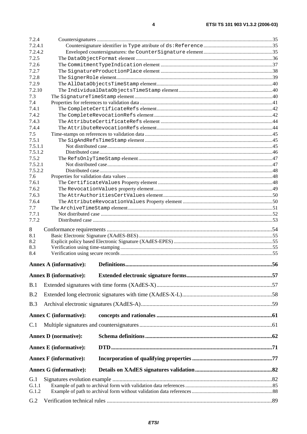| 7.2.4              |                               |  |
|--------------------|-------------------------------|--|
| 7.2.4.1            |                               |  |
| 7.2.4.2            |                               |  |
| 7.2.5              |                               |  |
| 7.2.6              |                               |  |
| 7.2.7              |                               |  |
| 7.2.8<br>7.2.9     |                               |  |
| 7.2.10             |                               |  |
| 7.3                |                               |  |
| 7.4                |                               |  |
| 7.4.1              |                               |  |
| 7.4.2              |                               |  |
| 7.4.3              |                               |  |
| 7.4.4              |                               |  |
| 7.5                |                               |  |
| 7.5.1              |                               |  |
| 7.5.1.1<br>7.5.1.2 |                               |  |
| 7.5.2              |                               |  |
| 7.5.2.1            |                               |  |
| 7.5.2.2            |                               |  |
| 7.6                |                               |  |
| 7.6.1              |                               |  |
| 7.6.2              |                               |  |
| 7.6.3              |                               |  |
| 7.6.4<br>7.7       |                               |  |
| 7.7.1              |                               |  |
| 7.7.2              |                               |  |
| 8                  |                               |  |
| 8.1                |                               |  |
| 8.2                |                               |  |
| 8.3                |                               |  |
| 8.4                |                               |  |
|                    | <b>Annex A (informative):</b> |  |
|                    | <b>Annex B (informative):</b> |  |
|                    |                               |  |
| B.1                |                               |  |
| B.2                |                               |  |
| B.3                |                               |  |
|                    | <b>Annex C</b> (informative): |  |
| C.1                |                               |  |
|                    |                               |  |
|                    | <b>Annex D</b> (normative):   |  |
|                    | <b>Annex E</b> (informative): |  |
|                    | <b>Annex F</b> (informative): |  |
|                    | <b>Annex G (informative):</b> |  |
| G.1                |                               |  |
| G.1.1              |                               |  |
| G.1.2              |                               |  |
| G.2                |                               |  |
|                    |                               |  |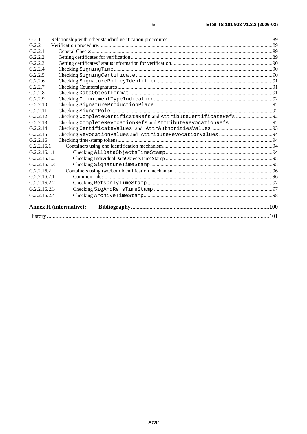| G.2.1        |                               |  |
|--------------|-------------------------------|--|
| G.2.2        |                               |  |
| G.2.2.1      |                               |  |
| G.2.2.2      |                               |  |
| G.2.2.3      |                               |  |
| G.2.2.4      |                               |  |
| G.2.2.5      |                               |  |
| G.2.2.6      |                               |  |
| G.2.2.7      |                               |  |
| G.2.2.8      |                               |  |
| G.2.2.9      |                               |  |
| G.2.2.10     |                               |  |
| G.2.2.11     |                               |  |
| G.2.2.12     |                               |  |
| G.2.2.13     |                               |  |
| G.2.2.14     |                               |  |
| G.2.2.15     |                               |  |
| G.2.2.16     |                               |  |
| G.2.2.16.1   |                               |  |
| G.2.2.16.1.1 |                               |  |
| G.2.2.16.1.2 |                               |  |
| G.2.2.16.1.3 |                               |  |
| G.2.2.16.2   |                               |  |
| G.2.2.16.2.1 |                               |  |
| G.2.2.16.2.2 |                               |  |
| G.2.2.16.2.3 |                               |  |
| G.2.2.16.2.4 |                               |  |
|              | <b>Annex H</b> (informative): |  |
|              |                               |  |

 $\overline{\mathbf{5}}$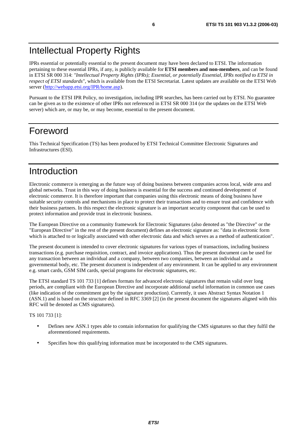IPRs essential or potentially essential to the present document may have been declared to ETSI. The information pertaining to these essential IPRs, if any, is publicly available for **ETSI members and non-members**, and can be found in ETSI SR 000 314: *"Intellectual Property Rights (IPRs); Essential, or potentially Essential, IPRs notified to ETSI in respect of ETSI standards"*, which is available from the ETSI Secretariat. Latest updates are available on the ETSI Web server [\(http://webapp.etsi.org/IPR/home.asp\)](http://webapp.etsi.org/IPR/home.asp).

Pursuant to the ETSI IPR Policy, no investigation, including IPR searches, has been carried out by ETSI. No guarantee can be given as to the existence of other IPRs not referenced in ETSI SR 000 314 (or the updates on the ETSI Web server) which are, or may be, or may become, essential to the present document.

# Foreword

This Technical Specification (TS) has been produced by ETSI Technical Committee Electronic Signatures and Infrastructures (ESI).

# Introduction

Electronic commerce is emerging as the future way of doing business between companies across local, wide area and global networks. Trust in this way of doing business is essential for the success and continued development of electronic commerce. It is therefore important that companies using this electronic means of doing business have suitable security controls and mechanisms in place to protect their transactions and to ensure trust and confidence with their business partners. In this respect the electronic signature is an important security component that can be used to protect information and provide trust in electronic business.

The European Directive on a community framework for Electronic Signatures (also denoted as "the Directive" or the "European Directive" in the rest of the present document) defines an electronic signature as: "data in electronic form which is attached to or logically associated with other electronic data and which serves as a method of authentication".

The present document is intended to cover electronic signatures for various types of transactions, including business transactions (e.g. purchase requisition, contract, and invoice applications). Thus the present document can be used for any transaction between an individual and a company, between two companies, between an individual and a governmental body, etc. The present document is independent of any environment. It can be applied to any environment e.g. smart cards, GSM SIM cards, special programs for electronic signatures, etc.

The ETSI standard TS 101 733 [1] defines formats for advanced electronic signatures that remain valid over long periods, are compliant with the European Directive and incorporate additional useful information in common use cases (like indication of the commitment got by the signature production). Currently, it uses Abstract Syntax Notation 1 (ASN.1) and is based on the structure defined in RFC 3369 [2] (in the present document the signatures aligned with this RFC will be denoted as CMS signatures).

#### TS 101 733 [1]:

- Defines new ASN.1 types able to contain information for qualifying the CMS signatures so that they fulfil the aforementioned requirements.
- Specifies how this qualifying information must be incorporated to the CMS signatures.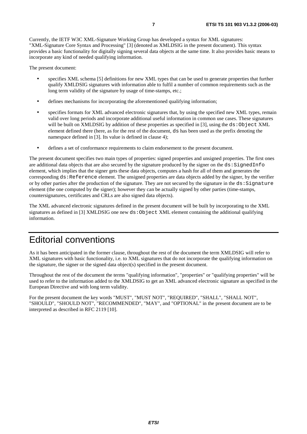Currently, the IETF W3C XML-Signature Working Group has developed a syntax for XML signatures: "XML-Signature Core Syntax and Processing" [3] (denoted as XMLDSIG in the present document). This syntax provides a basic functionality for digitally signing several data objects at the same time. It also provides basic means to incorporate any kind of needed qualifying information.

The present document:

- specifies XML schema [5] definitions for new XML types that can be used to generate properties that further qualify XMLDSIG signatures with information able to fulfil a number of common requirements such as the long term validity of the signature by usage of time-stamps, etc.;
- defines mechanisms for incorporating the aforementioned qualifying information;
- specifies formats for XML advanced electronic signatures that, by using the specified new XML types, remain valid over long periods and incorporate additional useful information in common use cases. These signatures will be built on XMLDSIG by addition of these properties as specified in [3], using the  $ds:Object$  XML element defined there (here, as for the rest of the document, ds has been used as the prefix denoting the namespace defined in [3]. Its value is defined in clause 4);
- defines a set of conformance requirements to claim endorsement to the present document.

The present document specifies two main types of properties: signed properties and unsigned properties. The first ones are additional data objects that are also secured by the signature produced by the signer on the  $ds:SignedInfo$ element, which implies that the signer gets these data objects, computes a hash for all of them and generates the corresponding ds:Reference element. The unsigned properties are data objects added by the signer, by the verifier or by other parties after the production of the signature. They are not secured by the signature in the ds:Signature element (the one computed by the signer); however they can be actually signed by other parties (time-stamps, countersignatures, certificates and CRLs are also signed data objects).

The XML advanced electronic signatures defined in the present document will be built by incorporating to the XML signatures as defined in [3] XMLDSIG one new ds: Object XML element containing the additional qualifying information.

# Editorial conventions

As it has been anticipated in the former clause, throughout the rest of the document the term XMLDSIG will refer to XML signatures with basic functionality, i.e. to XML signatures that do not incorporate the qualifying information on the signature, the signer or the signed data object(s) specified in the present document.

Throughout the rest of the document the terms "qualifying information", "properties" or "qualifying properties" will be used to refer to the information added to the XMLDSIG to get an XML advanced electronic signature as specified in the European Directive and with long term validity.

For the present document the key words "MUST", "MUST NOT", "REQUIRED", "SHALL", "SHALL NOT", "SHOULD", "SHOULD NOT", "RECOMMENDED", "MAY", and "OPTIONAL" in the present document are to be interpreted as described in RFC 2119 [10].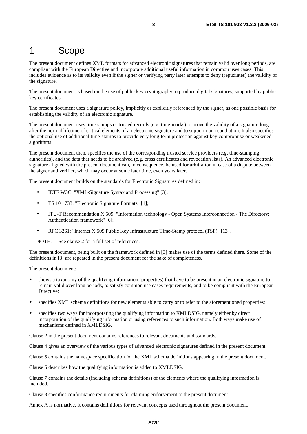# 1 Scope

The present document defines XML formats for advanced electronic signatures that remain valid over long periods, are compliant with the European Directive and incorporate additional useful information in common uses cases. This includes evidence as to its validity even if the signer or verifying party later attempts to deny (repudiates) the validity of the signature.

The present document is based on the use of public key cryptography to produce digital signatures, supported by public key certificates.

The present document uses a signature policy, implicitly or explicitly referenced by the signer, as one possible basis for establishing the validity of an electronic signature.

The present document uses time-stamps or trusted records (e.g. time-marks) to prove the validity of a signature long after the normal lifetime of critical elements of an electronic signature and to support non-repudiation. It also specifies the optional use of additional time-stamps to provide very long-term protection against key compromise or weakened algorithms.

The present document then, specifies the use of the corresponding trusted service providers (e.g. time-stamping authorities), and the data that needs to be archived (e.g. cross certificates and revocation lists). An advanced electronic signature aligned with the present document can, in consequence, be used for arbitration in case of a dispute between the signer and verifier, which may occur at some later time, even years later.

The present document builds on the standards for Electronic Signatures defined in:

- IETF W3C: "XML-Signature Syntax and Processing" [3];
- TS 101 733: "Electronic Signature Formats" [1];
- ITU-T Recommendation X.509: "Information technology Open Systems Interconnection The Directory: Authentication framework" [6];
- RFC 3261: "Internet X.509 Public Key Infrastructure Time-Stamp protocol (TSP)" [13].

NOTE: See clause 2 for a full set of references.

The present document, being built on the framework defined in [3] makes use of the terms defined there. Some of the definitions in [3] are repeated in the present document for the sake of completeness.

The present document:

- shows a taxonomy of the qualifying information (properties) that have to be present in an electronic signature to remain valid over long periods, to satisfy common use cases requirements, and to be compliant with the European Directive;
- specifies XML schema definitions for new elements able to carry or to refer to the aforementioned properties;
- specifies two ways for incorporating the qualifying information to XMLDSIG, namely either by direct incorporation of the qualifying information or using references to such information. Both ways make use of mechanisms defined in XMLDSIG.

Clause 2 in the present document contains references to relevant documents and standards.

Clause 4 gives an overview of the various types of advanced electronic signatures defined in the present document.

Clause 5 contains the namespace specification for the XML schema definitions appearing in the present document.

Clause 6 describes how the qualifying information is added to XMLDSIG.

Clause 7 contains the details (including schema definitions) of the elements where the qualifying information is included.

Clause 8 specifies conformance requirements for claiming endorsement to the present document.

Annex A is normative. It contains definitions for relevant concepts used throughout the present document.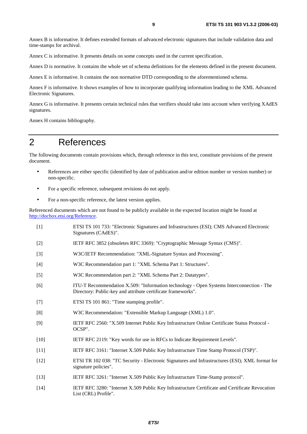Annex B is informative. It defines extended formats of advanced electronic signatures that include validation data and time-stamps for archival.

Annex C is informative. It presents details on some concepts used in the current specification.

Annex D is normative. It contains the whole set of schema definitions for the elements defined in the present document.

Annex E is informative. It contains the non normative DTD corresponding to the aforementioned schema.

Annex F is informative. It shows examples of how to incorporate qualifying information leading to the XML Advanced Electronic Signatures.

Annex G is informative. It presents certain technical rules that verifiers should take into account when verifying XAdES signatures.

Annex H contains bibliography.

# 2 References

The following documents contain provisions which, through reference in this text, constitute provisions of the present document.

- References are either specific (identified by date of publication and/or edition number or version number) or non-specific.
- For a specific reference, subsequent revisions do not apply.
- For a non-specific reference, the latest version applies.

Referenced documents which are not found to be publicly available in the expected location might be found at <http://docbox.etsi.org/Reference>.

- [1] ETSI TS 101 733: "Electronic Signatures and Infrastructures (ESI); CMS Advanced Electronic Signatures (CAdES)".
- [2] IETF RFC 3852 (obsoletes RFC 3369): "Cryptographic Message Syntax (CMS)".
- [3] W3C/IETF Recommendation: "XML-Signature Syntax and Processing".
- [4] W3C Recommendation part 1: "XML Schema Part 1: Structures".
- [5] W3C Recommendation part 2: "XML Schema Part 2: Datatypes".
- [6] ITU-T Recommendation X.509: "Information technology Open Systems Interconnection The Directory: Public-key and attribute certificate frameworks".
- [7] ETSI TS 101 861: "Time stamping profile".
- [8] W3C Recommendation: "Extensible Markup Language (XML) 1.0".
- [9] IETF RFC 2560: "X.509 Internet Public Key Infrastructure Online Certificate Status Protocol OCSP".
- [10] IETF RFC 2119: "Key words for use in RFCs to Indicate Requirement Levels".
- [11] IETF RFC 3161: "Internet X.509 Public Key Infrastructure Time Stamp Protocol (TSP)".
- [12] ETSI TR 102 038: "TC Security Electronic Signatures and Infrastructures (ESI); XML format for signature policies".
- [13] IETF RFC 3261: "Internet X.509 Public Key Infrastructure Time-Stamp protocol".
- [14] IETF RFC 3280: "Internet X.509 Public Key Infrastructure Certificate and Certificate Revocation List (CRL) Profile".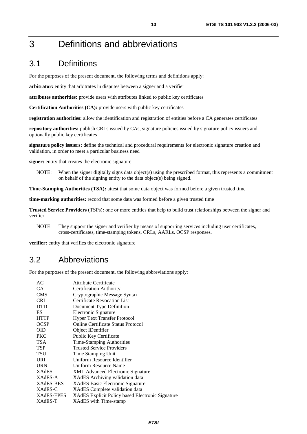# 3 Definitions and abbreviations

# 3.1 Definitions

For the purposes of the present document, the following terms and definitions apply:

**arbitrator:** entity that arbitrates in disputes between a signer and a verifier

**attributes authorities:** provide users with attributes linked to public key certificates

**Certification Authorities (CA):** provide users with public key certificates

**registration authorities:** allow the identification and registration of entities before a CA generates certificates

**repository authorities:** publish CRLs issued by CAs, signature policies issued by signature policy issuers and optionally public key certificates

**signature policy issuers:** define the technical and procedural requirements for electronic signature creation and validation, in order to meet a particular business need

**signer:** entity that creates the electronic signature

NOTE: When the signer digitally signs data object(s) using the prescribed format, this represents a commitment on behalf of the signing entity to the data object(s) being signed.

**Time-Stamping Authorities (TSA):** attest that some data object was formed before a given trusted time

**time-marking authorities:** record that some data was formed before a given trusted time

**Trusted Service Providers** (TSPs)**:** one or more entities that help to build trust relationships between the signer and verifier

NOTE: They support the signer and verifier by means of supporting services including user certificates, cross-certificates, time-stamping tokens, CRLs, AARLs, OCSP responses.

**verifier:** entity that verifies the electronic signature

# 3.2 Abbreviations

For the purposes of the present document, the following abbreviations apply:

| AC               | Attribute Certificate                            |
|------------------|--------------------------------------------------|
| CA               | Certification Authority                          |
| <b>CMS</b>       | Cryptographic Message Syntax                     |
| <b>CRL</b>       | Certificate Revocation List                      |
| <b>DTD</b>       | Document Type Definition                         |
| ES               | Electronic Signature                             |
| <b>HTTP</b>      | <b>Hyper Text Transfer Protocol</b>              |
| <b>OCSP</b>      | Online Certificate Status Protocol               |
| OID              | Object IDentifier                                |
| <b>PKC</b>       | Public Key Certificate                           |
| <b>TSA</b>       | Time-Stamping Authorities                        |
| <b>TSP</b>       | <b>Trusted Service Providers</b>                 |
| <b>TSU</b>       | Time Stamping Unit                               |
| URI              | Uniform Resource Identifier                      |
| <b>URN</b>       | Uniform Resource Name                            |
| <b>XAdES</b>     | <b>XML Advanced Electronic Signature</b>         |
| XAdES-A          | XAdES Archiving validation data                  |
| <b>XAdES-BES</b> | <b>XAdES</b> Basic Electronic Signature          |
| XAdES-C          | <b>XAdES</b> Complete validation data            |
| XAdES-EPES       | XAdES Explicit Policy based Electronic Signature |
| XAdES-T          | XAdES with Time-stamp                            |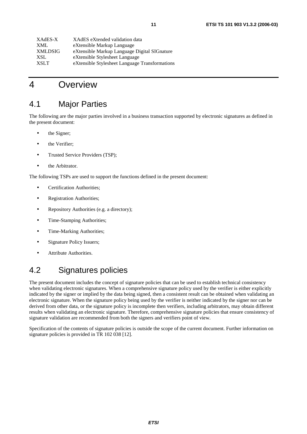| XAdES eXtended validation data                 |
|------------------------------------------------|
| eXtensible Markup Language                     |
| eXtensible Markup Language Digital SIGnature   |
| eXtensible Stylesheet Language                 |
| eXtensible Stylesheet Language Transformations |
|                                                |

# 4 Overview

# 4.1 Major Parties

The following are the major parties involved in a business transaction supported by electronic signatures as defined in the present document:

- the Signer;
- the Verifier;
- Trusted Service Providers (TSP);
- the Arbitrator.

The following TSPs are used to support the functions defined in the present document:

- Certification Authorities;
- Registration Authorities;
- Repository Authorities (e.g. a directory);
- Time-Stamping Authorities;
- Time-Marking Authorities;
- Signature Policy Issuers;
- Attribute Authorities.

# 4.2 Signatures policies

The present document includes the concept of signature policies that can be used to establish technical consistency when validating electronic signatures. When a comprehensive signature policy used by the verifier is either explicitly indicated by the signer or implied by the data being signed, then a consistent result can be obtained when validating an electronic signature. When the signature policy being used by the verifier is neither indicated by the signer nor can be derived from other data, or the signature policy is incomplete then verifiers, including arbitrators, may obtain different results when validating an electronic signature. Therefore, comprehensive signature policies that ensure consistency of signature validation are recommended from both the signers and verifiers point of view.

Specification of the contents of signature policies is outside the scope of the current document. Further information on signature policies is provided in TR 102 038 [12].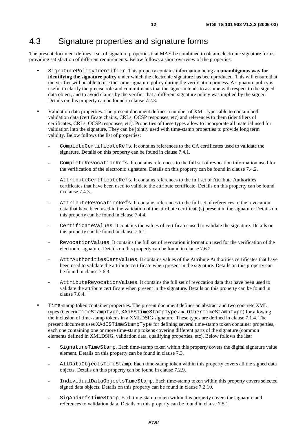# 4.3 Signature properties and signature forms

The present document defines a set of signature properties that MAY be combined to obtain electronic signature forms providing satisfaction of different requirements. Below follows a short overview of the properties:

- SignaturePolicyIdentifier. This property contains information being an **unambiguous way for identifying the signature policy** under which the electronic signature has been produced. This will ensure that the verifier will be able to use the same signature policy during the verification process. A signature policy is useful to clarify the precise role and commitments that the signer intends to assume with respect to the signed data object, and to avoid claims by the verifier that a different signature policy was implied by the signer. Details on this property can be found in clause 7.2.3.
- Validation data properties. The present document defines a number of XML types able to contain both validation data (certificate chains, CRLs, OCSP responses, etc) and references to them (identifiers of certificates, CRLs, OCSP responses, etc). Properties of these types allow to incorporate all material used for validation into the signature. They can be jointly used with time-stamp properties to provide long term validity. Below follows the list of properties:
	- CompleteCertificateRefs. It contains references to the CA certificates used to validate the signature. Details on this property can be found in clause 7.4.1.
	- CompleteRevocationRefs. It contains references to the full set of revocation information used for the verification of the electronic signature. Details on this property can be found in clause 7.4.2.
	- AttributeCertficateRefs. It contains references to the full set of Attribute Authorities certificates that have been used to validate the attribute certificate. Details on this property can be found in clause 7.4.3.
	- AttributeRevocationRefs. It contains references to the full set of references to the revocation data that have been used in the validation of the attribute certificate(s) present in the signature. Details on this property can be found in clause 7.4.4.
	- CertificateValues. It contains the values of certificates used to validate the signature. Details on this property can be found in clause 7.6.1.
	- RevocationValues. It contains the full set of revocation information used for the verification of the electronic signature. Details on this property can be found in clause 7.6.2.
	- AttrAuthoritiesCertValues. It contains values of the Attribute Authorities certificates that have been used to validate the attribute certificate when present in the signature. Details on this property can be found in clause 7.6.3.
	- AttributeRevocationValues. It contains the full set of revocation data that have been used to validate the attribute certificate when present in the signature. Details on this property can be found in clause 7.6.4.
- Time-stamp token container properties. The present document defines an abstract and two concrete XML types (GenericTimeStampType, XAdESTimeStampType and OtherTimeStampType) for allowing the inclusion of time-stamp tokens in a XMLDSIG signature. These types are defined in clause 7.1.4. The present document uses XAdESTimeStampType for defining several time-stamp token container properties, each one containing one or more time-stamp tokens covering different parts of the signature (common elements defined in XMLDSIG, validation data, qualifying properties, etc). Below follows the list:
	- SignatureTimeStamp. Each time-stamp token within this property covers the digital signature value element. Details on this property can be found in clause 7.3.
	- AllDataObjectsTimeStamp. Each time-stamp token within this property covers all the signed data objects. Details on this property can be found in clause 7.2.9.
	- IndividualDataObjectsTimeStamp. Each time-stamp token within this property covers selected signed data objects. Details on this property can be found in clause 7.2.10.
	- SigAndRefsTimeStamp. Each time-stamp token within this property covers the signature and references to validation data. Details on this property can be found in clause 7.5.1.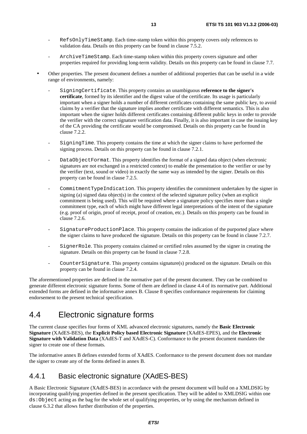- RefsOnlyTimeStamp. Each time-stamp token within this property covers only references to validation data. Details on this property can be found in clause 7.5.2.
- ArchiveTimeStamp. Each time-stamp token within this property covers signature and other properties required for providing long-term validity. Details on this property can be found in clause 7.7.
- Other properties. The present document defines a number of additional properties that can be useful in a wide range of environments, namely:
	- SigningCertificate. This property contains an unambiguous **reference to the signer's certificate**, formed by its identifier and the digest value of the certificate. Its usage is particularly important when a signer holds a number of different certificates containing the same public key, to avoid claims by a verifier that the signature implies another certificate with different semantics. This is also important when the signer holds different certificates containing different public keys in order to provide the verifier with the correct signature verification data. Finally, it is also important in case the issuing key of the CA providing the certificate would be compromised. Details on this property can be found in clause 7.2.2.
	- SigningTime. This property contains the time at which the signer claims to have performed the signing process. Details on this property can be found in clause 7.2.1.
	- DataObjectFormat. This property identifies the format of a signed data object (when electronic signatures are not exchanged in a restricted context) to enable the presentation to the verifier or use by the verifier (text, sound or video) in exactly the same way as intended by the signer. Details on this property can be found in clause 7.2.5.
	- CommitmentTypeIndication. This property identifies the commitment undertaken by the signer in signing (a) signed data object(s) in the context of the selected signature policy (when an explicit commitment is being used). This will be required where a signature policy specifies more than a single commitment type, each of which might have different legal interpretations of the intent of the signature (e.g. proof of origin, proof of receipt, proof of creation, etc.). Details on this property can be found in clause 7.2.6.
	- SignatureProductionPlace. This property contains the indication of the purported place where the signer claims to have produced the signature. Details on this property can be found in clause 7.2.7.
	- SignerRole. This property contains claimed or certified roles assumed by the signer in creating the signature. Details on this property can be found in clause 7.2.8.
	- CounterSignature. This property contains signature(s) produced on the signature. Details on this property can be found in clause 7.2.4.

The aforementioned properties are defined in the normative part of the present document. They can be combined to generate different electronic signature forms. Some of them are defined in clause 4.4 of its normative part. Additional extended forms are defined in the informative annex B. Clause 8 specifies conformance requirements for claiming endorsement to the present technical specification.

# 4.4 Electronic signature forms

The current clause specifies four forms of XML advanced electronic signatures, namely the **Basic Electronic Signature** (XAdES-BES), the **Explicit Policy based Electronic Signature** (XAdES-EPES), and the **Electronic Signature with Validation Data** (XAdES-T and XAdES-C). Conformance to the present document mandates the signer to create one of these formats.

The informative annex B defines extended forms of XAdES. Conformance to the present document does not mandate the signer to create any of the forms defined in annex B.

### 4.4.1 Basic electronic signature (XAdES-BES)

A Basic Electronic Signature (XAdES-BES) in accordance with the present document will build on a XMLDSIG by incorporating qualifying properties defined in the present specification. They will be added to XMLDSIG within one ds:Object acting as the bag for the whole set of qualifying properties, or by using the mechanism defined in clause 6.3.2 that allows further distribution of the properties.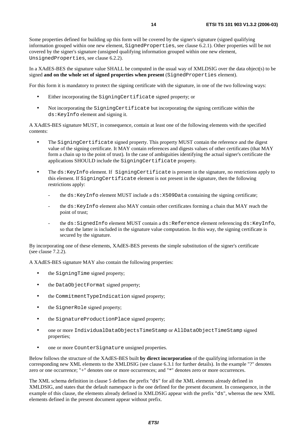Some properties defined for building up this form will be covered by the signer's signature (signed qualifying information grouped within one new element, SignedProperties, see clause 6.2.1). Other properties will be not covered by the signer's signature (unsigned qualifying information grouped within one new element, UnsignedProperties, see clause 6.2.2).

In a XAdES-BES the signature value SHALL be computed in the usual way of XMLDSIG over the data object(s) to be signed **and on the whole set of signed properties when present** (SignedProperties element).

For this form it is mandatory to protect the signing certificate with the signature, in one of the two following ways:

- Either incorporating the SigningCertificate signed property; or
- Not incorporating the SigningCertificate but incorporating the signing certificate within the ds:KeyInfo element and signing it.

A XAdES-BES signature MUST, in consequence, contain at least one of the following elements with the specified contents:

- The SigningCertificate signed property. This property MUST contain the reference and the digest value of the signing certificate. It MAY contain references and digests values of other certificates (that MAY form a chain up to the point of trust). In the case of ambiguities identifying the actual signer's certificate the applications SHOULD include the SigningCertificate property.
- The ds: KeyInfo element. If SigningCertificate is present in the signature, no restrictions apply to this element. If SigningCertificate element is not present in the signature, then the following restrictions apply:
	- the  $ds:KeyInfo$  element MUST include a  $ds:XS09Data$  containing the signing certificate;
	- the  $ds$ : KeyInfo element also MAY contain other certificates forming a chain that MAY reach the point of trust;
	- the ds: SignedInfo element MUST contain a ds: Reference element referencing ds: KeyInfo, so that the latter is included in the signature value computation. In this way, the signing certificate is secured by the signature.

By incorporating one of these elements, XAdES-BES prevents the simple substitution of the signer's certificate (see clause 7.2.2).

A XAdES-BES signature MAY also contain the following properties:

- the SigningTime signed property;
- the DataObjectFormat signed property;
- the CommitmentTypeIndication signed property;
- the SignerRole signed property;
- the SignatureProductionPlace signed property;
- one or more IndividualDataObjectsTimeStamp or AllDataObjectTimeStamp signed properties;
- one or more CounterSignature unsigned properties.

Below follows the structure of the XAdES-BES built **by direct incorporation** of the qualifying information in the corresponding new XML elements to the XMLDSIG (see clause 6.3.1 for further details). In the example "?" denotes zero or one occurrence; "+" denotes one or more occurrences; and "\*" denotes zero or more occurrences.

The XML schema definition in clause 5 defines the prefix "ds" for all the XML elements already defined in XMLDSIG, and states that the default namespace is the one defined for the present document. In consequence, in the example of this clause, the elements already defined in XMLDSIG appear with the prefix "ds", whereas the new XML elements defined in the present document appear without prefix.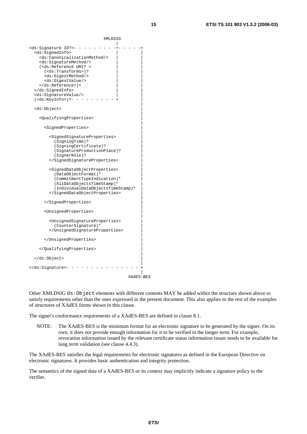XMLDSIG |  $ds:$ Signature ID?>- - - - - - <ds:SignedInfo> | | <ds:CanonicalizationMethod/> | | <ds:SignatureMethod/> | | (<ds:Reference URI? > (<ds:Transforms>)? | | <ds:DigestMethod/> | | <ds:DigestValue/> | |  $\langle$ /ds:Reference>)+ </ds:SignedInfo> | | <ds:SignatureValue/> | |  $(\text{ds:KeyInfo>})$  ?- - - - | <ds:Object> | | <QualifyingProperties> | | <SignedProperties> | | <SignedSignatureProperties> | (SigningTime)? | (SigningCertificate)? | (SignatureProductionPlace)? | (SignerRole)? | </SignedSignatureProperties> | | <SignedDataObjectProperties> | (DataObjectFormat)\* | (CommitmentTypeIndication)\* | (AllDataObjectsTimeStamp)\* (IndividualDataObjectsTimeStamp)\* | </SignedDataObjectProperties> | | </SignedProperties> | | <UnsignedProperties> | | <UnsignedSignatureProperties> | (CounterSignature)\* | </UnsignedSignatureProperties> | | </UnsignedProperties> | | </QualifyingProperties> | | </ds:Object> | |  $\langle \text{ds:} \text{Signature} \rangle - - - - - - - - - - - -$ |

XAdES-BES

Other XMLDSIG ds:Object elements with different contents MAY be added within the structure shown above to satisfy requirements other than the ones expressed in the present document. This also applies to the rest of the examples of structures of XAdES forms shown in this clause.

The signer's conformance requirements of a XAdES-BES are defined in clause 8.1.

NOTE: The XAdES-BES is the minimum format for an electronic signature to be generated by the signer. On its own, it does not provide enough information for it to be verified in the longer term. For example, revocation information issued by the relevant certificate status information issuer needs to be available for long term validation (see clause 4.4.3).

The XAdES-BES satisfies the legal requirements for electronic signatures as defined in the European Directive on electronic signatures. It provides basic authentication and integrity protection.

The semantics of the signed data of a XAdES-BES or its context may implicitly indicate a signature policy to the verifier.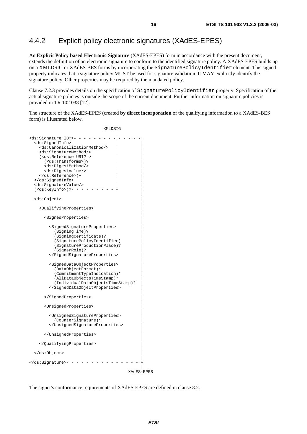## 4.4.2 Explicit policy electronic signatures (XAdES-EPES)

An **Explicit Policy based Electronic Signature** (XAdES-EPES) form in accordance with the present document, extends the definition of an electronic signature to conform to the identified signature policy. A XAdES-EPES builds up on a XMLDSIG or XAdES-BES forms by incorporating the SignaturePolicyIdentifier element. This signed property indicates that a signature policy MUST be used for signature validation. It MAY explicitly identify the signature policy. Other properties may be required by the mandated policy.

Clause 7.2.3 provides details on the specification of SignaturePolicyIdentifier property. Specification of the actual signature policies is outside the scope of the current document. Further information on signature policies is provided in TR 102 038 [12].

The structure of the XAdES-EPES (created **by direct incorporation** of the qualifying information to a XAdES-BES form) is illustrated below.

```
 XMLDSIG 
 | 
<ds:Signature ID?>- - - - - - - - -+- - - - -+ 
  <ds:SignedInfo> | | 
   <ds:CanonicalizationMethod/> | | 
   <ds:SignatureMethod/> | | 
  (<ds:Reference URI? >
    (<ds:Transforms>)?
    <ds:DigestMethod/>
     <ds:DigestValue/> | | 
  \langleds:Reference>)+
  </ds:SignedInfo> | | 
  <ds:SignatureValue/> | | 
  (<ds:KeyInfo>)?- - - - - - - - - + | 
 | 
  <ds:Object> | 
 | 
   <QualifyingProperties> | 
 | 
     <SignedProperties> | 
 | 
      <SignedSignatureProperties> | 
        (SigningTime)? | 
        (SigningCertificate)? | 
        (SignaturePolicyIdentifier) | 
        (SignatureProductionPlace)? | 
        (SignerRole)? | 
      </SignedSignatureProperties> | 
 | 
      <SignedDataObjectProperties> | 
        (DataObjectFormat)* | 
        (CommitmentTypeIndication)* | 
        (AllDataObjectsTimeStamp)* | 
        (IndividualDataObjectsTimeStamp)* | 
      </SignedDataObjectProperties> | 
 | 
     </SignedProperties> | 
 | 
     <UnsignedProperties> | 
 | 
      <UnsignedSignatureProperties> | 
        (CounterSignature)* | 
      </UnsignedSignatureProperties> | 
 | 
     </UnsignedProperties> | 
 | 
   </QualifyingProperties> | 
 | 
  </ds:Object> | 
 | 
\langle ds:Signature>- - - - - - - - - - - -
 | 
                              XAdES-EPES
```
The signer's conformance requirements of XAdES-EPES are defined in clause 8.2.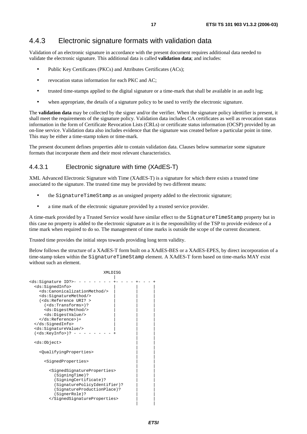### 4.4.3 Electronic signature formats with validation data

Validation of an electronic signature in accordance with the present document requires additional data needed to validate the electronic signature. This additional data is called **validation data**; and includes:

- Public Key Certificates (PKCs) and Attributes Certificates (ACs);
- revocation status information for each PKC and AC;
- trusted time-stamps applied to the digital signature or a time-mark that shall be available in an audit log:
- when appropriate, the details of a signature policy to be used to verify the electronic signature.

The **validation data** may be collected by the signer and/or the verifier. When the signature policy identifier is present, it shall meet the requirements of the signature policy. Validation data includes CA certificates as well as revocation status information in the form of Certificate Revocation Lists (CRLs) or certificate status information (OCSP) provided by an on-line service. Validation data also includes evidence that the signature was created before a particular point in time. This may be either a time-stamp token or time-mark.

The present document defines properties able to contain validation data. Clauses below summarize some signature formats that incorporate them and their most relevant characteristics.

#### 4.4.3.1 Electronic signature with time (XAdES-T)

XML Advanced Electronic Signature with Time (XAdES-T) is a signature for which there exists a trusted time associated to the signature. The trusted time may be provided by two different means:

- the SignatureTimeStamp as an unsigned property added to the electronic signature;
- a time mark of the electronic signature provided by a trusted service provider.

A time-mark provided by a Trusted Service would have similar effect to the SignatureTimeStamp property but in this case no property is added to the electronic signature as it is the responsibility of the TSP to provide evidence of a time mark when required to do so. The management of time marks is outside the scope of the current document.

Trusted time provides the initial steps towards providing long term validity.

Below follows the structure of a XAdES-T form built on a XAdES-BES or a XAdES-EPES, by direct incorporation of a time-stamp token within the SignatureTimeStamp element. A XAdES-T form based on time-marks MAY exist without such an element.

| XMLDISG                                                                                                                               |  |
|---------------------------------------------------------------------------------------------------------------------------------------|--|
|                                                                                                                                       |  |
| <ds:signature id?="">-<br/><ds:signedinfo><br/><ds:canonicalizationmethod></ds:canonicalizationmethod></ds:signedinfo></ds:signature> |  |
| <ds:signaturemethod></ds:signaturemethod>                                                                                             |  |
| ( <ds:reference uri?=""></ds:reference>                                                                                               |  |
| $(<\ds:Transforms)$ ?                                                                                                                 |  |
| <ds:digestmethod></ds:digestmethod><br><ds:digestvalue></ds:digestvalue>                                                              |  |
| $\langle ds:Reference \rangle$ +                                                                                                      |  |
|                                                                                                                                       |  |
| <ds:signaturevalue></ds:signaturevalue><br>( <ds:keyinfo>)?</ds:keyinfo>                                                              |  |
|                                                                                                                                       |  |
| <ds:object></ds:object>                                                                                                               |  |
| <oualifyingproperties></oualifyingproperties>                                                                                         |  |
| <signedproperties></signedproperties>                                                                                                 |  |
| <signedsignatureproperties><br/>(SigningTime)?</signedsignatureproperties>                                                            |  |
| $(SigningCertificate)$ ?                                                                                                              |  |
| (SignaturePolicyIdentifier)?<br>(SignatureProductionPlace)?                                                                           |  |
| (SignerRole)?                                                                                                                         |  |
|                                                                                                                                       |  |
|                                                                                                                                       |  |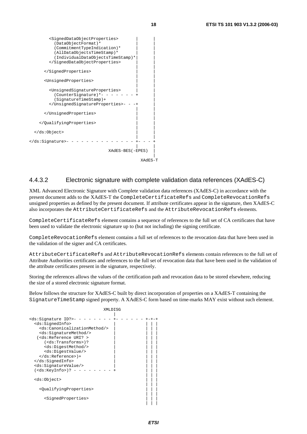

#### 4.4.3.2 Electronic signature with complete validation data references (XAdES-C)

XML Advanced Electronic Signature with Complete validation data references (XAdES-C) in accordance with the present document adds to the XAdES-T the CompleteCertificateRefs and CompleteRevocationRefs unsigned properties as defined by the present document. If attribute certificates appear in the signature, then XAdES-C also incorporates the AttributeCertificateRefs and the AttributeRevocationRefs elements.

CompleteCertificateRefs element contains a sequence of references to the full set of CA certificates that have been used to validate the electronic signature up to (but not including) the signing certificate.

CompleteRevocationRefs element contains a full set of references to the revocation data that have been used in the validation of the signer and CA certificates.

AttributeCertificateRefs and AttributeRevocationRefs elements contain references to the full set of Attribute Authorities certificates and references to the full set of revocation data that have been used in the validation of the attribute certificates present in the signature, respectively.

Storing the references allows the values of the certification path and revocation data to be stored elsewhere, reducing the size of a stored electronic signature format.

Below follows the structure for XAdES-C built by direct incorporation of properties on a XAdES-T containing the SignatureTimeStamp signed property. A XAdES-C form based on time-marks MAY exist without such element.

|                                                                                                                                                                                                                                                                                                                                                                                                                                                  | XMLDISG |
|--------------------------------------------------------------------------------------------------------------------------------------------------------------------------------------------------------------------------------------------------------------------------------------------------------------------------------------------------------------------------------------------------------------------------------------------------|---------|
| <ds:signature id?="">-<br/><ds:signedinfo><br/><ds:canonicalizationmethod></ds:canonicalizationmethod><br/><ds:signaturemethod></ds:signaturemethod><br/>(<ds:reference uri?=""><br/><math>(sds:Transforms)</math>?<br/><ds:digestmethod></ds:digestmethod><br/><ds:digestvalue></ds:digestvalue><br/><math>\langle ds:Reference \rangle</math> +<br/></ds:reference></ds:signedinfo><br/><ds:signaturevalue></ds:signaturevalue></ds:signature> |         |
| ( <ds:keyinfo>)?</ds:keyinfo>                                                                                                                                                                                                                                                                                                                                                                                                                    |         |
| <ds:object><br/><oualifyingproperties></oualifyingproperties></ds:object>                                                                                                                                                                                                                                                                                                                                                                        |         |
| <signedproperties></signedproperties>                                                                                                                                                                                                                                                                                                                                                                                                            |         |
|                                                                                                                                                                                                                                                                                                                                                                                                                                                  |         |
|                                                                                                                                                                                                                                                                                                                                                                                                                                                  |         |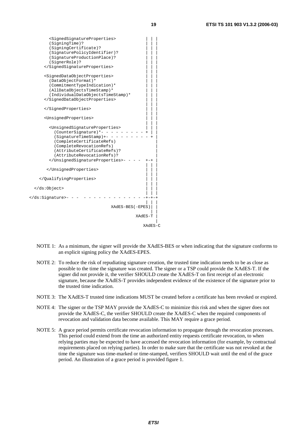| <signedsignatureproperties><br/>(SigningTime)?<br/>(SigningCertificate)?<br/>(SignaturePolicyIdentifier)?<br/>(SignatureProductionPlace)?<br/>(SignerRole)?<br/></signedsignatureproperties>                                                         |
|------------------------------------------------------------------------------------------------------------------------------------------------------------------------------------------------------------------------------------------------------|
| <signeddataobjectproperties><br/>(DataObjectFormat)*<br/>(CommitmentTypeIndication)*<br/>(AllDataObjectsTimeStamp)*<br/>(IndividualDataObjectsTimeStamp)*<br/></signeddataobjectproperties>                                                          |
|                                                                                                                                                                                                                                                      |
| <unsignedproperties></unsignedproperties>                                                                                                                                                                                                            |
| <unsignedsignatureproperties><br/>(CounterSignature)*- -<br/>(SignatureTimeStamp)+- -<br/>(CompleteCertificateRefs)<br/>(CompleteRevocationRefs)<br/>(AttributeCertificateRefs)?<br/>(AttributeRevocationRefs)?<br/></unsignedsignatureproperties> - |
|                                                                                                                                                                                                                                                      |
|                                                                                                                                                                                                                                                      |
|                                                                                                                                                                                                                                                      |
| -                                                                                                                                                                                                                                                    |
| $XAdES-BES(-EPES)$                                                                                                                                                                                                                                   |
| XAdES-T                                                                                                                                                                                                                                              |
| XAdES-C                                                                                                                                                                                                                                              |

- NOTE 1: As a minimum, the signer will provide the XAdES-BES or when indicating that the signature conforms to an explicit signing policy the XAdES-EPES.
- NOTE 2: To reduce the risk of repudiating signature creation, the trusted time indication needs to be as close as possible to the time the signature was created. The signer or a TSP could provide the XAdES-T. If the signer did not provide it, the verifier SHOULD create the XAdES-T on first receipt of an electronic signature, because the XAdES-T provides independent evidence of the existence of the signature prior to the trusted time indication.
- NOTE 3: The XAdES-T trusted time indications MUST be created before a certificate has been revoked or expired.
- NOTE 4: The signer or the TSP MAY provide the XAdES-C to minimize this risk and when the signer does not provide the XAdES-C, the verifier SHOULD create the XAdES-C when the required components of revocation and validation data become available. This MAY require a grace period.
- NOTE 5: A grace period permits certificate revocation information to propagate through the revocation processes. This period could extend from the time an authorized entity requests certificate revocation, to when relying parties may be expected to have accessed the revocation information (for example, by contractual requirements placed on relying parties). In order to make sure that the certificate was not revoked at the time the signature was time-marked or time-stamped, verifiers SHOULD wait until the end of the grace period. An illustration of a grace period is provided figure 1.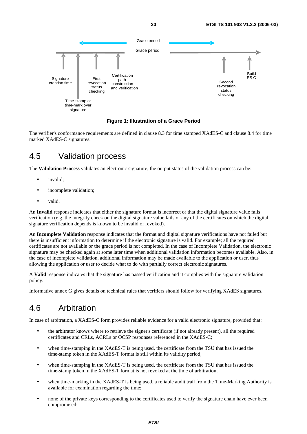

**Figure 1: Illustration of a Grace Period** 

The verifier's conformance requirements are defined in clause 8.3 for time stamped XAdES-C and clause 8.4 for time marked XAdES-C signatures.

# 4.5 Validation process

The **Validation Process** validates an electronic signature, the output status of the validation process can be:

- invalid:
- incomplete validation;
- valid.

An **Invalid** response indicates that either the signature format is incorrect or that the digital signature value fails verification (e.g. the integrity check on the digital signature value fails or any of the certificates on which the digital signature verification depends is known to be invalid or revoked).

An **Incomplete Validation** response indicates that the format and digital signature verifications have not failed but there is insufficient information to determine if the electronic signature is valid. For example; all the required certificates are not available or the grace period is not completed. In the case of Incomplete Validation, the electronic signature may be checked again at some later time when additional validation information becomes available. Also, in the case of incomplete validation, additional information may be made available to the application or user, thus allowing the application or user to decide what to do with partially correct electronic signatures.

A **Valid** response indicates that the signature has passed verification and it complies with the signature validation policy.

Informative annex G gives details on technical rules that verifiers should follow for verifying XAdES signatures.

# 4.6 Arbitration

In case of arbitration, a XAdES-C form provides reliable evidence for a valid electronic signature, provided that:

- the arbitrator knows where to retrieve the signer's certificate (if not already present), all the required certificates and CRLs, ACRLs or OCSP responses referenced in the XAdES-C;
- when time-stamping in the XAdES-T is being used, the certificate from the TSU that has issued the time-stamp token in the XAdES-T format is still within its validity period;
- when time-stamping in the XAdES-T is being used, the certificate from the TSU that has issued the time-stamp token in the XAdES-T format is not revoked at the time of arbitration;
- when time-marking in the XAdES-T is being used, a reliable audit trail from the Time-Marking Authority is available for examination regarding the time;
- none of the private keys corresponding to the certificates used to verify the signature chain have ever been compromised;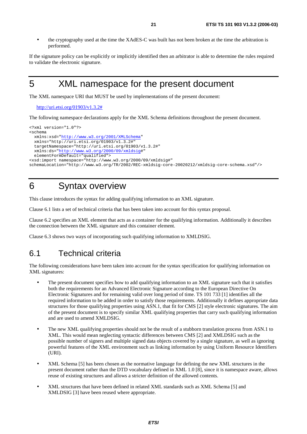• the cryptography used at the time the XAdES-C was built has not been broken at the time the arbitration is performed.

If the signature policy can be explicitly or implicitly identified then an arbitrator is able to determine the rules required to validate the electronic signature.

# 5 XML namespace for the present document

The XML namespace URI that MUST be used by implementations of the present document:

[http://uri.etsi.org/01903/v1.3.2#](http://uri.etsi.org/01903/v1.3.2/Indirect%1eIncorporation/example1)

The following namespace declarations apply for the XML Schema definitions throughout the present document.

```
<?xml version="1.0"?> 
<schema 
  xmlns:xsd="http://www.w3.org/2001/XMLSchema" 
   xmlns="http://uri.etsi.org/01903/v1.3.2#" 
  targetNamespace="http://uri.etsi.org/01903/v1.3.2#" 
  xmlns:ds="http://www.w3.org/2000/09/xmldsig#" 
  elementFormDefault="qualified"> 
<xsd:import namespace="http://www.w3.org/2000/09/xmldsig#" 
schemaLocation="http://www.w3.org/TR/2002/REC-xmldsig-core-20020212/xmldsig-core-schema.xsd"/>
```
# 6 Syntax overview

This clause introduces the syntax for adding qualifying information to an XML signature.

Clause 6.1 lists a set of technical criteria that has been taken into account for this syntax proposal.

Clause 6.2 specifies an XML element that acts as a container for the qualifying information. Additionally it describes the connection between the XML signature and this container element.

Clause 6.3 shows two ways of incorporating such qualifying information to XMLDSIG.

# 6.1 Technical criteria

The following considerations have been taken into account for the syntax specification for qualifying information on XML signatures:

- The present document specifies how to add qualifying information to an XML signature such that it satisfies both the requirements for an Advanced Electronic Signature according to the European Directive On Electronic Signatures and for remaining valid over long period of time. TS 101 733 [1] identifies all the required information to be added in order to satisfy those requirements. Additionally it defines appropriate data structures for those qualifying properties using ASN.1, that fit for CMS [2] style electronic signatures. The aim of the present document is to specify similar XML qualifying properties that carry such qualifying information and are used to amend XMLDSIG.
- The new XML qualifying properties should not be the result of a stubborn translation process from ASN.1 to XML. This would mean neglecting syntactic differences between CMS [2] and XMLDSIG such as the possible number of signers and multiple signed data objects covered by a single signature, as well as ignoring powerful features of the XML environment such as linking information by using Uniform Resource Identifiers (URI).
- XML Schema [5] has been chosen as the normative language for defining the new XML structures in the present document rather than the DTD vocabulary defined in XML 1.0 [8], since it is namespace aware, allows reuse of existing structures and allows a stricter definition of the allowed contents.
- XML structures that have been defined in related XML standards such as XML Schema [5] and XMLDSIG [3] have been reused where appropriate.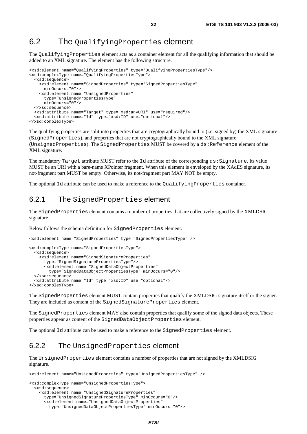# 6.2 The Qualifying Properties element

The QualifyingProperties element acts as a container element for all the qualifying information that should be added to an XML signature. The element has the following structure.

```
<xsd:element name="QualifyingProperties" type="QualifyingPropertiesType"/> 
<xsd:complexType name="QualifyingPropertiesType"> 
   <xsd:sequence> 
     <xsd:element name="SignedProperties" type="SignedPropertiesType" 
       minOccurs="0"/> 
     <xsd:element name="UnsignedProperties" 
       type="UnsignedPropertiesType" 
       minOccurs="0"/> 
   </xsd:sequence> 
   <xsd:attribute name="Target" type="xsd:anyURI" use="required"/> 
   <xsd:attribute name="Id" type="xsd:ID" use="optional"/> 
</xsd:complexType>
```
The qualifying properties are split into properties that are cryptographically bound to (i.e. signed by) the XML signature (SignedProperties), and properties that are not cryptographically bound to the XML signature (UnsignedProperties). The SignedProperties MUST be covered by a  $ds$ :Reference element of the XML signature.

The mandatory Target attribute MUST refer to the Id attribute of the corresponding ds: Signature. Its value MUST be an URI with a bare-name XPointer fragment. When this element is enveloped by the XAdES signature, its not-fragment part MUST be empty. Otherwise, its not-fragment part MAY NOT be empty.

The optional Id attribute can be used to make a reference to the QualifyingProperties container.

#### 6.2.1 The SignedProperties element

The SignedProperties element contains a number of properties that are collectively signed by the XMLDSIG signature.

Below follows the schema definition for SignedProperties element.

```
<xsd:element name="SignedProperties" type="SignedPropertiesType" /> 
<xsd:complexType name="SignedPropertiesType"> 
   <xsd:sequence> 
     <xsd:element name="SignedSignatureProperties" 
       type="SignedSignaturePropertiesType"/> 
       <xsd:element name="SignedDataObjectProperties" 
         type="SignedDataObjectPropertiesType" minOccurs="0"/> 
   </xsd:sequence> 
   <xsd:attribute name="Id" type="xsd:ID" use="optional"/> 
</xsd:complexType>
```
The SignedProperties element MUST contain properties that qualify the XMLDSIG signature itself or the signer. They are included as content of the SignedSignatureProperties element.

The SignedProperties element MAY also contain properties that qualify some of the signed data objects. These properties appear as content of the SignedDataObjectProperties element.

The optional Id attribute can be used to make a reference to the SignedProperties element.

#### 6.2.2 The UnsignedProperties element

The UnsignedProperties element contains a number of properties that are not signed by the XMLDSIG signature.

```
<xsd:element name="UnsignedProperties" type="UnsignedPropertiesType" /> 
<xsd:complexType name="UnsignedPropertiesType"> 
   <xsd:sequence> 
     <xsd:element name="UnsignedSignatureProperties" 
       type="UnsignedSignaturePropertiesType" minOccurs="0"/> 
       <xsd:element name="UnsignedDataObjectProperties" 
         type="UnsignedDataObjectPropertiesType" minOccurs="0"/>
```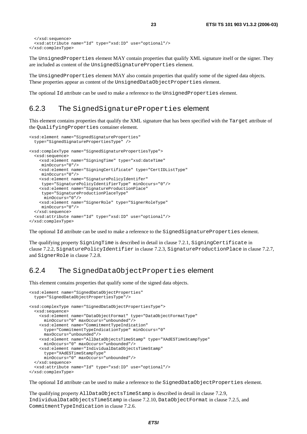```
 </xsd:sequence> 
   <xsd:attribute name="Id" type="xsd:ID" use="optional"/> 
</xsd:complexType>
```
The UnsignedProperties element MAY contain properties that qualify XML signature itself or the signer. They are included as content of the UnsignedSignatureProperties element.

The UnsignedProperties element MAY also contain properties that qualify some of the signed data objects. These properties appear as content of the UnsignedDataObjectProperties element.

The optional Id attribute can be used to make a reference to the UnsignedProperties element.

#### 6.2.3 The SignedSignatureProperties element

This element contains properties that qualify the XML signature that has been specified with the Target attribute of the QualifyingProperties container element.

```
<xsd:element name="SignedSignatureProperties" 
   type="SignedSignaturePropertiesType" /> 
<xsd:complexType name="SignedSignaturePropertiesType"> 
   <xsd:sequence> 
     <xsd:element name="SigningTime" type="xsd:dateTime" 
     minOccurs="0"/> 
     <xsd:element name="SigningCertificate" type="CertIDListType" 
      minOccurs="0"/> 
     <xsd:element name="SignaturePolicyIdentifer" 
     type="SignaturePolicyIdentifierType" minOccurs="0"/> 
     <xsd:element name="SignatureProductionPlace" 
      type="SignatureProductionPlaceType" 
      minOccurs="0"/> 
     <xsd:element name="SignerRole" type="SignerRoleType" 
     minOccurs="0"/> 
   </xsd:sequence> 
   <xsd:attribute name="Id" type="xsd:ID" use="optional"/> 
</xsd:complexType>
```
The optional Id attribute can be used to make a reference to the SignedSignatureProperties element.

The qualifying property SigningTime is described in detail in clause 7.2.1, SigningCertificate in clause 7.2.2, SignaturePolicyIdentifier in clause 7.2.3, SignatureProductionPlace in clause 7.2.7, and SignerRole in clause 7.2.8.

### 6.2.4 The SignedDataObjectProperties element

This element contains properties that qualify some of the signed data objects.

```
<xsd:element name="SignedDataObjectProperties" 
  type="SignedDataObjectPropertiesType"/> 
<xsd:complexType name="SignedDataObjectPropertiesType"> 
   <xsd:sequence> 
     <xsd:element name="DataObjectFormat" type="DataObjectFormatType" 
       minOccurs="0" maxOccurs="unbounded"/> 
     <xsd:element name="CommitmentTypeIndication" 
       type="CommitmentTypeIndicationType" minOccurs="0" 
      maxOccurs="unbounded"/> 
     <xsd:element name="AllDataObjectsTimeStamp" type="XAdESTimeStampType" 
       minOccurs="0" maxOccurs="unbounded"/> 
     <xsd:element name="IndividualDataObjectsTimeStamp" 
       type="XAdESTimeStampType" 
       minOccurs="0" maxOccurs="unbounded"/> 
   </xsd:sequence> 
   <xsd:attribute name="Id" type="xsd:ID" use="optional"/> 
</xsd:complexType>
```
The optional Id attribute can be used to make a reference to the SignedDataObjectProperties element.

The qualifying property AllDataObjectsTimeStamp is described in detail in clause 7.2.9, IndividualDataObjectsTimeStamp in clause 7.2.10, DataObjectFormat in clause 7.2.5, and CommitmentTypeIndication in clause 7.2.6.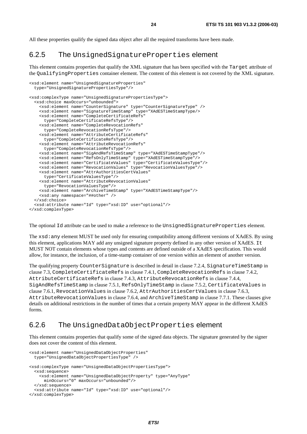All these properties qualify the signed data object after all the required transforms have been made.

#### 6.2.5 The UnsignedSignatureProperties element

This element contains properties that qualify the XML signature that has been specified with the Target attribute of the QualifyingProperties container element. The content of this element is not covered by the XML signature.

```
<xsd:element name="UnsignedSignatureProperties" 
  type="UnsignedSignaturePropertiesType"/> 
<xsd:complexType name="UnsignedSignaturePropertiesType"> 
   <xsd:choice maxOccurs="unbounded"> 
     <xsd:element name="CounterSignature" type="CounterSignatureType" /> 
     <xsd:element name="SignatureTimeStamp" type="XAdESTimeStampType/> 
     <xsd:element name="CompleteCertificateRefs" 
       type="CompleteCertificateRefsType"/> 
     <xsd:element name="CompleteRevocationRefs" 
       type="CompleteRevocationRefsType"/> 
     <xsd:element name="AttributeCertificateRefs" 
       type="CompleteCertificateRefsType"/> 
     <xsd:element name="AttributeRevocationRefs" 
      type="CompleteRevocationRefsType"/> 
     <xsd:element name="SigAndRefsTimeStamp" type="XAdESTimeStampType"/> 
     <xsd:element name="RefsOnlyTimeStamp" type="XAdESTimeStampType"/> 
     <xsd:element name="CertificateValues" type="CertificateValuesType"/> 
     <xsd:element name="RevocationValues" type="RevocationValuesType"/> 
     <xsd:element name="AttrAuthoritiesCertValues" 
       type="CertificateValuesType"/> 
     <xsd:element name="AttributeRevocationValues" 
       type="RevocationValuesType"/> 
     <xsd:element name="ArchiveTimeStamp" type="XAdESTimeStampType"/> 
     <xsd:any namespace="##other" /> 
   </xsd:choice> 
   <xsd:attribute name="Id" type="xsd:ID" use="optional"/> 
</xsd:complexType>
```
The optional Id attribute can be used to make a reference to the UnsignedSignatureProperties element.

The xsd:any element MUST be used only for ensuring compatibility among different versions of XAdES. By using this element, applications MAY add any unsigned signature property defined in any other version of XAdES. It MUST NOT contain elements whose types and contents are defined outside of a XAdES specification. This would allow, for instance, the inclusion, of a time-stamp container of one version within an element of another version.

The qualifying property CounterSignature is described in detail in clause 7.2.4, SignatureTimeStamp in clause 7.3, CompleteCertificateRefs in clause 7.4.1, CompleteRevocationRefs in clause 7.4.2, AttributeCertificateRefs in clause 7.4.3, AttributeRevocationRefs in clause 7.4.4, SigAndRefsTimeStamp in clause 7.5.1, RefsOnlyTimeStamp in clause 7.5.2, CertificateValues in clause 7.6.1, RevocationValues in clause 7.6.2, AttrAuthoritiesCertValues in clause 7.6.3, AttributeRevocationValues in clause 7.6.4, and ArchiveTimeStamp in clause 7.7.1. These clauses give details on additional restrictions in the number of times that a certain property MAY appear in the different XAdES forms.

#### 6.2.6 The UnsignedDataObjectProperties element

This element contains properties that qualify some of the signed data objects. The signature generated by the signer does not cover the content of this element.

```
 type="UnsignedDataObjectPropertiesType" /> 
<xsd:complexType name="UnsignedDataObjectPropertiesType"> 
   <xsd:sequence> 
     <xsd:element name="UnsignedDataObjectProperty" type="AnyType" 
      minOccurs="0" maxOccurs="unbounded"/> 
   </xsd:sequence> 
   <xsd:attribute name="Id" type="xsd:ID" use="optional"/> 
</xsd:complexType>
```
<xsd:element name="UnsignedDataObjectProperties"

**ETSI**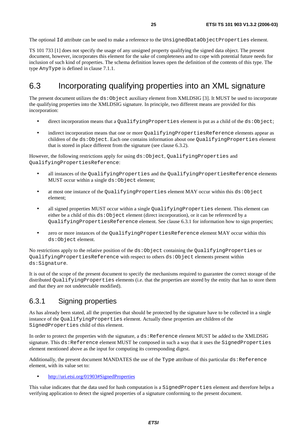The optional Id attribute can be used to make a reference to the UnsignedDataObjectProperties element.

TS 101 733 [1] does not specify the usage of any unsigned property qualifying the signed data object. The present document, however, incorporates this element for the sake of completeness and to cope with potential future needs for inclusion of such kind of properties. The schema definition leaves open the definition of the contents of this type. The type AnyType is defined in clause 7.1.1.

# 6.3 Incorporating qualifying properties into an XML signature

The present document utilizes the ds:Object auxiliary element from XMLDSIG [3]. It MUST be used to incorporate the qualifying properties into the XMLDSIG signature. In principle, two different means are provided for this incorporation:

- direct incorporation means that a QualifyingProperties element is put as a child of the ds:Object;
- indirect incorporation means that one or more QualifyingPropertiesReference elements appear as children of the ds:Object. Each one contains information about one QualifyingProperties element that is stored in place different from the signature (see clause 6.3.2).

However, the following restrictions apply for using ds:Object, QualifyingProperties and QualifyingPropertiesReference:

- all instances of the QualifyingProperties and the QualifyingPropertiesReference elements MUST occur within a single  $ds:Ob \text{ject element};$
- at most one instance of the QualifyingProperties element MAY occur within this ds: Object element;
- all signed properties MUST occur within a single QualifyingProperties element. This element can either be a child of this ds:Object element (direct incorporation), or it can be referenced by a QualifyingPropertiesReference element. See clause 6.3.1 for information how to sign properties;
- zero or more instances of the QualifyingPropertiesReference element MAY occur within this ds:Object element.

No restrictions apply to the relative position of the ds:Object containing the QualifyingProperties or QualifyingPropertiesReference with respect to others ds:Object elements present within ds:Signature.

It is out of the scope of the present document to specify the mechanisms required to guarantee the correct storage of the distributed QualifyingProperties elements (i.e. that the properties are stored by the entity that has to store them and that they are not undetectable modified).

### 6.3.1 Signing properties

As has already been stated, all the properties that should be protected by the signature have to be collected in a single instance of the QualifyingProperties element. Actually these properties are children of the SignedProperties child of this element.

In order to protect the properties with the signature, a ds:Reference element MUST be added to the XMLDSIG signature. This ds: Reference element MUST be composed in such a way that it uses the SignedProperties element mentioned above as the input for computing its corresponding digest.

Additionally, the present document MANDATES the use of the Type attribute of this particular  $ds$ : Reference element, with its value set to:

• [http://uri.etsi.org/01903#SignedProperties](http://uri.etsi.org/01903)

This value indicates that the data used for hash computation is a SignedProperties element and therefore helps a verifying application to detect the signed properties of a signature conforming to the present document.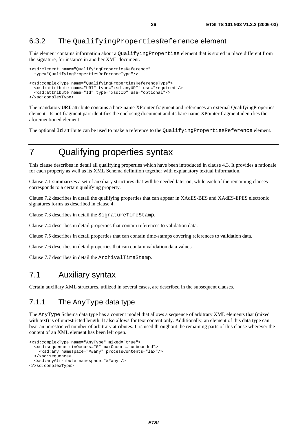### 6.3.2 The QualifyingPropertiesReference element

This element contains information about a QualifyingProperties element that is stored in place different from the signature, for instance in another XML document.

```
<xsd:element name="QualifyingPropertiesReference" 
  type="QualifyingPropertiesReferenceType"/> 
<xsd:complexType name="QualifyingPropertiesReferenceType"> 
   <xsd:attribute name="URI" type="xsd:anyURI" use="required"/> 
   <xsd:attribute name="Id" type="xsd:ID" use="optional"/> 
</xsd:complexType>
```
The mandatory URI attribute contains a bare-name XPointer fragment and references an external QualifyingProperties element. Its not-fragment part identifies the enclosing document and its bare-name XPointer fragment identifies the aforementioned element.

The optional Id attribute can be used to make a reference to the QualifyingPropertiesReference element.

# 7 Qualifying properties syntax

This clause describes in detail all qualifying properties which have been introduced in clause 4.3. It provides a rationale for each property as well as its XML Schema definition together with explanatory textual information.

Clause 7.1 summarizes a set of auxiliary structures that will be needed later on, while each of the remaining clauses corresponds to a certain qualifying property.

Clause 7.2 describes in detail the qualifying properties that can appear in XAdES-BES and XAdES-EPES electronic signatures forms as described in clause 4.

Clause 7.3 describes in detail the SignatureTimeStamp.

Clause 7.4 describes in detail properties that contain references to validation data.

Clause 7.5 describes in detail properties that can contain time-stamps covering references to validation data.

Clause 7.6 describes in detail properties that can contain validation data values.

Clause 7.7 describes in detail the ArchivalTimeStamp.

# 7.1 Auxiliary syntax

Certain auxiliary XML structures, utilized in several cases, are described in the subsequent clauses.

## 7.1.1 The AnyType data type

The AnyType Schema data type has a content model that allows a sequence of arbitrary XML elements that (mixed with text) is of unrestricted length. It also allows for text content only. Additionally, an element of this data type can bear an unrestricted number of arbitrary attributes. It is used throughout the remaining parts of this clause wherever the content of an XML element has been left open.

```
<xsd:complexType name="AnyType" mixed="true"> 
   <xsd:sequence minOccurs="0" maxOccurs="unbounded"> 
     <xsd:any namespace="##any" processContents="lax"/> 
   </xsd:sequence> 
   <xsd:anyAttribute namespace="##any"/> 
</xsd:complexType>
```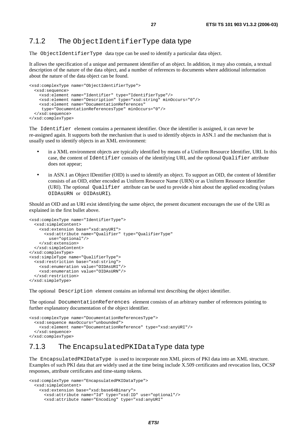#### 7.1.2 The ObjectIdentifierType data type

The ObjectIdentifierType data type can be used to identify a particular data object.

It allows the specification of a unique and permanent identifier of an object. In addition, it may also contain, a textual description of the nature of the data object, and a number of references to documents where additional information about the nature of the data object can be found.

```
<xsd:complexType name="ObjectIdentifierType"> 
   <xsd:sequence> 
     <xsd:element name="Identifier" type="IdentifierType"/> 
     <xsd:element name="Description" type="xsd:string" minOccurs="0"/> 
     <xsd:element name="DocumentationReferences" 
     type="DocumentationReferencesType" minOccurs="0"/> 
   </xsd:sequence> 
</xsd:complexType>
```
The Identifier element contains a permanent identifier. Once the identifier is assigned, it can never be re-assigned again. It supports both the mechanism that is used to identify objects in ASN.1 and the mechanism that is usually used to identify objects in an XML environment:

- in a XML environment objects are typically identified by means of a Uniform Resource Identifier, URI. In this case, the content of Identifier consists of the identifying URI, and the optional Qualifier attribute does not appear;
- in ASN.1 an Object IDentifier (OID) is used to identify an object. To support an OID, the content of Identifier consists of an OID, either encoded as Uniform Resource Name (URN) or as Uniform Resource Identifier (URI). The optional Qualifier attribute can be used to provide a hint about the applied encoding (values OIDAsURN or OIDAsURI).

Should an OID and an URI exist identifying the same object, the present document encourages the use of the URI as explained in the first bullet above.

```
<xsd:complexType name="IdentifierType"> 
   <xsd:simpleContent> 
     <xsd:extension base="xsd:anyURI"> 
       <xsd:attribute name="Qualifier" type="QualifierType" 
         use="optional"/> 
     </xsd:extension> 
   </xsd:simpleContent> 
</xsd:complexType> 
<xsd:simpleType name="QualifierType"> 
   <xsd:restriction base="xsd:string"> 
     <xsd:enumeration value="OIDAsURI"/> 
     <xsd:enumeration value="OIDAsURN"/> 
   </xsd:restriction> 
</xsd:simpleType>
```
The optional Description element contains an informal text describing the object identifier.

The optional DocumentationReferences element consists of an arbitrary number of references pointing to further explanatory documentation of the object identifier.

```
<xsd:complexType name="DocumentationReferencesType"> 
   <xsd:sequence maxOccurs="unbounded"> 
     <xsd:element name="DocumentationReference" type="xsd:anyURI"/> 
   </xsd:sequence> 
</xsd:complexType>
```
## 7.1.3 The EncapsulatedPKIDataType data type

The EncapsulatedPKIDataType is used to incorporate non XML pieces of PKI data into an XML structure. Examples of such PKI data that are widely used at the time being include X.509 certificates and revocation lists, OCSP responses, attribute certificates and time-stamp tokens.

```
<xsd:complexType name="EncapsulatedPKIDataType"> 
   <xsd:simpleContent> 
     <xsd:extension base="xsd:base64Binary"> 
       <xsd:attribute name="Id" type="xsd:ID" use="optional"/> 
       <xsd:attribute name="Encoding" type="xsd:anyURI"
```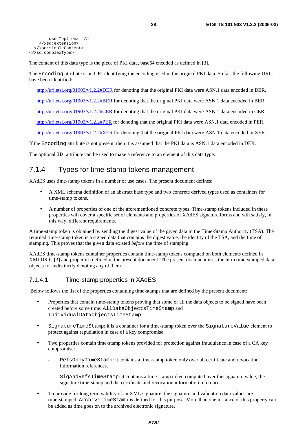```
 use="optional"/> 
     </xsd:extension> 
   </xsd:simpleContent> 
</xsd:complexType>
```
The content of this data type is the piece of PKI data, base64 encoded as defined in [3].

The Encoding attribute is an URI identifying the encoding used in the original PKI data. So far, the following URIs have been identified:

[http://uri.etsi.org/01903/v1.2.2#DER](http://uri.etsi.org/01903/v1.2.2) for denoting that the original PKI data were ASN.1 data encoded in DER.

[http://uri.etsi.org/01903/v1.2.2#BER](http://uri.etsi.org/01903/v1.2.2) for denoting that the original PKI data were ASN.1 data encoded in BER.

[http://uri.etsi.org/01903/v1.2.2#CER](http://uri.etsi.org/01903/v1.2.2) for denoting that the original PKI data were ASN.1 data encoded in CER.

[http://uri.etsi.org/01903/v1.2.2#PER](http://uri.etsi.org/01903/v1.2.2) for denoting that the original PKI data were ASN.1 data encoded in PER.

[http://uri.etsi.org/01903/v1.2.2#XER](http://uri.etsi.org/01903/v1.2.2) for denoting that the original PKI data were ASN.1 data encoded in XER.

If the Encoding attribute is not present, then it is assumed that the PKI data is ASN.1 data encoded in DER.

The optional ID attribute can be used to make a reference to an element of this data type.

### 7.1.4 Types for time-stamp tokens management

XAdES uses time-stamp tokens in a number of use cases. The present document defines:

- A XML schema definition of an abstract base type and two concrete derived types used as containers for time-stamp tokens.
- A number of properties of one of the aforementioned concrete types. Time-stamp tokens included in these properties will cover a specific set of elements and properties of XAdES signature forms and will satisfy, in this way, different requirements.

A time-stamp token is obtained by sending the digest value of the given data to the Time-Stamp Authority (TSA). The returned time-stamp token is a signed data that contains the digest value, the identity of the TSA, and the time of stamping. This proves that the given data existed *before* the time of stamping.

XAdES time-stamp tokens container properties contain time-stamp tokens computed on both elements defined in XMLDSIG [3] and properties defined in the present document. The present document uses the term time-stamped data objects for indistinctly denoting any of them.

#### 7.1.4.1 Time-stamp properties in XAdES

Below follows the list of the properties containing time-stamps that are defined by the present document:

- Properties that contain time-stamp tokens proving that some or all the data objects to be signed have been created before some time: AllDataObjectsTimeStamp and IndividualDataObjectsTimeStamp.
- SignatureTimeStamp: it is a container for a time-stamp token over the SignatureValue element to protect against repudiation in case of a key compromise.
- Two properties contain time-stamp tokens provided for protection against fraudulence in case of a CA key compromise:
	- RefsOnlyTimeStamp: it contains a time-stamp token only over all certificate and revocation information references.
	- SigAndRefsTimeStamp: it contains a time-stamp token computed over the signature value, the signature time-stamp and the certificate and revocation information references.
- To provide for long term validity of an XML signature, the signature and validation data values are time-stamped. ArchiveTimeStamp is defined for this purpose. More than one instance of this property can be added as time goes on to the archived electronic signature.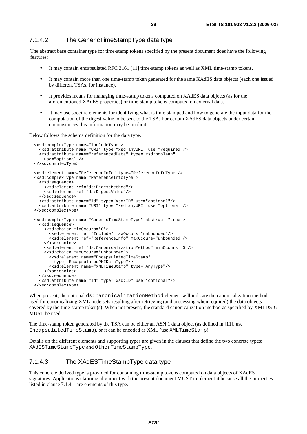#### 7.1.4.2 The GenericTimeStampType data type

The abstract base container type for time-stamp tokens specified by the present document does have the following features:

- It may contain encapsulated RFC 3161 [11] time-stamp tokens as well as XML time-stamp tokens.
- It may contain more than one time-stamp token generated for the same XAdES data objects (each one issued by different TSAs, for instance).
- It provides means for managing time-stamp tokens computed on XAdES data objects (as for the aforementioned XAdES properties) or time-stamp tokens computed on external data.
- It may use specific elements for identifying what is time-stamped and how to generate the input data for the computation of the digest value to be sent to the TSA. For certain XAdES data objects under certain circumstances this information may be implicit.

Below follows the schema definition for the data type.

```
 <xsd:complexType name="IncludeType"> 
   <xsd:attribute name="URI" type="xsd:anyURI" use="required"/> 
   <xsd:attribute name="referencedData" type="xsd:boolean" 
     use="optional"/> 
 </xsd:complexType> 
 <xsd:element name="ReferenceInfo" type="ReferenceInfoType"/> 
 <xsd:complexType name="ReferenceInfoType"> 
   <xsd:sequence> 
     <xsd:element ref="ds:DigestMethod"/> 
     <xsd:element ref="ds:DigestValue"/> 
   </xsd:sequence> 
   <xsd:attribute name="Id" type="xsd:ID" use="optional"/> 
   <xsd:attribute name="URI" type="xsd:anyURI" use="optional"/> 
 </xsd:complexType> 
 <xsd:complexType name="GenericTimeStampType" abstract="true"> 
   <xsd:sequence> 
     <xsd:choice minOccurs="0"> 
       <xsd:element ref="Include" maxOccurs="unbounded"/> 
       <xsd:element ref="ReferenceInfo" maxOccurs="unbounded"/> 
     </xsd:choice> 
     <xsd:element ref="ds:CanonicalizationMethod" minOccurs="0"/> 
     <xsd:choice maxOccurs="unbounded"> 
       <xsd:element name="EncapsulatedTimeStamp" 
         type="EncapsulatedPKIDataType"/> 
       <xsd:element name="XMLTimeStamp" type="AnyType"/> 
     </xsd:choice> 
   </xsd:sequence> 
   <xsd:attribute name="Id" type="xsd:ID" use="optional"/> 
 </xsd:complexType>
```
When present, the optional ds: CanonicalizationMethod element will indicate the canonicalization method used for canonicalizing XML node sets resulting after retrieving (and processing when required) the data objects covered by the time-stamp token(s). When not present, the standard canonicalization method as specified by XMLDSIG MUST be used.

The time-stamp token generated by the TSA can be either an ASN.1 data object (as defined in [11], use EncapsulatedTimeStamp), or it can be encoded as XML (use XMLTimeStamp).

Details on the different elements and supporting types are given in the clauses that define the two concrete types: XAdESTimeStampType and OtherTimeStampType.

#### 7.1.4.3 The XAdESTimeStampType data type

This concrete derived type is provided for containing time-stamp tokens computed on data objects of XAdES signatures. Applications claiming alignment with the present document MUST implement it because all the properties listed in clause 7.1.4.1 are elements of this type.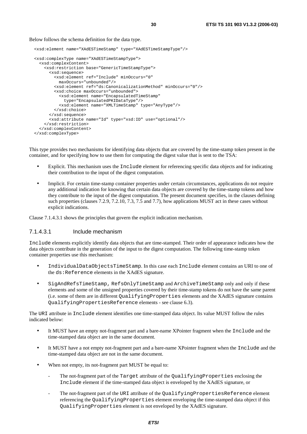Below follows the schema definition for the data type.

```
 <xsd:element name="XAdESTimeStamp" type="XAdESTimeStampType"/> 
 <xsd:complexType name="XAdESTimeStampType"> 
   <xsd:complexContent> 
     <xsd:restriction base="GenericTimeStampType"> 
       <xsd:sequence> 
         <xsd:element ref="Include" minOccurs="0" 
           maxOccurs="unbounded"/> 
         <xsd:element ref="ds:CanonicalizationMethod" minOccurs="0"/> 
         <xsd:choice maxOccurs="unbounded"> 
           <xsd:element name="EncapsulatedTimeStamp" 
             type="EncapsulatedPKIDataType"/> 
           <xsd:element name="XMLTimeStamp" type="AnyType"/> 
         </xsd:choice> 
       </xsd:sequence> 
       <xsd:attribute name="Id" type="xsd:ID" use="optional"/> 
     </xsd:restriction> 
   </xsd:complexContent> 
 </xsd:complexType>
```
This type provides two mechanisms for identifying data objects that are covered by the time-stamp token present in the container, and for specifying how to use them for computing the digest value that is sent to the TSA:

- Explicit. This mechanism uses the Include element for referencing specific data objects and for indicating their contribution to the input of the digest computation.
- Implicit. For certain time-stamp container properties under certain circumstances, applications do not require any additional indication for knowing that certain data objects are covered by the time-stamp tokens and how they contribute to the input of the digest computation. The present document specifies, in the clauses defining such properties (clauses 7.2.9, 7.2.10, 7.3, 7.5 and 7.7), how applications MUST act in these cases without explicit indications.

Clause 7.1.4.3.1 shows the principles that govern the explicit indication mechanism.

#### 7.1.4.3.1 Include mechanism

Include elements explicitly identify data objects that are time-stamped. Their order of appearance indicates how the data objects contribute in the generation of the input to the digest computation. The following time-stamp token container properties use this mechanism:

- IndividualDataObjectsTimeStamp. In this case each Include element contains an URI to one of the ds:Reference elements in the XAdES signature.
- SigAndRefsTimeStamp, RefsOnlyTimeStamp and ArchiveTimeStamp only and only if these elements and some of the unsigned properties covered by their time-stamp tokens do not have the same parent (i.e. some of them are in different QualifyingProperties elements and the XAdES signature contains QualifyingPropertiesReference elements - see clause 6.3).

The URI attribute in Include element identifies one time-stamped data object. Its value MUST follow the rules indicated below:

- It MUST have an empty not-fragment part and a bare-name XPointer fragment when the Include and the time-stamped data object are in the same document.
- It MUST have a not empty not-fragment part and a bare-name XPointer fragment when the Include and the time-stamped data object are not in the same document.
- When not empty, its not-fragment part MUST be equal to:
	- The not-fragment part of the Target attribute of the QualifyingProperties enclosing the Include element if the time-stamped data object is enveloped by the XAdES signature, or
	- The not-fragment part of the URI attribute of the QualifyingPropertiesReference element referencing the QualifyingProperties element enveloping the time-stamped data object if this QualifyingProperties element is not enveloped by the XAdES signature.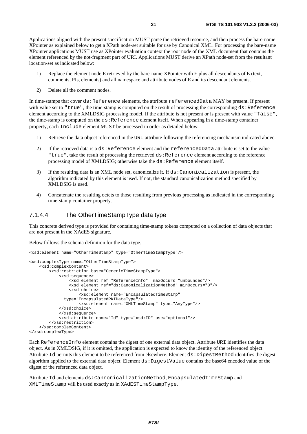Applications aligned with the present specification MUST parse the retrieved resource, and then process the bare-name XPointer as explained below to get a XPath node-set suitable for use by Canonical XML. For processing the bare-name XPointer applications MUST use as XPointer evaluation context the root node of the XML document that contains the element referenced by the not-fragment part of URI. Applications MUST derive an XPath node-set from the resultant location-set as indicated below:

- 1) Replace the element node E retrieved by the bare-name XPointer with E plus all descendants of E (text, comments, PIs, elements) and all namespace and attribute nodes of E and its descendant elements.
- 2) Delete all the comment nodes.

In time-stamps that cover  $ds$ :Reference elements, the attribute referencedData MAY be present. If present with value set to "true", the time-stamp is computed on the result of processing the corresponding ds:Reference element according to the XMLDSIG processing model. If the attribute is not present or is present with value "false", the time-stamp is computed on the ds:Reference element itself. When appearing in a time-stamp container property, each Include element MUST be processed in order as detailed below:

- 1) Retrieve the data object referenced in the URI attribute following the referencing mechanism indicated above.
- 2) If the retrieved data is a ds:Reference element and the referencedData attribute is set to the value "true", take the result of processing the retrieved ds:Reference element according to the reference processing model of XMLDSIG; otherwise take the ds:Reference element itself.
- 3) If the resulting data is an XML node set, canonicalize it. If ds:Canonicalization is present, the algorithm indicated by this element is used. If not, the standard canonicalization method specified by XMLDSIG is used.
- 4) Concatenate the resulting octets to those resulting from previous processing as indicated in the corresponding time-stamp container property.

#### 7.1.4.4 The OtherTimeStampType data type

This concrete derived type is provided for containing time-stamp tokens computed on a collection of data objects that are not present in the XAdES signature.

Below follows the schema definition for the data type.

```
<xsd:element name="OtherTimeStamp" type="OtherTimeStampType"/> 
<xsd:complexType name="OtherTimeStampType"> 
     <xsd:complexContent> 
         <xsd:restriction base="GenericTimeStampType"> 
             <xsd:sequence> 
                  <xsd:element ref="ReferenceInfo" maxOccurs="unbounded"/> 
                  <xsd:element ref="ds:CanonicalizationMethod" minOccurs="0"/> 
                  <xsd:choice> 
                      <xsd:element name="EncapsulatedTimeStamp" 
               type="EncapsulatedPKIDataType"/> 
                      <xsd:element name="XMLTimeStamp" type="AnyType"/> 
             </xsd:choice> 
             </xsd:sequence> 
             <xsd:attribute name="Id" type="xsd:ID" use="optional"/> 
         </xsd:restriction> 
     </xsd:complexContent> 
</xsd:complexType>
```
Each ReferenceInfo element contains the digest of one external data object. Attribute URI identifies the data object. As in XMLDSIG, if it is omitted, the application is expected to know the identity of the referenced object. Attribute Id permits this element to be referenced from elsewhere. Element ds:DigestMethod identifies the digest algorithm applied to the external data object. Element ds:DigestValue contains the base64 encoded value of the digest of the referenced data object.

Attribute Id and elements ds:CannonicalizationMethod, EncapsulatedTimeStamp and XMLTimeStamp will be used exactly as in XAdESTimeStampType.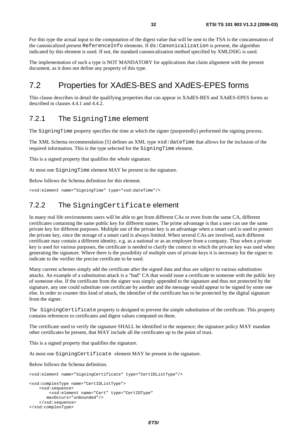For this type the actual input to the computation of the digest value that will be sent to the TSA is the concatenation of the canonicalized present ReferenceInfo elements. If ds:Canonicalization is present, the algorithm indicated by this element is used. If not, the standard canonicalization method specified by XMLDSIG is used.

The implementation of such a type is NOT MANDATORY for applications that claim alignment with the present document, as it does not define any property of this type.

# 7.2 Properties for XAdES-BES and XAdES-EPES forms

This clause describes in detail the qualifying properties that can appear in XAdES-BES and XAdES-EPES forms as described in clauses 4.4.1 and 4.4.2.

### 7.2.1 The SigningTime element

The SigningTime property specifies the time at which the signer (purportedly) performed the signing process.

The XML Schema recommendation [5] defines an XML type  $xsd:dat$ eTime that allows for the inclusion of the required information. This is the type selected for the SigningTime element.

This is a signed property that qualifies the whole signature.

At most one SigningTime element MAY be present in the signature.

Below follows the Schema definition for this element.

<xsd:element name="SigningTime" type="xsd:dateTime"/>

# 7.2.2 The SigningCertificate element

In many real life environments users will be able to get from different CAs or even from the same CA, different certificates containing the same public key for different names. The prime advantage is that a user can use the same private key for different purposes. Multiple use of the private key is an advantage when a smart card is used to protect the private key, since the storage of a smart card is always limited. When several CAs are involved, each different certificate may contain a different identity, e.g. as a national or as an employee from a company. Thus when a private key is used for various purposes, the certificate is needed to clarify the context in which the private key was used when generating the signature. Where there is the possibility of multiple uses of private keys it is necessary for the signer to indicate to the verifier the precise certificate to be used.

Many current schemes simply add the certificate after the signed data and thus are subject to various substitution attacks. An example of a substitution attack is a "bad" CA that would issue a certificate to someone with the public key of someone else. If the certificate from the signer was simply appended to the signature and thus not protected by the signature, any one could substitute one certificate by another and the message would appear to be signed by some one else. In order to counter this kind of attack, the identifier of the certificate has to be protected by the digital signature from the signer.

The SigningCertificate property is designed to prevent the simple substitution of the certificate. This property contains references to certificates and digest values computed on them.

The certificate used to verify the signature SHALL be identified in the sequence; the signature policy MAY mandate other certificates be present, that MAY include all the certificates up to the point of trust.

This is a signed property that qualifies the signature.

At most one SigningCertificate element MAY be present in the signature.

Below follows the Schema definition.

```
<xsd:element name="SigningCertificate" type="CertIDListType"/> 
<xsd:complexType name="CertIDListType"> 
     <xsd:sequence> 
         <xsd:element name="Cert" type="CertIDType" 
        maxOccurs="unbounded"/> 
     </xsd:sequence> 
</xsd:complexType>
```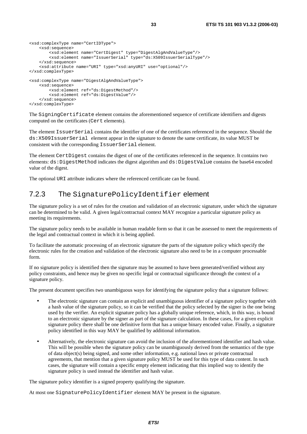```
<xsd:complexType name="CertIDType"> 
     <xsd:sequence> 
         <xsd:element name="CertDigest" type="DigestAlgAndValueType"/> 
         <xsd:element name="IssuerSerial" type="ds:X509IssuerSerialType"/> 
     </xsd:sequence> 
     <xsd:attribute name="URI" type="xsd:anyURI" use="optional"/> 
</xsd:complexType> 
<xsd:complexType name="DigestAlgAndValueType"> 
     <xsd:sequence> 
         <xsd:element ref="ds:DigestMethod"/> 
         <xsd:element ref="ds:DigestValue"/> 
     </xsd:sequence> 
</xsd:complexType>
```
The SigningCertificate element contains the aforementioned sequence of certificate identifiers and digests computed on the certificates (Cert elements).

The element IssuerSerial contains the identifier of one of the certificates referenced in the sequence. Should the ds:X509IssuerSerial element appear in the signature to denote the same certificate, its value MUST be consistent with the corresponding IssuerSerial element.

The element CertDigest contains the digest of one of the certificates referenced in the sequence. It contains two elements: ds:DigestMethod indicates the digest algorithm and ds:DigestValue contains the base64 encoded value of the digest.

The optional URI attribute indicates where the referenced certificate can be found.

#### 7.2.3 The SignaturePolicyIdentifier element

The signature policy is a set of rules for the creation and validation of an electronic signature, under which the signature can be determined to be valid. A given legal/contractual context MAY recognize a particular signature policy as meeting its requirements.

The signature policy needs to be available in human readable form so that it can be assessed to meet the requirements of the legal and contractual context in which it is being applied.

To facilitate the automatic processing of an electronic signature the parts of the signature policy which specify the electronic rules for the creation and validation of the electronic signature also need to be in a computer processable form.

If no signature policy is identified then the signature may be assumed to have been generated/verified without any policy constraints, and hence may be given no specific legal or contractual significance through the context of a signature policy.

The present document specifies two unambiguous ways for identifying the signature policy that a signature follows:

- The electronic signature can contain an explicit and unambiguous identifier of a signature policy together with a hash value of the signature policy, so it can be verified that the policy selected by the signer is the one being used by the verifier. An explicit signature policy has a globally unique reference, which, in this way, is bound to an electronic signature by the signer as part of the signature calculation. In these cases, for a given explicit signature policy there shall be one definitive form that has a unique binary encoded value. Finally, a signature policy identified in this way MAY be qualified by additional information.
- Alternatively, the electronic signature can avoid the inclusion of the aforementioned identifier and hash value. This will be possible when the signature policy can be unambiguously derived from the semantics of the type of data object(s) being signed, and some other information, e.g. national laws or private contractual agreements, that mention that a given signature policy MUST be used for this type of data content. In such cases, the signature will contain a specific empty element indicating that this implied way to identify the signature policy is used instead the identifier and hash value.

The signature policy identifier is a signed property qualifying the signature.

At most one SignaturePolicyIdentifier element MAY be present in the signature.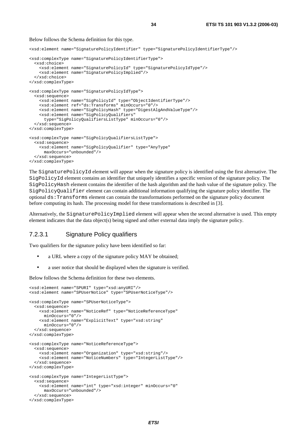#### Below follows the Schema definition for this type.

<xsd:element name="SignaturePolicyIdentifier" type="SignaturePolicyIdentifierType"/>

```
<xsd:complexType name="SignaturePolicyIdentifierType"> 
   <xsd:choice> 
     <xsd:element name="SignaturePolicyId" type="SignaturePolicyIdType"/> 
     <xsd:element name="SignaturePolicyImplied"/> 
   </xsd:choice> 
</xsd:complexType> 
<xsd:complexType name="SignaturePolicyIdType"> 
   <xsd:sequence> 
     <xsd:element name="SigPolicyId" type="ObjectIdentifierType"/> 
     <xsd:element ref="ds:Transforms" minOccurs="0"/> 
     <xsd:element name="SigPolicyHash" type="DigestAlgAndValueType"/> 
     <xsd:element name="SigPolicyQualifiers" 
       type="SigPolicyQualifiersListType" minOccurs="0"/> 
   </xsd:sequence> 
</xsd:complexType> 
<xsd:complexType name="SigPolicyQualifiersListType"> 
   <xsd:sequence> 
     <xsd:element name="SigPolicyQualifier" type="AnyType" 
      maxOccurs="unbounded"/> 
   </xsd:sequence> 
</xsd:complexType>
```
The SignaturePolicyId element will appear when the signature policy is identified using the first alternative. The SigPolicyId element contains an identifier that uniquely identifies a specific version of the signature policy. The SigPolicyHash element contains the identifier of the hash algorithm and the hash value of the signature policy. The SigPolicyQualifier element can contain additional information qualifying the signature policy identifier. The optional ds:Transforms element can contain the transformations performed on the signature policy document before computing its hash. The processing model for these transformations is described in [3].

Alternatively, the SignaturePolicyImplied element will appear when the second alternative is used. This empty element indicates that the data object(s) being signed and other external data imply the signature policy.

#### 7.2.3.1 Signature Policy qualifiers

Two qualifiers for the signature policy have been identified so far:

- a URL where a copy of the signature policy MAY be obtained;
- a user notice that should be displayed when the signature is verified.

Below follows the Schema definition for these two elements.

```
<xsd:element name="SPURI" type="xsd:anyURI"/> 
<xsd:element name="SPUserNotice" type="SPUserNoticeType"/> 
<xsd:complexType name="SPUserNoticeType"> 
   <xsd:sequence> 
     <xsd:element name="NoticeRef" type="NoticeReferenceType" 
       minOccurs="0"/> 
     <xsd:element name="ExplicitText" type="xsd:string" 
      minOccurs="0"/> 
   </xsd:sequence> 
</xsd:complexType> 
<xsd:complexType name="NoticeReferenceType"> 
   <xsd:sequence> 
     <xsd:element name="Organization" type="xsd:string"/> 
     <xsd:element name="NoticeNumbers" type="IntegerListType"/> 
   </xsd:sequence> 
</xsd:complexType> 
<xsd:complexType name="IntegerListType"> 
   <xsd:sequence> 
     <xsd:element name="int" type="xsd:integer" minOccurs="0" 
       maxOccurs="unbounded"/> 
   </xsd:sequence> 
</xsd:complexType>
```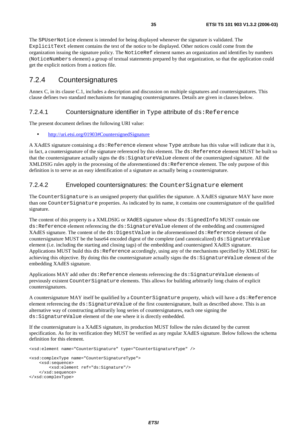The SPUserNotice element is intended for being displayed whenever the signature is validated. The ExplicitText element contains the text of the notice to be displayed. Other notices could come from the organization issuing the signature policy. The NoticeRef element names an organization and identifies by numbers (NoticeNumbers element) a group of textual statements prepared by that organization, so that the application could get the explicit notices from a notices file.

### 7.2.4 Countersignatures

Annex C, in its clause C.1, includes a description and discussion on multiple signatures and countersignatures. This clause defines two standard mechanisms for managing countersignatures. Details are given in clauses below.

#### 7.2.4.1 Countersignature identifier in Type attribute of ds: Reference

The present document defines the following URI value:

• [http://uri.etsi.org/01903#CountersignedSignature](http://uri.etsi.org/01903)

A XAdES signature containing a ds:Reference element whose Type attribute has this value will indicate that it is, in fact, a countersignature of the signature referenced by this element. The ds:Reference element MUST be built so that the countersignature actually signs the ds:SignatureValue element of the countersigned signature. All the XMLDSIG rules apply in the processing of the aforementioned ds: Reference element. The only purpose of this definition is to serve as an easy identification of a signature as actually being a countersignature.

#### 7.2.4.2 Enveloped countersignatures: the CounterSignature element

The CounterSignature is an unsigned property that qualifies the signature. A XAdES signature MAY have more than one CounterSignature properties. As indicated by its name, it contains one countersignature of the qualified signature.

The content of this property is a XMLDSIG or XAdES signature whose ds: SignedInfo MUST contain one ds:Reference element referencing the ds:SignatureValue element of the embedding and countersigned XAdES signature. The content of the ds: DigestValue in the aforementioned ds: Reference element of the countersignature MUST be the base64 encoded digest of the complete (and canonicalized) ds: SignatureValue element (i.e. including the starting and closing tags) of the embedding and countersigned XAdES signature. Applications MUST build this ds: Reference accordingly, using any of the mechanisms specified by XMLDSIG for achieving this objective. By doing this the countersignature actually signs the ds:SignatureValue element of the embedding XAdES signature.

Applications MAY add other ds:Reference elements referencing the ds:SignatureValue elements of previously existent CounterSignature elements. This allows for building arbitrarily long chains of explicit countersignatures.

A countersignature MAY itself be qualified by a CounterSignature property, which will have a ds:Reference element referencing the ds:SignatureValue of the first countersignature, built as described above. This is an alternative way of constructing arbitrarily long series of countersignatures, each one signing the ds:SignatureValue element of the one where it is directly embedded.

If the countersignature is a XAdES signature, its production MUST follow the rules dictated by the current specification. As for its verification they MUST be verified as any regular XAdES signature. Below follows the schema definition for this element.

<xsd:element name="CounterSignature" type="CounterSignatureType" /> <xsd:complexType name="CounterSignatureType"> <xsd:sequence> <xsd:element ref="ds:Signature"/> </xsd:sequence> </xsd:complexType>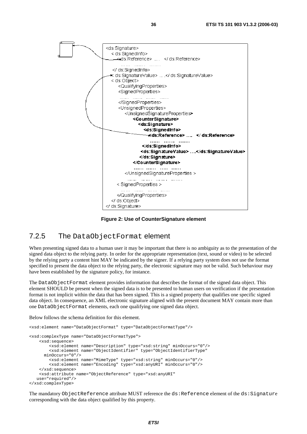

**Figure 2: Use of CounterSignature element** 

### 7.2.5 The DataObjectFormat element

When presenting signed data to a human user it may be important that there is no ambiguity as to the presentation of the signed data object to the relying party. In order for the appropriate representation (text, sound or video) to be selected by the relying party a content hint MAY be indicated by the signer. If a relying party system does not use the format specified to present the data object to the relying party, the electronic signature may not be valid. Such behaviour may have been established by the signature policy, for instance.

The DataObjectFormat element provides information that describes the format of the signed data object. This element SHOULD be present when the signed data is to be presented to human users on verification if the presentation format is not implicit within the data that has been signed. This is a signed property that qualifies one specific signed data object. In consequence, an XML electronic signature aligned with the present document MAY contain more than one DataObjectFormat elements, each one qualifying one signed data object.

Below follows the schema definition for this element.

```
<xsd:element name="DataObjectFormat" type="DataObjectFormatType"/> 
<xsd:complexType name="DataObjectFormatType"> 
     <xsd:sequence> 
         <xsd:element name="Description" type="xsd:string" minOccurs="0"/> 
         <xsd:element name="ObjectIdentifier" type="ObjectIdentifierType" 
       minOccurs="0"/> 
         <xsd:element name="MimeType" type="xsd:string" minOccurs="0"/> 
         <xsd:element name="Encoding" type="xsd:anyURI" minOccurs="0"/> 
     </xsd:sequence> 
     <xsd:attribute name="ObjectReference" type="xsd:anyURI" 
    use="required"/> 
</xsd:complexType>
```
The mandatory ObjectReference attribute MUST reference the ds:Reference element of the ds:Signature corresponding with the data object qualified by this property.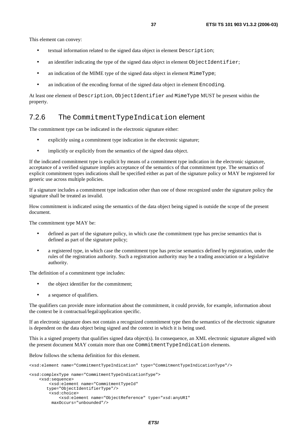This element can convey:

- textual information related to the signed data object in element Description;
- an identifier indicating the type of the signed data object in element ObjectIdentifier;
- an indication of the MIME type of the signed data object in element MimeType;
- an indication of the encoding format of the signed data object in element Encoding.

At least one element of Description, ObjectIdentifier and MimeType MUST be present within the property.

### 7.2.6 The CommitmentTypeIndication element

The commitment type can be indicated in the electronic signature either:

- explicitly using a commitment type indication in the electronic signature;
- implicitly or explicitly from the semantics of the signed data object.

If the indicated commitment type is explicit by means of a commitment type indication in the electronic signature, acceptance of a verified signature implies acceptance of the semantics of that commitment type. The semantics of explicit commitment types indications shall be specified either as part of the signature policy or MAY be registered for generic use across multiple policies.

If a signature includes a commitment type indication other than one of those recognized under the signature policy the signature shall be treated as invalid.

How commitment is indicated using the semantics of the data object being signed is outside the scope of the present document.

The commitment type MAY be:

- defined as part of the signature policy, in which case the commitment type has precise semantics that is defined as part of the signature policy;
- a registered type, in which case the commitment type has precise semantics defined by registration, under the rules of the registration authority. Such a registration authority may be a trading association or a legislative authority.

The definition of a commitment type includes:

- the object identifier for the commitment;
- a sequence of qualifiers.

The qualifiers can provide more information about the commitment, it could provide, for example, information about the context be it contractual/legal/application specific.

If an electronic signature does not contain a recognized commitment type then the semantics of the electronic signature is dependent on the data object being signed and the context in which it is being used.

This is a signed property that qualifies signed data object(s). In consequence, an XML electronic signature aligned with the present document MAY contain more than one CommitmentTypeIndication elements.

Below follows the schema definition for this element.

<xsd:element name="CommitmentTypeIndication" type="CommitmentTypeIndicationType"/>

```
<xsd:complexType name="CommitmentTypeIndicationType"> 
     <xsd:sequence> 
         <xsd:element name="CommitmentTypeId" 
        type="ObjectIdentifierType"/> 
         <xsd:choice> 
             <xsd:element name="ObjectReference" type="xsd:anyURI" 
          maxOccurs="unbounded"/>
```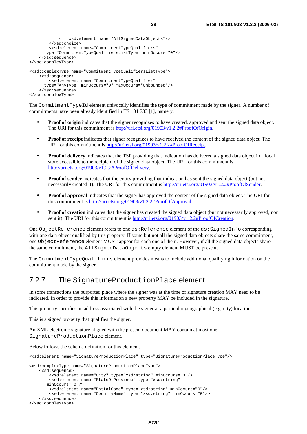```
 < xsd:element name="AllSignedDataObjects"/> 
         </xsd:choice> 
         <xsd:element name="CommitmentTypeQualifiers" 
       type="CommitmentTypeQualifiersListType" minOccurs="0"/> 
     </xsd:sequence> 
</xsd:complexType> 
<xsd:complexType name="CommitmentTypeQualifiersListType"> 
     <xsd:sequence> 
         <xsd:element name="CommitmentTypeQualifier" 
       type="AnyType" minOccurs="0" maxOccurs="unbounded"/> 
     </xsd:sequence> 
</xsd:complexType>
```
The CommitmentTypeId element univocally identifies the type of commitment made by the signer. A number of commitments have been already identified in TS 101 733 [1], namely:

- **Proof of origin** indicates that the signer recognizes to have created, approved and sent the signed data object. The URI for this commitment is [http://uri.etsi.org/01903/v1.2.2#ProofOfOrigin](http://uri.etsi.org/01903/v1.2.2).
- **Proof of receipt** indicates that signer recognizes to have received the content of the signed data object. The URI for this commitment is [http://uri.etsi.org/01903/v1.2.2#ProofOfReceipt.](http://uri.etsi.org/01903/v1.2.2)
- **Proof of delivery** indicates that the TSP providing that indication has delivered a signed data object in a local store accessible to the recipient of the signed data object. The URI for this commitment is [http://uri.etsi.org/01903/v1.2.2#ProofOfDelivery.](http://uri.etsi.org/01903/v1.2.2)
- **Proof of sender** indicates that the entity providing that indication has sent the signed data object (but not necessarily created it). The URI for this commitment is [http://uri.etsi.org/01903/v1.2.2#ProofOfSender](http://uri.etsi.org/01903/v1.2.2).
- **Proof of approval** indicates that the signer has approved the content of the signed data object. The URI for this commitment is [http://uri.etsi.org/01903/v1.2.2#ProofOfApproval.](http://uri.etsi.org/01903)
- **Proof of creation** indicates that the signer has created the signed data object (but not necessarily approved, nor sent it). The URI for this commitment is [http://uri.etsi.org/01903/v1.2.2#ProofOfCreation.](http://uri.etsi.org/01903/v1.2.2)

One ObjectReference element refers to one ds:Reference element of the ds:SignedInfo corresponding with one data object qualified by this property. If some but not all the signed data objects share the same commitment, one ObjectReference element MUST appear for each one of them. However, if all the signed data objects share the same commitment, the AllSignedDataObjects empty element MUST be present.

The CommitmentTypeQualifiers element provides means to include additional qualifying information on the commitment made by the signer.

### 7.2.7 The SignatureProductionPlace element

In some transactions the purported place where the signer was at the time of signature creation MAY need to be indicated. In order to provide this information a new property MAY be included in the signature.

This property specifies an address associated with the signer at a particular geographical (e.g. city) location.

This is a signed property that qualifies the signer.

An XML electronic signature aligned with the present document MAY contain at most one SignatureProductionPlace element.

Below follows the schema definition for this element.

```
<xsd:element name="SignatureProductionPlace" type="SignatureProductionPlaceType"/> 
<xsd:complexType name="SignatureProductionPlaceType"> 
     <xsd:sequence> 
         <xsd:element name="City" type="xsd:string" minOccurs="0"/> 
         <xsd:element name="StateOrProvince" type="xsd:string" 
        minOccurs="0"/> 
         <xsd:element name="PostalCode" type="xsd:string" minOccurs="0"/> 
         <xsd:element name="CountryName" type="xsd:string" minOccurs="0"/> 
     </xsd:sequence> 
</xsd:complexType>
```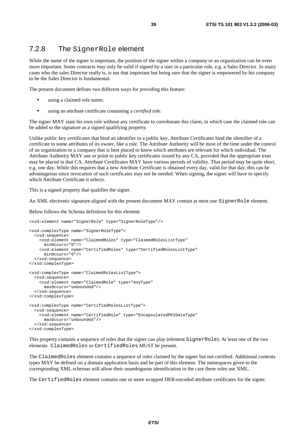### 7.2.8 The SignerRole element

While the name of the signer is important, the position of the signer within a company or an organization can be even more important. Some contracts may only be valid if signed by a user in a particular role, e.g. a Sales Director. In many cases who the sales Director really is, is not that important but being sure that the signer is empowered by his company to be the Sales Director is fundamental.

The present document defines two different ways for providing this feature:

- using a claimed role name;
- using an attribute certificate containing a *certified* role.

The signer MAY state his own role without any certificate to corroborate this claim, in which case the claimed role can be added to the signature as a signed qualifying property.

Unlike public key certificates that bind an identifier to a public key, Attribute Certificates bind the identifier of a certificate to some attributes of its owner, like a role. The Attribute Authority will be most of the time under the control of an organization or a company that is best placed to know which attributes are relevant for which individual. The Attribute Authority MAY use or point to public key certificates issued by any CA, provided that the appropriate trust may be placed in that CA. Attribute Certificates MAY have various periods of validity. That period may be quite short, e.g. one day. While this requires that a new Attribute Certificate is obtained every day, valid for that day, this can be advantageous since revocation of such certificates may not be needed. When signing, the signer will have to specify which Attribute Certificate it selects.

This is a signed property that qualifies the signer.

An XML electronic signature aligned with the present document MAY contain at most one SignerRole element.

Below follows the Schema definition for this element.

```
<xsd:element name="SignerRole" type="SignerRoleType"/> 
<xsd:complexType name="SignerRoleType"> 
   <xsd:sequence> 
     <xsd:element name="ClaimedRoles" type="ClaimedRolesListType" 
      minOccurs="0"/> 
     <xsd:element name="CertifiedRoles" type="CertifiedRolesListType" 
      minOccurs="0"/> 
   </xsd:sequence> 
</xsd:complexType> 
<xsd:complexType name="ClaimedRolesListType"> 
   <xsd:sequence> 
     <xsd:element name="ClaimedRole" type="AnyType" 
       maxOccurs="unbounded"/> 
   </xsd:sequence> 
</xsd:complexType> 
<xsd:complexType name="CertifiedRolesListType"> 
   <xsd:sequence> 
     <xsd:element name="CertifiedRole" type="EncapsulatedPKIDataType" 
      maxOccurs="unbounded"/> 
   </xsd:sequence> 
</xsd:complexType>
```
This property contains a sequence of roles that the signer can play (element SignerRole). At least one of the two elements ClaimedRoles or CertifiedRoles MUST be present.

The ClaimedRoles element contains a sequence of roles claimed by the signer but not certified. Additional contents types MAY be defined on a domain application basis and be part of this element. The namespaces given to the corresponding XML schemas will allow their unambiguous identification in the case these roles use XML.

The CertifiedRoles element contains one or more wrapped DER-encoded attribute certificates for the signer.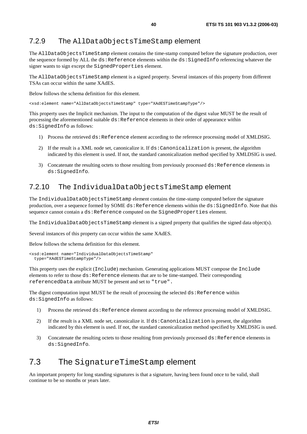### 7.2.9 The AllDataObjectsTimeStamp element

The AllDataObjectsTimeStamp element contains the time-stamp computed before the signature production, over the sequence formed by ALL the ds:Reference elements within the ds:SignedInfo referencing whatever the signer wants to sign except the SignedProperties element.

The AllDataObjectsTimeStamp element is a signed property. Several instances of this property from different TSAs can occur within the same XAdES.

Below follows the schema definition for this element.

<xsd:element name="AllDataObjectsTimeStamp" type="XAdESTimeStampType"/>

This property uses the Implicit mechanism. The input to the computation of the digest value MUST be the result of processing the aforementioned suitable ds:Reference elements in their order of appearance within ds:SignedInfo as follows:

- 1) Process the retrieved ds:Reference element according to the reference processing model of XMLDSIG.
- 2) If the result is a XML node set, canonicalize it. If ds:Canonicalization is present, the algorithm indicated by this element is used. If not, the standard canonicalization method specified by XMLDSIG is used.
- 3) Concatenate the resulting octets to those resulting from previously processed ds:Reference elements in ds:SignedInfo.

### 7.2.10 The IndividualDataObjectsTimeStamp element

The IndividualDataObjectsTimeStamp element contains the time-stamp computed before the signature production, over a sequence formed by SOME ds:Reference elements within the ds:SignedInfo. Note that this sequence cannot contain a ds:Reference computed on the SignedProperties element.

The IndividualDataObjectsTimeStamp element is a signed property that qualifies the signed data object(s).

Several instances of this property can occur within the same XAdES.

Below follows the schema definition for this element.

```
<xsd:element name="IndividualDataObjectsTimeStamp" 
  type="XAdESTimeStampType"/>
```
This property uses the explicit (Include) mechanism. Generating applications MUST compose the Include elements to refer to those ds:Reference elements that are to be time-stamped. Their corresponding referencedData attribute MUST be present and set to "true".

The digest computation input MUST be the result of processing the selected  $ds$ :Reference within ds:SignedInfo as follows:

- 1) Process the retrieved ds:Reference element according to the reference processing model of XMLDSIG.
- 2) If the result is a XML node set, canonicalize it. If ds: Canonicalization is present, the algorithm indicated by this element is used. If not, the standard canonicalization method specified by XMLDSIG is used.
- 3) Concatenate the resulting octets to those resulting from previously processed ds:Reference elements in ds:SignedInfo.

## 7.3 The SignatureTimeStamp element

An important property for long standing signatures is that a signature, having been found once to be valid, shall continue to be so months or years later.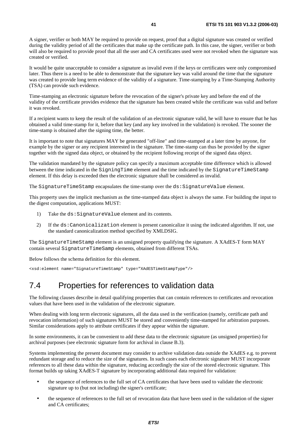A signer, verifier or both MAY be required to provide on request, proof that a digital signature was created or verified during the validity period of all the certificates that make up the certificate path. In this case, the signer, verifier or both will also be required to provide proof that all the user and CA certificates used were not revoked when the signature was created or verified.

It would be quite unacceptable to consider a signature as invalid even if the keys or certificates were only compromised later. Thus there is a need to be able to demonstrate that the signature key was valid around the time that the signature was created to provide long term evidence of the validity of a signature. Time-stamping by a Time-Stamping Authority (TSA) can provide such evidence.

Time-stamping an electronic signature before the revocation of the signer's private key and before the end of the validity of the certificate provides evidence that the signature has been created while the certificate was valid and before it was revoked.

If a recipient wants to keep the result of the validation of an electronic signature valid, he will have to ensure that he has obtained a valid time-stamp for it, before that key (and any key involved in the validation) is revoked. The sooner the time-stamp is obtained after the signing time, the better.

It is important to note that signatures MAY be generated "off-line" and time-stamped at a later time by anyone, for example by the signer or any recipient interested in the signature. The time-stamp can thus be provided by the signer together with the signed data object, or obtained by the recipient following receipt of the signed data object.

The validation mandated by the signature policy can specify a maximum acceptable time difference which is allowed between the time indicated in the SigningTime element and the time indicated by the SignatureTimeStamp element. If this delay is exceeded then the electronic signature shall be considered as invalid.

The SignatureTimeStamp encapsulates the time-stamp over the ds:SignatureValue element.

This property uses the implicit mechanism as the time-stamped data object is always the same. For building the input to the digest computation, applications MUST:

- 1) Take the ds: SignatureValue element and its contents.
- 2) If the ds:Canonicalization element is present canonicalize it using the indicated algorithm. If not, use the standard canonicalization method specified by XMLDSIG.

The SignatureTimeStamp element is an unsigned property qualifying the signature. A XAdES-T form MAY contain several SignatureTimeSamp elements, obtained from different TSAs.

Below follows the schema definition for this element.

<xsd:element name="SignatureTimeStamp" type="XAdESTimeStampType"/>

### 7.4 Properties for references to validation data

The following clauses describe in detail qualifying properties that can contain references to certificates and revocation values that have been used in the validation of the electronic signature.

When dealing with long term electronic signatures, all the data used in the verification (namely, certificate path and revocation information) of such signatures MUST be stored and conveniently time-stamped for arbitration purposes. Similar considerations apply to attribute certificates if they appear within the signature.

In some environments, it can be convenient to add these data to the electronic signature (as unsigned properties) for archival purposes (see electronic signature form for archival in clause B.3).

Systems implementing the present document may consider to archive validation data outside the XAdES e.g. to prevent redundant storage and to reduce the size of the signatures. In such cases each electronic signature MUST incorporate references to all these data within the signature, reducing accordingly the size of the stored electronic signature. This format builds up taking XAdES-T signature by incorporating additional data required for validation:

- the sequence of references to the full set of CA certificates that have been used to validate the electronic signature up to (but not including) the signer's certificate;
- the sequence of references to the full set of revocation data that have been used in the validation of the signer and CA certificates;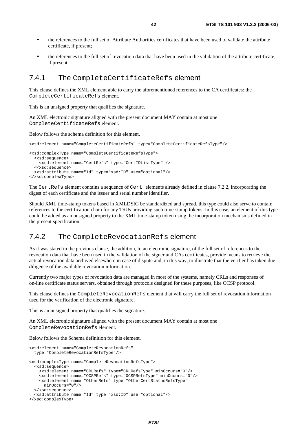- the references to the full set of Attribute Authorities certificates that have been used to validate the attribute certificate, if present;
- the references to the full set of revocation data that have been used in the validation of the attribute certificate, if present.

### 7.4.1 The CompleteCertificateRefs element

This clause defines the XML element able to carry the aforementioned references to the CA certificates: the CompleteCertificateRefs element.

This is an unsigned property that qualifies the signature.

An XML electronic signature aligned with the present document MAY contain at most one CompleteCertificateRefs element.

Below follows the schema definition for this element.

<xsd:element name="CompleteCertificateRefs" type="CompleteCertificateRefsType"/>

```
<xsd:complexType name="CompleteCertificateRefsType"> 
   <xsd:sequence> 
     <xsd:element name="CertRefs" type="CertIDListType" /> 
   </xsd:sequence> 
   <xsd:attribute name="Id" type="xsd:ID" use="optional"/> 
</xsd:complexType>
```
The CertRefs element contains a sequence of Cert elements already defined in clause 7.2.2, incorporating the digest of each certificate and the issuer and serial number identifier.

Should XML time-stamp tokens based in XMLDSIG be standardized and spread, this type could also serve to contain references to the certification chain for any TSUs providing such time-stamp tokens. In this case, an element of this type could be added as an unsigned property to the XML time-stamp token using the incorporation mechanisms defined in the present specification.

### 7.4.2 The CompleteRevocationRefs element

As it was stated in the previous clause, the addition, to an electronic signature, of the full set of references to the revocation data that have been used in the validation of the signer and CAs certificates, provide means to retrieve the actual revocation data archived elsewhere in case of dispute and, in this way, to illustrate that the verifier has taken due diligence of the available revocation information.

Currently two major types of revocation data are managed in most of the systems, namely CRLs and responses of on-line certificate status servers, obtained through protocols designed for these purposes, like OCSP protocol.

This clause defines the CompleteRevocationRefs element that will carry the full set of revocation information used for the verification of the electronic signature.

This is an unsigned property that qualifies the signature.

An XML electronic signature aligned with the present document MAY contain at most one CompleteRevocationRefs element.

Below follows the Schema definition for this element.

```
<xsd:element name="CompleteRevocationRefs" 
   type="CompleteRevocationRefsType"/> 
<xsd:complexType name="CompleteRevocationRefsType"> 
   <xsd:sequence> 
     <xsd:element name="CRLRefs" type="CRLRefsType" minOccurs="0"/> 
     <xsd:element name="OCSPRefs" type="OCSPRefsType" minOccurs="0"/> 
     <xsd:element name="OtherRefs" type="OtherCertStatusRefsType" 
      minOccurs="0"/> 
   </xsd:sequence> 
   <xsd:attribute name="Id" type="xsd:ID" use="optional"/> 
</xsd:complexType>
```

```
ETSI
```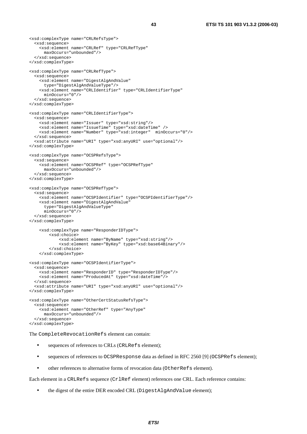```
<xsd:complexType name="CRLRefsType"> 
   <xsd:sequence> 
     <xsd:element name="CRLRef" type="CRLRefType" 
       maxOccurs="unbounded"/> 
   </xsd:sequence> 
</xsd:complexType> 
<xsd:complexType name="CRLRefType"> 
   <xsd:sequence> 
     <xsd:element name="DigestAlgAndValue" 
      type="DigestAlgAndValueType"/> 
     <xsd:element name="CRLIdentifier" type="CRLIdentifierType" 
      minOccurs="0"/> 
   </xsd:sequence> 
</xsd:complexType> 
<xsd:complexType name="CRLIdentifierType"> 
   <xsd:sequence> 
     <xsd:element name="Issuer" type="xsd:string"/> 
     <xsd:element name="IssueTime" type="xsd:dateTime" /> 
     <xsd:element name="Number" type="xsd:integer" minOccurs="0"/> 
   </xsd:sequence> 
   <xsd:attribute name="URI" type="xsd:anyURI" use="optional"/> 
</xsd:complexType> 
<xsd:complexType name="OCSPRefsType"> 
   <xsd:sequence> 
     <xsd:element name="OCSPRef" type="OCSPRefType" 
      maxOccurs="unbounded"/> 
   </xsd:sequence> 
</xsd:complexType> 
<xsd:complexType name="OCSPRefType"> 
   <xsd:sequence> 
     <xsd:element name="OCSPIdentifier" type="OCSPIdentifierType"/> 
     <xsd:element name="DigestAlgAndValue" 
      type="DigestAlgAndValueType" 
       minOccurs="0"/> 
   </xsd:sequence> 
</xsd:complexType> 
     <xsd:complexType name="ResponderIDType"> 
         <xsd:choice> 
             <xsd:element name="ByName" type="xsd:string"/> 
             <xsd:element name="ByKey" type="xsd:base64Binary"/> 
         </xsd:choice> 
     </xsd:complexType> 
<xsd:complexType name="OCSPIdentifierType"> 
   <xsd:sequence> 
 <xsd:element name="ResponderID" type="ResponderIDType"/> 
 <xsd:element name="ProducedAt" type="xsd:dateTime"/> 
   </xsd:sequence> 
   <xsd:attribute name="URI" type="xsd:anyURI" use="optional"/> 
</xsd:complexType> 
<xsd:complexType name="OtherCertStatusRefsType"> 
   <xsd:sequence> 
     <xsd:element name="OtherRef" type="AnyType" 
      maxOccurs="unbounded"/> 
   </xsd:sequence> 
</xsd:complexType>
```
The CompleteRevocationRefs element can contain:

- sequences of references to CRLs (CRLRefs element);
- sequences of references to OCSPResponse data as defined in RFC 2560 [9] (OCSPRefs element);
- other references to alternative forms of revocation data (OtherRefs element).

Each element in a CRLRefs sequence (CrlRef element) references one CRL. Each reference contains:

• the digest of the entire DER encoded CRL (DigestAlgAndValue element);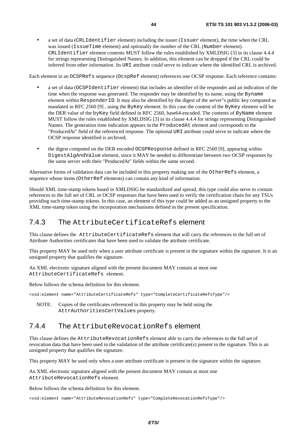• a set of data (CRLIdentifier element) including the issuer (Issuer element), the time when the CRL was issued (IssueTime element) and optionally the number of the CRL (Number element). CRLIdentifier element contents MUST follow the rules established by XMLDSIG [3] in its clause 4.4.4 for strings representing Distinguished Names. In addition, this element can be dropped if the CRL could be inferred from other information. Its URI attribute could serve to indicate where the identified CRL is archived.

Each element in an OCSPRefs sequence (OcspRef element) references one OCSP response. Each reference contains:

- a set of data (OCSPIdentifier element) that includes an identifier of the responder and an indication of the time when the response was generated. The responder may be identified by its name, using the Byname element within ResponderID. It may also be identified by the digest of the server"s public key computed as mandated in RFC 2560 [9] , using the ByKey element. In this case the content of the ByKey element will be the DER value of the byKey field defined in RFC 2560, base64-encoded. The contents of ByName element MUST follow the rules established by XMLDSIG [3] in its clause 4.4.4 for strings representing Distinguished Names. The generation time indication appears in the ProducedAt element and corresponds to the "ProducedAt" field of the referenced response. The optional URI attribute could serve to indicate where the OCSP response identified is archived;
- the digest computed on the DER encoded OCSPResponse defined in RFC 2560 [9], appearing within DigestAlgAndValue element, since it MAY be needed to differentiate between two OCSP responses by the same server with their "ProducedAt" fields within the same second.

Alternative forms of validation data can be included in this property making use of the OtherRefs element, a sequence whose items (OtherRef elements) can contain any kind of information.

Should XML time-stamp tokens based in XMLDSIG be standardized and spread, this type could also serve to contain references to the full set of CRL or OCSP responses that have been used to verify the certification chain for any TSUs providing such time-stamp tokens. In this case, an element of this type could be added as an unsigned property to the XML time-stamp token using the incorporation mechanisms defined in the present specification.

### 7.4.3 The AttributeCertificateRefs element

This clause defines the AttributeCertificateRefs element that will carry the references to the full set of Attribute Authorities certificates that have been used to validate the attribute certificate.

This property MAY be used only when a user attribute certificate is present in the signature within the signature. It is an unsigned property that qualifies the signature.

An XML electronic signature aligned with the present document MAY contain at most one AttributeCertificateRefs element.

Below follows the schema definition for this element.

<xsd:element name="AttributeCertificateRefs" type="CompleteCertificateRefsType"/>

NOTE: Copies of the certificates referenced in this property may be held using the AttrAuthoritiesCertValues property.

### 7.4.4 The AttributeRevocationRefs element

This clause defines the AttributeRevocationRefs element able to carry the references to the full set of revocation data that have been used in the validation of the attribute certificate(s) present in the signature. This is an unsigned property that qualifies the signature.

This property MAY be used only when a user attribute certificate is present in the signature within the signature.

An XML electronic signature aligned with the present document MAY contain at most one AttributeRevocationRefs element.

Below follows the schema definition for this element.

<xsd:element name="AttributeRevocationRefs" type="CompleteRevocationRefsType"/>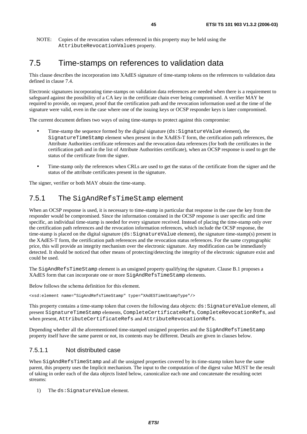NOTE: Copies of the revocation values referenced in this property may be held using the AttributeRevocationValues property.

## 7.5 Time-stamps on references to validation data

This clause describes the incorporation into XAdES signature of time-stamp tokens on the references to validation data defined in clause 7.4.

Electronic signatures incorporating time-stamps on validation data references are needed when there is a requirement to safeguard against the possibility of a CA key in the certificate chain ever being compromised. A verifier MAY be required to provide, on request, proof that the certification path and the revocation information used at the time of the signature were valid, even in the case where one of the issuing keys or OCSP responder keys is later compromised.

The current document defines two ways of using time-stamps to protect against this compromise:

- Time-stamp the sequence formed by the digital signature (ds: SignatureValue element), the SignatureTimeStamp element when present in the XAdES-T form, the certification path references, the Attribute Authorities certificate references and the revocation data references (for both the certificates in the certification path and in the list of Attribute Authorities certificate), when an OCSP response is used to get the status of the certificate from the signer.
- Time-stamp only the references when CRLs are used to get the status of the certificate from the signer and the status of the attribute certificates present in the signature.

The signer, verifier or both MAY obtain the time-stamp.

### 7.5.1 The SigAndRefsTimeStamp element

When an OCSP response is used, it is necessary to time-stamp in particular that response in the case the key from the responder would be compromised. Since the information contained in the OCSP response is user specific and time specific, an individual time-stamp is needed for every signature received. Instead of placing the time-stamp only over the certification path references and the revocation information references, which include the OCSP response, the time-stamp is placed on the digital signature (ds: SignatureValue element), the signature time-stamp(s) present in the XAdES-T form, the certification path references and the revocation status references. For the same cryptographic price, this will provide an integrity mechanism over the electronic signature. Any modification can be immediately detected. It should be noticed that other means of protecting/detecting the integrity of the electronic signature exist and could be used.

The SigAndRefsTimeStamp element is an unsigned property qualifying the signature. Clause B.1 proposes a XAdES form that can incorporate one or more SigAndRefsTimeStamp elements.

Below follows the schema definition for this element.

<xsd:element name="SigAndRefsTimeStamp" type="XAdESTimeStampType"/>

This property contains a time-stamp token that covers the following data objects: ds:SignatureValue element, all present SignatureTimeStamp elements, CompleteCertificateRefs, CompleteRevocationRefs, and when present, AttributeCertificateRefs and AttributeRevocationRefs.

Depending whether all the aforementioned time-stamped unsigned properties and the SigAndRefsTimeStamp property itself have the same parent or not, its contents may be different. Details are given in clauses below.

#### 7.5.1.1 Not distributed case

When SigAndRefsTimeStamp and all the unsigned properties covered by its time-stamp token have the same parent, this property uses the Implicit mechanism. The input to the computation of the digest value MUST be the result of taking in order each of the data objects listed below, canonicalize each one and concatenate the resulting octet streams:

1) The ds:SignatureValue element.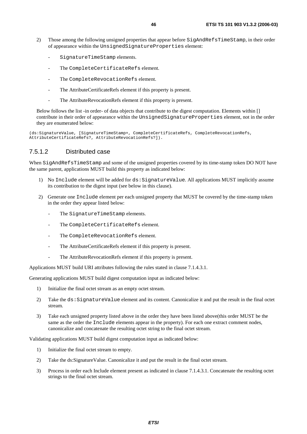- 2) Those among the following unsigned properties that appear before SigAndRefsTimeStamp, in their order of appearance within the UnsignedSignatureProperties element:
	- SignatureTimeStamp elements.
	- The CompleteCertificateRefs element.
	- The CompleteRevocationRefs element.
	- The AttributeCertificateRefs element if this property is present.
	- The AttributeRevocationRefs element if this property is present.

Below follows the list -in order- of data objects that contribute to the digest computation. Elements within [] contribute in their order of appearance within the UnsignedSignatureProperties element, not in the order they are enumerated below:

```
(ds:SignatureValue, [SignatureTimeStamp+, CompleteCertificateRefs, CompleteRevocationRefs, 
AttributeCertificateRefs?, AttributeRevocationRefs?]).
```
#### 7.5.1.2 Distributed case

When SigAndRefsTimeStamp and some of the unsigned properties covered by its time-stamp token DO NOT have the same parent, applications MUST build this property as indicated below:

- 1) No Include element will be added for ds:SignatureValue. All applications MUST implicitly assume its contribution to the digest input (see below in this clause).
- 2) Generate one Include element per each unsigned property that MUST be covered by the time-stamp token in the order they appear listed below:
	- The SignatureTimeStamp elements.
	- The CompleteCertificateRefs element.
	- The CompleteRevocationRefs element.
	- The AttributeCertificateRefs element if this property is present.
	- The AttributeRevocationRefs element if this property is present.

Applications MUST build URI attributes following the rules stated in clause 7.1.4.3.1.

Generating applications MUST build digest computation input as indicated below:

- 1) Initialize the final octet stream as an empty octet stream.
- 2) Take the ds:SignatureValue element and its content. Canonicalize it and put the result in the final octet stream.
- 3) Take each unsigned property listed above in the order they have been listed above(this order MUST be the same as the order the Include elements appear in the property). For each one extract comment nodes, canonicalize and concatenate the resulting octet string to the final octet stream.

Validating applications MUST build digest computation input as indicated below:

- 1) Initialize the final octet stream to empty.
- 2) Take the ds:SignatureValue. Canonicalize it and put the result in the final octet stream.
- 3) Process in order each Include element present as indicated in clause 7.1.4.3.1. Concatenate the resulting octet strings to the final octet stream.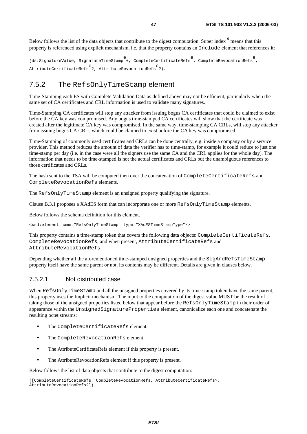Below follows the list of the data objects that contribute to the digest computation. Super index  $e^{e}$  means that this property is referenced using explicit mechanism, i.e. that the property contains an Include element that references it:

e<br>ds:SignatureValue, SignatureTimeStamp +, CompleteCertificateRefs , CompleteRevocationRefs , AttributeCertificateRefse ?, AttributeRevocationRefse ?).

### 7.5.2 The RefsOnlyTimeStamp element

Time-Stamping each ES with Complete Validation Data as defined above may not be efficient, particularly when the same set of CA certificates and CRL information is used to validate many signatures.

Time-Stamping CA certificates will stop any attacker from issuing bogus CA certificates that could be claimed to exist before the CA key was compromised. Any bogus time-stamped CA certificates will show that the certificate was created after the legitimate CA key was compromised. In the same way, time-stamping CA CRLs, will stop any attacker from issuing bogus CA CRLs which could be claimed to exist before the CA key was compromised.

Time-Stamping of commonly used certificates and CRLs can be done centrally, e.g. inside a company or by a service provider. This method reduces the amount of data the verifier has to time-stamp, for example it could reduce to just one time-stamp per day (i.e. in the case were all the signers use the same CA and the CRL applies for the whole day). The information that needs to be time-stamped is not the actual certificates and CRLs but the unambiguous references to those certificates and CRLs.

The hash sent to the TSA will be computed then over the concatenation of CompleteCertificateRefs and CompleteRevocationRefs elements.

The RefsOnlyTimeStamp element is an unsigned property qualifying the signature.

Clause B.3.1 proposes a XAdES form that can incorporate one or more RefsOnlyTimeStamp elements.

Below follows the schema definition for this element.

<xsd:element name="RefsOnlyTimeStamp" type="XAdESTimeStampType"/>

This property contains a time-stamp token that covers the following data objects: CompleteCertificateRefs, CompleteRevocationRefs, and when present, AttributeCertificateRefs and AttributeRevocationRefs.

Depending whether all the aforementioned time-stamped unsigned properties and the SigAndRefsTimeStamp property itself have the same parent or not, its contents may be different. Details are given in clauses below.

#### 7.5.2.1 Not distributed case

When RefsOnlyTimeStamp and all the unsigned properties covered by its time-stamp token have the same parent, this property uses the Implicit mechanism. The input to the computation of the digest value MUST be the result of taking those of the unsigned properties listed below that appear before the RefsOnlyTimeStamp in their order of appearance within the UnsignedSignatureProperties element, canonicalize each one and concatenate the resulting octet streams:

- The CompleteCertificateRefs element.
- The CompleteRevocationRefs element.
- The AttributeCertificateRefs element if this property is present.
- The AttributeRevocationRefs element if this property is present.

Below follows the list of data objects that contribute to the digest computation:

```
([CompleteCertificateRefs, CompleteRevocationRefs, AttributeCertificateRefs?, 
AttributeRevocationRefs?]).
```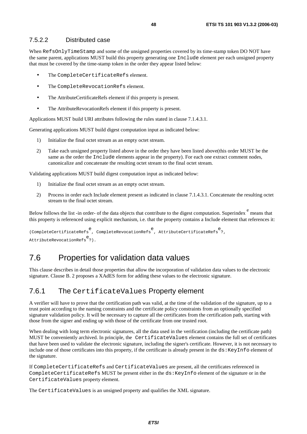### 7.5.2.2 Distributed case

When RefsOnlyTimeStamp and some of the unsigned properties covered by its time-stamp token DO NOT have the same parent, applications MUST build this property generating one Include element per each unsigned property that must be covered by the time-stamp token in the order they appear listed below:

- The CompleteCertificateRefs element.
- The CompleteRevocationRefs element.
- The AttributeCertificateRefs element if this property is present.
- The AttributeRevocationRefs element if this property is present.

Applications MUST build URI attributes following the rules stated in clause 7.1.4.3.1.

Generating applications MUST build digest computation input as indicated below:

- 1) Initialize the final octet stream as an empty octet stream.
- 2) Take each unsigned property listed above in the order they have been listed above(this order MUST be the same as the order the Include elements appear in the property). For each one extract comment nodes, canonicalize and concatenate the resulting octet stream to the final octet stream.

Validating applications MUST build digest computation input as indicated below:

- 1) Initialize the final octet stream as an empty octet stream.
- 2) Process in order each Include element present as indicated in clause 7.1.4.3.1. Concatenate the resulting octet stream to the final octet stream.

Below follows the list -in order- of the data objects that contribute to the digest computation. Superindex  $e^{\text{e}}$  means that this property is referenced using explicit mechanism, i.e. that the property contains a Include element that references it:

```
e<br>(CompleteCertificateRefs , CompleteRevocationRefs , AttributeCertificateRefs ?,
AttributeRevocationRefse
?).
```
## 7.6 Properties for validation data values

This clause describes in detail those properties that allow the incorporation of validation data values to the electronic signature. Clause B. 2 proposes a XAdES form for adding these values to the electronic signature.

### 7.6.1 The CertificateValues Property element

A verifier will have to prove that the certification path was valid, at the time of the validation of the signature, up to a trust point according to the naming constraints and the certificate policy constraints from an optionally specified signature validation policy. It will be necessary to capture all the certificates from the certification path, starting with those from the signer and ending up with those of the certificate from one trusted root.

When dealing with long term electronic signatures, all the data used in the verification (including the certificate path) MUST be conveniently archived. In principle, the CertificateValues element contains the full set of certificates that have been used to validate the electronic signature, including the signer's certificate. However, it is not necessary to include one of those certificates into this property, if the certificate is already present in the ds:KeyInfo element of the signature.

If CompleteCertificateRefs and CertificateValues are present, all the certificates referenced in CompleteCertificateRefs MUST be present either in the ds:KeyInfo element of the signature or in the CertificateValues property element.

The CertificateValues is an unsigned property and qualifies the XML signature.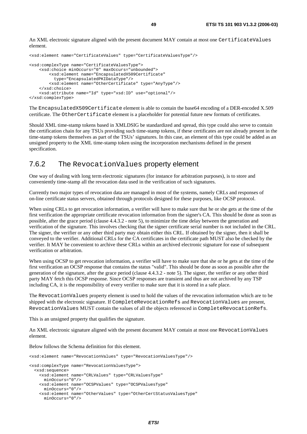An XML electronic signature aligned with the present document MAY contain at most one CertificateValues element.

```
<xsd:element name="CertificateValues" type="CertificateValuesType"/> 
<xsd:complexType name="CertificateValuesType"> 
     <xsd:choice minOccurs="0" maxOccurs="unbounded"> 
         <xsd:element name="EncapsulatedX509Certificate" 
           type="EncapsulatedPKIDataType"/> 
         <xsd:element name="OtherCertificate" type="AnyType"/> 
     </xsd:choice> 
     <xsd:attribute name="Id" type="xsd:ID" use="optional"/> 
</xsd:complexType>
```
The EncapsulatedX509Certificate element is able to contain the base64 encoding of a DER-encoded X.509 certificate. The OtherCertificate element is a placeholder for potential future new formats of certificates.

Should XML time-stamp tokens based in XMLDSIG be standardized and spread, this type could also serve to contain the certification chain for any TSUs providing such time-stamp tokens, if these certificates are not already present in the time-stamp tokens themselves as part of the TSUs' signatures. In this case, an element of this type could be added as an unsigned property to the XML time-stamp token using the incorporation mechanisms defined in the present specification.

### 7.6.2 The RevocationValues property element

One way of dealing with long term electronic signatures (for instance for arbitration purposes), is to store and conveniently time-stamp all the revocation data used in the verification of such signatures.

Currently two major types of revocation data are managed in most of the systems, namely CRLs and responses of on-line certificate status servers, obtained through protocols designed for these purposes, like OCSP protocol.

When using CRLs to get revocation information, a verifier will have to make sure that he or she gets at the time of the first verification the appropriate certificate revocation information from the signer's CA. This should be done as soon as possible, after the grace period (clause 4.4.3.2 - note 5), to minimize the time delay between the generation and verification of the signature. This involves checking that the signer certificate serial number is not included in the CRL. The signer, the verifier or any other third party may obtain either this CRL. If obtained by the signer, then it shall be conveyed to the verifier. Additional CRLs for the CA certificates in the certificate path MUST also be checked by the verifier. It MAY be convenient to archive these CRLs within an archived electronic signature for ease of subsequent verification or arbitration.

When using OCSP to get revocation information, a verifier will have to make sure that she or he gets at the time of the first verification an OCSP response that contains the status "valid". This should be done as soon as possible after the generation of the signature, after the grace period (clause 4.4.3.2 - note 5). The signer, the verifier or any other third party MAY fetch this OCSP response. Since OCSP responses are transient and thus are not archived by any TSP including CA, it is the responsibility of every verifier to make sure that it is stored in a safe place.

The RevocationValues property element is used to hold the values of the revocation information which are to be shipped with the electronic signature. If CompleteRevocationRefs and RevocationValues are present, RevocationValues MUST contain the values of all the objects referenced in CompleteRevocationRefs.

This is an unsigned property that qualifies the signature.

An XML electronic signature aligned with the present document MAY contain at most one RevocationValues element.

Below follows the Schema definition for this element.

```
<xsd:element name="RevocationValues" type="RevocationValuesType"/> 
<xsd:complexType name="RevocationValuesType"> 
   <xsd:sequence> 
     <xsd:element name="CRLValues" type="CRLValuesType" 
       minOccurs="0"/> 
     <xsd:element name="OCSPValues" type="OCSPValuesType" 
       minOccurs="0"/> 
     <xsd:element name="OtherValues" type="OtherCertStatusValuesType" 
       minOccurs="0"/>
```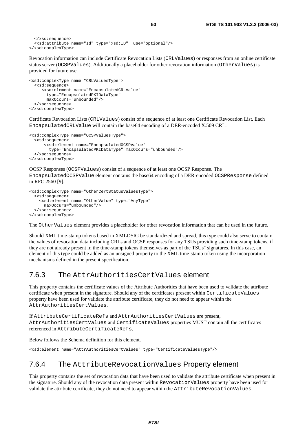```
 </xsd:sequence> 
   <xsd:attribute name="Id" type="xsd:ID" use="optional"/> 
</xsd:complexType>
```
Revocation information can include Certificate Revocation Lists (CRLValues) or responses from an online certificate status server (OCSPValues). Additionally a placeholder for other revocation information (OtherValues) is provided for future use.

```
<xsd:complexType name="CRLValuesType"> 
   <xsd:sequence> 
      <xsd:element name="EncapsulatedCRLValue" 
        type="EncapsulatedPKIDataType" 
        maxOccurs="unbounded"/> 
   </xsd:sequence> 
</xsd:complexType>
```
Certificate Revocation Lists (CRLValues) consist of a sequence of at least one Certificate Revocation List. Each EncapsulatedCRLValue will contain the base64 encoding of a DER-encoded X.509 CRL.

```
<xsd:complexType name="OCSPValuesType"> 
   <xsd:sequence> 
       <xsd:element name="EncapsulatedOCSPValue" 
        type="EncapsulatedPKIDataType" maxOccurs="unbounded"/> 
   </xsd:sequence> 
</xsd:complexType>
```
OCSP Responses (OCSPValues) consist of a sequence of at least one OCSP Response. The EncapsulatedOCSPValue element contains the base64 encoding of a DER-encoded OCSPResponse defined in RFC 2560 [9].

```
<xsd:complexType name="OtherCertStatusValuesType"> 
   <xsd:sequence> 
     <xsd:element name="OtherValue" type="AnyType" 
       maxOccurs="unbounded"/> 
   </xsd:sequence> 
</xsd:complexType>
```
The OtherValues element provides a placeholder for other revocation information that can be used in the future.

Should XML time-stamp tokens based in XMLDSIG be standardized and spread, this type could also serve to contain the values of revocation data including CRLs and OCSP responses for any TSUs providing such time-stamp tokens, if they are not already present in the time-stamp tokens themselves as part of the TSUs" signatures. In this case, an element of this type could be added as an unsigned property to the XML time-stamp token using the incorporation mechanisms defined in the present specification.

### 7.6.3 The AttrAuthoritiesCertValues element

This property contains the certificate values of the Attribute Authorities that have been used to validate the attribute certificate when present in the signature. Should any of the certificates present within CertificateValues property have been used for validate the attribute certificate, they do not need to appear within the AttrAuthoritiesCertValues.

If AttributeCertificateRefs and AttrAuthoritiesCertValues are present, AttrAuthoritiesCertValues and CertificateValues properties MUST contain all the certificates referenced in AttributeCertificateRefs.

Below follows the Schema definition for this element.

<xsd:element name="AttrAuthoritiesCertValues" type="CertificateValuesType"/>

### 7.6.4 The AttributeRevocationValues Property element

This property contains the set of revocation data that have been used to validate the attribute certificate when present in the signature. Should any of the revocation data present within RevocationValues property have been used for validate the attribute certificate, they do not need to appear within the AttributeRevocationValues.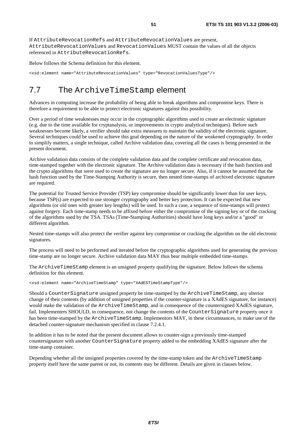If AttributeRevocationRefs and AttributeRevocationValues are present, AttributeRevocationValues and RevocationValues MUST contain the values of all the objects referenced in AttributeRevocationRefs.

Below follows the Schema definition for this element.

<xsd:element name="AttributeRevocationValues" type="RevocationValuesType"/>

## 7.7 The ArchiveTimeStamp element

Advances in computing increase the probability of being able to break algorithms and compromise keys. There is therefore a requirement to be able to protect electronic signatures against this possibility.

Over a period of time weaknesses may occur in the cryptographic algorithms used to create an electronic signature (e.g. due to the time available for cryptanalysis, or improvements in crypto analytical techniques). Before such weaknesses become likely, a verifier should take extra measures to maintain the validity of the electronic signature. Several techniques could be used to achieve this goal depending on the nature of the weakened cryptography. In order to simplify matters, a single technique, called Archive validation data, covering all the cases is being presented in the present document.

Archive validation data consists of the complete validation data and the complete certificate and revocation data, time-stamped together with the electronic signature. The Archive validation data is necessary if the hash function and the crypto algorithms that were used to create the signature are no longer secure. Also, if it cannot be assumed that the hash function used by the Time-Stamping Authority is secure, then nested time-stamps of archived electronic signature are required.

The potential for Trusted Service Provider (TSP) key compromise should be significantly lower than for user keys, because TSP(s) are expected to use stronger cryptography and better key protection. It can be expected that new algorithms (or old ones with greater key lengths) will be used. In such a case, a sequence of time-stamps will protect against forgery. Each time-stamp needs to be affixed before either the compromise of the signing key or of the cracking of the algorithms used by the TSA. TSAs (Time-Stamping Authorities) should have long keys and/or a "good" or different algorithm.

Nested time-stamps will also protect the verifier against key compromise or cracking the algorithm on the old electronic signatures.

The process will need to be performed and iterated before the cryptographic algorithms used for generating the previous time-stamp are no longer secure. Archive validation data MAY thus bear multiple embedded time-stamps.

The ArchiveTimeStamp element is an unsigned property qualifying the signature. Below follows the schema definition for this element.

<xsd:element name="ArchiveTimeStamp" type="XAdESTimeStampType"/>

Should a CounterSignature unsigned property be time-stamped by the ArchiveTimeStamp, any ulterior change of their contents (by addition of unsigned properties if the counter-signature is a XAdES signature, for instance) would make the validation of the ArchiveTimeStamp, and in consequence of the countersigned XAdES signature, fail. Implementers SHOULD, in consequence, not change the contents of the CounterSignature property once it has been time-stamped by the ArchiveTimeStamp. Implementors MAY, in these circumstances, to make use of the detached counter-signature mechanism specified in clause 7.2.4.1.

In addition it has to be noted that the present document allows to counter-sign a previously time-stamped countersignature with another CounterSignature property added to the embedding XAdES signature after the time-stamp container.

Depending whether all the unsigned properties covered by the time-stamp token and the ArchiveTimeStamp property itself have the same parent or not, its contents may be different. Details are given in clauses below.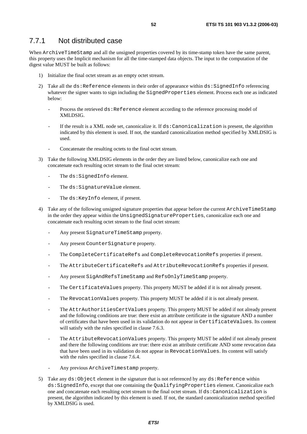### 7.7.1 Not distributed case

When ArchiveTimeStamp and all the unsigned properties covered by its time-stamp token have the same parent, this property uses the Implicit mechanism for all the time-stamped data objects. The input to the computation of the digest value MUST be built as follows:

- 1) Initialize the final octet stream as an empty octet stream.
- 2) Take all the ds: Reference elements in their order of appearance within ds: SignedInfo referencing whatever the signer wants to sign including the SignedProperties element. Process each one as indicated below:
	- Process the retrieved ds: Reference element according to the reference processing model of XMLDSIG.
	- If the result is a XML node set, canonicalize it. If ds: Canonicalization is present, the algorithm indicated by this element is used. If not, the standard canonicalization method specified by XMLDSIG is used.
	- Concatenate the resulting octets to the final octet stream.
- 3) Take the following XMLDSIG elements in the order they are listed below, canonicalize each one and concatenate each resulting octet stream to the final octet stream:
	- The ds:SignedInfo element.
	- The ds: SignatureValue element.
	- The ds: KeyInfo element, if present.
- 4) Take any of the following unsigned signature properties that appear before the current ArchiveTimeStamp in the order they appear within the UnsignedSignatureProperties, canonicalize each one and concatenate each resulting octet stream to the final octet stream:
	- Any present SignatureTimeStamp property.
	- Any present CounterSignature property.
	- The CompleteCertificateRefs and CompleteRevocationRefs properties if present.
	- The AttributeCertificateRefs and AttributeRevocationRefs properties if present.
	- Any present SigAndRefsTimeStamp and RefsOnlyTimeStamp property.
	- The CertificateValues property. This property MUST be added if it is not already present.
	- The RevocationValues property. This property MUST be added if it is not already present.
	- The AttrAuthoritiesCertValues property. This property MUST be added if not already present and the following conditions are true: there exist an attribute certificate in the signature AND a number of certificates that have been used in its validation do not appear in CertificateValues. Its content will satisfy with the rules specified in clause 7.6.3.
	- The AttributeRevocationValues property. This property MUST be added if not already present and there the following conditions are true: there exist an attribute certificate AND some revocation data that have been used in its validation do not appear in RevocationValues. Its content will satisfy with the rules specified in clause 7.6.4.
	- Any previous ArchiveTimestamp property.
- 5) Take any  $ds:Object$  element in the signature that is not referenced by any  $ds:Reference$  within ds:SignedInfo, except that one containing the QualifyingProperties element. Canonicalize each one and concatenate each resulting octet stream to the final octet stream. If ds:Canonicalization is present, the algorithm indicated by this element is used. If not, the standard canonicalization method specified by XMLDSIG is used.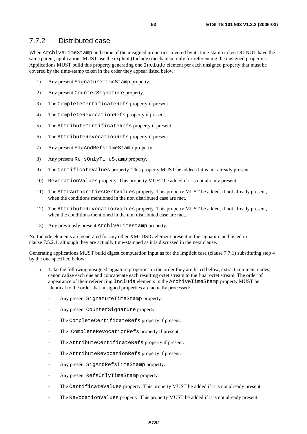### 7.7.2 Distributed case

When ArchiveTimeStamp and some of the unsigned properties covered by its time-stamp token DO NOT have the same parent, applications MUST use the explicit (Include) mechanism only for referencing the unsigned properties. Applications MUST build this property generating one Include element per each unsigned property that must be covered by the time-stamp token in the order they appear listed below:

- 1) Any present SignatureTimeStamp property.
- 2) Any present CounterSignature property.
- 3) The CompleteCertificateRefs property if present.
- 4) The CompleteRevocationRefs property if present.
- 5) The AttributeCertificateRefs property if present.
- 6) The AttributeRevocationRefs property if present.
- 7) Any present SigAndRefsTimeStamp property.
- 8) Any present RefsOnlyTimeStamp property.
- 9) The CertificateValues property. This property MUST be added if it is not already present.
- 10) RevocationValues property. This property MUST be added if it is not already present.
- 11) The AttrAuthoritiesCertValues property. This property MUST be added, if not already present, when the conditions mentioned in the non distributed case are met.
- 12) The AttributeRevocationValues property. This property MUST be added, if not already present, when the conditions mentioned in the non distributed case are met.
- 13) Any previously present ArchiveTimestamp property.

No Include elements are generated for any other XMLDSIG element present in the signature and listed in clause 7.5.2.1, although they are actually time-stamped as it is discussed in the next clause.

Generating applications MUST build digest computation input as for the Implicit case (clause 7.7.1) substituting step 4 by the one specified below:

- 1) Take the following unsigned signature properties in the order they are listed below, extract comment nodes, canonicalize each one and concatenate each resulting octet stream to the final octet stream. The order of appearance of their referencing Include elements in the ArchiveTimeStamp property MUST be identical to the order that unsigned properties are actually processed:
	- Any present SignatureTimeStamp property.
	- Any present CounterSignature property.
	- The CompleteCertificateRefs property if present.
	- The CompleteRevocationRefs property if present.
	- The AttributeCertificateRefs property if present.
	- The AttributeRevocationRefs property if present.
	- Any present SigAndRefsTimeStamp property.
	- Any present RefsOnlyTimeStamp property.
	- The CertificateValues property. This property MUST be added if it is not already present.
	- The RevocationValues property. This property MUST be added if it is not already present.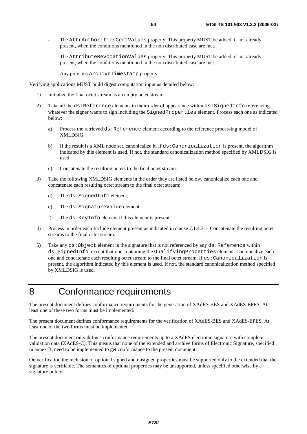- The AttrAuthoritiesCertValues property. This property MUST be added, if not already present, when the conditions mentioned in the non distributed case are met.
- The AttributeRevocationValues property. This property MUST be added, if not already present, when the conditions mentioned in the non distributed case are met.
- Any previous ArchiveTimestamp property.

Verifying applications MUST build digest computation input as detailed below:

- 1) Initialize the final octet stream as an empty octet stream.
- 2) Take all the ds: Reference elements in their order of appearance within ds: SignedInfo referencing whatever the signer wants to sign including the SignedProperties element. Process each one as indicated below:
	- a) Process the retrieved ds: Reference element according to the reference processing model of XMLDSIG.
	- b) If the result is a XML node set, canonicalize it. If ds:Canonicalization is present, the algorithm indicated by this element is used. If not, the standard canonicalization method specified by XMLDSIG is used.
	- c) Concatenate the resulting octets to the final octet stream.
- 3) Take the following XMLDSIG elements in the order they are listed below, canonicalize each one and concatenate each resulting octet stream to the final octet stream:
	- d) The ds:SignedInfo element.
	- e) The ds:SignatureValue element.
	- f) The ds:KeyInfo element if this element is present.
- 4) Process in order each Include element present as indicated in clause 7.1.4.3.1. Concatenate the resulting octet streams to the final octet stream.
- 5) Take any  $ds:Object$  element in the signature that is not referenced by any  $ds:Reference$  within ds:SignedInfo, except that one containing the QualifyingProperties element. Canonicalize each one and concatenate each resulting octet stream to the final octet stream. If ds:Canonicalization is present, the algorithm indicated by this element is used. If not, the standard canonicalization method specified by XMLDSIG is used.

# 8 Conformance requirements

The present document defines conformance requirements for the generation of XAdES-BES and XAdES-EPES. At least one of these two forms must be implemented.

The present document defines conformance requirements for the verification of XAdES-BES and XAdES-EPES. At least one of the two forms must be implemented.

The present document only defines conformance requirements up to a XAdES electronic signature with complete validation data (XAdES-C). This means that none of the extended and archive forms of Electronic Signature, specified in annex B, need to be implemented to get conformance to the present document.

On verification the inclusion of optional signed and unsigned properties must be supported only to the extended that the signature is verifiable. The semantics of optional properties may be unsupported, unless specified otherwise by a signature policy.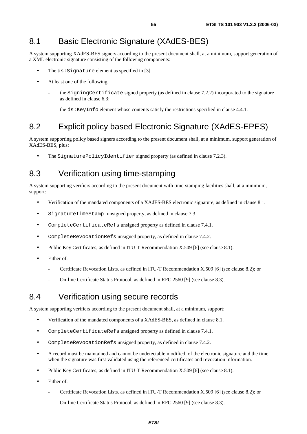## 8.1 Basic Electronic Signature (XAdES-BES)

A system supporting XAdES-BES signers according to the present document shall, at a minimum, support generation of a XML electronic signature consisting of the following components:

- The  $ds:$  Signature element as specified in [3].
- At least one of the following:
	- the SigningCertificate signed property (as defined in clause 7.2.2) incorporated to the signature as defined in clause 6.3;
	- the ds:KeyInfo element whose contents satisfy the restrictions specified in clause 4.4.1.

## 8.2 Explicit policy based Electronic Signature (XAdES-EPES)

A system supporting policy based signers according to the present document shall, at a minimum, support generation of XAdES-BES, plus:

The SignaturePolicyIdentifier signed property (as defined in clause 7.2.3).

## 8.3 Verification using time-stamping

A system supporting verifiers according to the present document with time-stamping facilities shall, at a minimum, support:

- Verification of the mandated components of a XAdES-BES electronic signature, as defined in clause 8.1.
- SignatureTimeStamp unsigned property, as defined in clause 7.3.
- CompleteCertificateRefs unsigned property as defined in clause 7.4.1.
- CompleteRevocationRefs unsigned property, as defined in clause 7.4.2.
- Public Key Certificates, as defined in ITU-T Recommendation X.509 [6] (see clause 8.1).
- Either of:
	- Certificate Revocation Lists. as defined in ITU-T Recommendation X.509 [6] (see clause 8.2); or
	- On-line Certificate Status Protocol, as defined in RFC 2560 [9] (see clause 8.3).

### 8.4 Verification using secure records

A system supporting verifiers according to the present document shall, at a minimum, support:

- Verification of the mandated components of a XAdES-BES, as defined in clause 8.1.
- CompleteCertificateRefs unsigned property as defined in clause 7.4.1.
- CompleteRevocationRefs unsigned property, as defined in clause 7.4.2.
- A record must be maintained and cannot be undetectable modified, of the electronic signature and the time when the signature was first validated using the referenced certificates and revocation information.
- Public Key Certificates, as defined in ITU-T Recommendation X.509 [6] (see clause 8.1).
- Either of:
	- Certificate Revocation Lists. as defined in ITU-T Recommendation X.509 [6] (see clause 8.2); or
	- On-line Certificate Status Protocol, as defined in RFC 2560 [9] (see clause 8.3).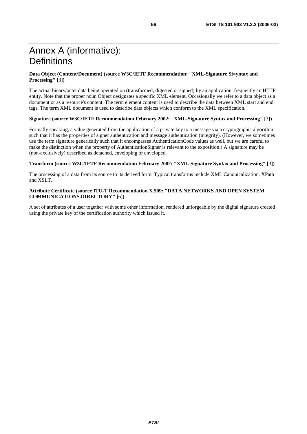#### **Data Object (Content/Document) (source W3C/IETF Recommendation: "XML-Signature Si=yntax and Processing" [**3**])**

The actual binary/octet data being operated on (transformed, digested or signed) by an application, frequently an HTTP entity. Note that the proper noun Object designates a specific XML element. Occasionally we refer to a data object as a document or as a resource's content. The term element content is used to describe the data between XML start and end tags. The term XML document is used to describe data objects which conform to the XML specification.

#### **Signature (source W3C/IETF Recommendation February 2002: "XML-Signature Syntax and Processing" [**3**])**

Formally speaking, a value generated from the application of a private key to a message via a cryptographic algorithm such that it has the properties of signer authentication and message authentication (integrity). (However, we sometimes use the term signature generically such that it encompasses AuthenticationCode values as well, but we are careful to make the distinction when the property of AuthenticationSigner is relevant to the exposition.) A signature may be (non-exclusively) described as detached, enveloping or enveloped.

#### **Transform (source W3C/IETF Recommendation February 2002: "XML-Signature Syntax and Processing" [**3**])**

The processing of a data from its source to its derived form. Typical transforms include XML Canonicalization, XPath and XSLT.

#### **Attribute Certificate (source ITU-T Recommendation X.509: "DATA NETWORKS AND OPEN SYSTEM COMMUNICATIONS.DIRECTORY" [**6**])**

A set of attributes of a user together with some other information, rendered unforgeable by the digital signature created using the private key of the certification authority which issued it.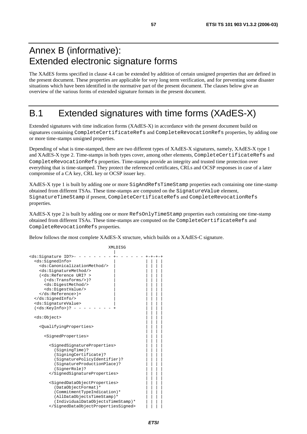# Annex B (informative): Extended electronic signature forms

The XAdES forms specified in clause 4.4 can be extended by addition of certain unsigned properties that are defined in the present document. These properties are applicable for very long term verification, and for preventing some disaster situations which have been identified in the normative part of the present document. The clauses below give an overview of the various forms of extended signature formats in the present document.

# B.1 Extended signatures with time forms (XAdES-X)

Extended signatures with time indication forms (XAdES-X) in accordance with the present document build on signatures containing CompleteCertificateRefs and CompleteRevocationRefs properties, by adding one or more time-stamps unsigned properties.

Depending of what is time-stamped, there are two different types of XAdES-X signatures, namely, XAdES-X type 1 and XAdES-X type 2. Time-stamps in both types cover, among other elements, CompleteCertificateRefs and CompleteRevocationRefs properties. Time-stamps provide an integrity and trusted time protection over everything that is time-stamped. They protect the referenced certificates, CRLs and OCSP responses in case of a later compromise of a CA key, CRL key or OCSP issuer key.

XAdES-X type 1 is built by adding one or more SigAndRefsTimeStamp properties each containing one time-stamp obtained from different TSAs. These time-stamps are computed on the SignatureValue element, SignatureTimeStamp if present, CompleteCertificateRefs and CompleteRevocationRefs properties.

XAdES-X type 2 is built by adding one or more RefsOnlyTimeStamp properties each containing one time-stamp obtained from different TSAs. These time-stamps are computed on the CompleteCertificateRefs and CompleteRevocationRefs properties.

Below follows the most complete XAdES-X structure, which builds on a XAdES-C signature.

```
 XMLDISG 
 | 
ds:Signature ID?>- - - -
  <ds:SignedInfo> | | | | | 
    <ds:CanonicalizationMethod/> | | | | | 
    <ds:SignatureMethod/> | | | | | 
   (<ds:Reference URI? >
     (<\ ds: Transforms/>)?
      <ds:DigestMethod/> | | | | | 
      <ds:DigestValue/> | | | | | 
   \langle/ds:Reference>)+
  </ds:SignedInfo/> | | | | | 
   <ds:SignatureValue> | | | | | 
  (\text{ds:KeyInfo}>)? - -
 | | | | 
   <ds:Object> | | | | 
 | | | | 
    <QualifyingProperties> | | | | 
 | | | | 
     <SignedProperties>
 | | | | 
        <SignedSignatureProperties> | | | | 
         (SigningTime)?
         (SigningCertificate)?
          (SignaturePolicyIdentifier)? | | | | 
          (SignatureProductionPlace)? | | | | 
         (SignerRole)?
        </SignedSignatureProperties> | | | | 
 | | | | 
        <SignedDataObjectProperties> | | | | 
         (DataObjectFormat)*
         (CommitmentTypeIndication)*
          (AllDataObjectsTimeStamp)* | | | | 
         (IndividualDataObjectsTimeStamp)*
        </SignedDataObjectPropertiesSigned> | | | |
```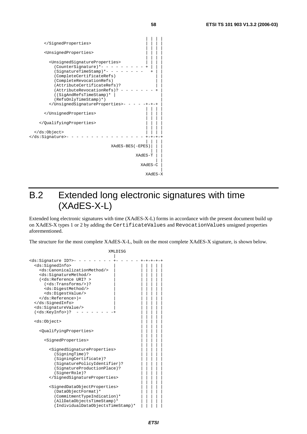| <unsignedproperties></unsignedproperties>                                                                                                                                                                                                                                                              |
|--------------------------------------------------------------------------------------------------------------------------------------------------------------------------------------------------------------------------------------------------------------------------------------------------------|
| <unsignedsignatureproperties><br/>(CounterSignature)*-<br/>(SignatureTimeStamp)*-<br/>(CompleteCertificateRefs)<br/>(CompleteRevocationRefs)<br/>(AttributeCertificateRefs)?<br/>(AttributeRevocationRefs)?<br/>((SigAndRefsTimeStamp)*<br/>(RefsOnlyTimeStamp)*)<br/></unsignedsignatureproperties> - |
|                                                                                                                                                                                                                                                                                                        |
|                                                                                                                                                                                                                                                                                                        |
| <br>-                                                                                                                                                                                                                                                                                                  |
| XAdES-BES (-EPES)                                                                                                                                                                                                                                                                                      |
| XAdES-T                                                                                                                                                                                                                                                                                                |
| XAdES-C                                                                                                                                                                                                                                                                                                |
| XAdES-X                                                                                                                                                                                                                                                                                                |

# B.2 Extended long electronic signatures with time (XAdES-X-L)

Extended long electronic signatures with time (XAdES-X-L) forms in accordance with the present document build up on XAdES-X types 1 or 2 by adding the CertificateValues and RevocationValues unsigned properties aforementioned.

The structure for the most complete XAdES-X-L, built on the most complete XAdES-X signature, is shown below.

```
 XMLDISG 
 | 
<ds:Signature ID?>- - - - - - - - +- - - - - +-+-+-+-+ 
  <ds:SignedInfo> | | | | | | 
    <ds:CanonicalizationMethod/> | | | | | | 
    <ds:SignatureMethod/> | | | | | | 
   (<ds:Reference URI? >
     (<ds:Transforms/>)?
      <ds:DigestMethod/> | | | | | | 
      <ds:DigestValue/> | | | | | | 
   \langle/ds:Reference>)+
   </ds:SignedInfo> | | | | | | 
   <ds:SignatureValue/> | | | | | | 
  (\text{ds:KeyInfo>})? - - - - - - -
 | | | | | 
   <ds:Object> | | | | | 
 | | | | | 
    <QualifyingProperties> | | | | | 
 | | | | | 
       <SignedProperties> | | | | | 
 | | | | | 
         <SignedSignatureProperties> | | | | | 
         (SigningTime)?
         (SigningCertificate)?
          (SignaturePolicyIdentifier)? | | | | | 
          (SignatureProductionPlace)?
          (SignerRole)?
         </SignedSignatureProperties> | | | | | 
 | | | | | 
         <SignedDataObjectProperties> | | | | | 
         (DataObjectFormat)*
          (CommitmentTypeIndication)*
         (AllDataObjectsTimeStamp)*
         (IndividualDataObjectsTimeStamp)*
```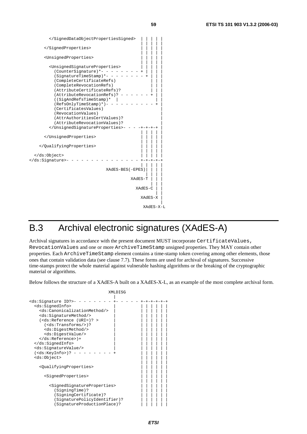| <unsignedproperties></unsignedproperties>                                                                                                                                                                                                                                                                                                                                                                                                |
|------------------------------------------------------------------------------------------------------------------------------------------------------------------------------------------------------------------------------------------------------------------------------------------------------------------------------------------------------------------------------------------------------------------------------------------|
| <unsignedsignatureproperties><br/>(CounterSignature)*- -<br/>(SignatureTimeStamp)*-<br/>(CompleteCertificateRefs)<br/>(CompleteRevocationRefs)<br/>(AttributeCertificateRefs)?<br/>(AttributeRevocationRefs)?<br/>((SigAndRefsTimeStamp)*<br/><math>(RefsOnlyTimeStamp)</math>*)-<br/>(CertificatesValues)<br/>(RevocationValues)<br/>(AttrAuthoritiesCertValues)?<br/>(AttributeRevocationValues)?<br/></unsignedsignatureproperties> - |
|                                                                                                                                                                                                                                                                                                                                                                                                                                          |
|                                                                                                                                                                                                                                                                                                                                                                                                                                          |
| <br>-                                                                                                                                                                                                                                                                                                                                                                                                                                    |
| XAdES-BES (-EPES)                                                                                                                                                                                                                                                                                                                                                                                                                        |
| XAdES-T                                                                                                                                                                                                                                                                                                                                                                                                                                  |
| XAdES-C                                                                                                                                                                                                                                                                                                                                                                                                                                  |
| XAdES-X                                                                                                                                                                                                                                                                                                                                                                                                                                  |
| XAdES-X-L                                                                                                                                                                                                                                                                                                                                                                                                                                |

# B.3 Archival electronic signatures (XAdES-A)

Archival signatures in accordance with the present document MUST incorporate CertificateValues, RevocationValues and one or more ArchiveTimeStamp unsigned properties. They MAY contain other properties. Each ArchiveTimeStamp element contains a time-stamp token covering among other elements, those ones that contain validation data (see clause 7.7). These forms are used for archival of signatures. Successive time-stamps protect the whole material against vulnerable hashing algorithms or the breaking of the cryptographic material or algorithms.

Below follows the structure of a XAdES-A built on a XAdES-X-L, as an example of the most complete archival form.

| XMLDISG                                                                                                                                                                                                                                                                                                                                                               |            |
|-----------------------------------------------------------------------------------------------------------------------------------------------------------------------------------------------------------------------------------------------------------------------------------------------------------------------------------------------------------------------|------------|
| <ds:signature id?="">-<br/><ds:signedinfo><br/><ds:canonicalizationmethod></ds:canonicalizationmethod><br/><ds:signaturemethod></ds:signaturemethod><br/><math>(&lt;</math>ds:Reference <math>(URL=)?</math><br/><math>(&lt;\ds:Transforms/&gt;)</math>?<br/><ds:digestmethod></ds:digestmethod><br/><ds:digestvalue></ds:digestvalue></ds:signedinfo></ds:signature> | -+-+-+-+-+ |
| $\langle ds:Reference \rangle$ +                                                                                                                                                                                                                                                                                                                                      |            |
| <br><ds:signaturevalue></ds:signaturevalue>                                                                                                                                                                                                                                                                                                                           |            |
| ( <ds:keyinfo>)? -</ds:keyinfo>                                                                                                                                                                                                                                                                                                                                       |            |
| <ds:object></ds:object>                                                                                                                                                                                                                                                                                                                                               |            |
| <qualifyingproperties></qualifyingproperties>                                                                                                                                                                                                                                                                                                                         |            |
| <signedproperties></signedproperties>                                                                                                                                                                                                                                                                                                                                 |            |
| <signedsignatureproperties><br/>(SigningTime)?<br/>(SigningCertificate)?<br/>(SignaturePolicyIdentifier)?<br/>(SignatureProductionPlace)?</signedsignatureproperties>                                                                                                                                                                                                 |            |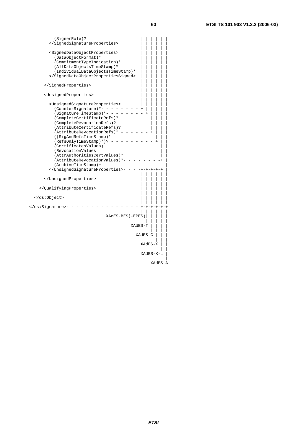| (SignerRole)?                                                                                                                                                                                                                                                                                                                                                                                                                                                                                    |         |
|--------------------------------------------------------------------------------------------------------------------------------------------------------------------------------------------------------------------------------------------------------------------------------------------------------------------------------------------------------------------------------------------------------------------------------------------------------------------------------------------------|---------|
|                                                                                                                                                                                                                                                                                                                                                                                                                                                                                                  |         |
| <signeddataobjectproperties><br/>(DataObjectFormat)*<br/>(CommitmentTypeIndication)*<br/>(AllDataObjectsTimeStamp)*<br/>(IndividualDataObjectsTimeStamp)*<br/></signeddataobjectproperties>                                                                                                                                                                                                                                                                                                      |         |
|                                                                                                                                                                                                                                                                                                                                                                                                                                                                                                  |         |
| <unsignedproperties></unsignedproperties>                                                                                                                                                                                                                                                                                                                                                                                                                                                        |         |
| <unsignedsignatureproperties><br/>(CounterSignature)*- -<br/>(SignatureTimeStamp)*-<br/>(CompleteCertificateRefs)?<br/>(CompleteRevocationRefs)?<br/>(AttributeCertificateRefs)?<br/>(AttributeRevocationRefs)?<br/>((SigAndRefsTimeStamp)*<br/><math>(RefsOnlyTimeStamp)</math><sup>*</sup>)? <math>\cdot</math><br/>(CertificatesValues)<br/>(RevocationValues<br/>(AttrAuthoritiesCertValues)?<br/>(AttributeRevocationValues)?-<br/>(ArchiveTimeStamp)+<br/></unsignedsignatureproperties> - |         |
|                                                                                                                                                                                                                                                                                                                                                                                                                                                                                                  |         |
|                                                                                                                                                                                                                                                                                                                                                                                                                                                                                                  |         |
|                                                                                                                                                                                                                                                                                                                                                                                                                                                                                                  |         |
| -                                                                                                                                                                                                                                                                                                                                                                                                                                                                                                |         |
| XAdES-BES (-EPES)                                                                                                                                                                                                                                                                                                                                                                                                                                                                                |         |
| XAdES-T                                                                                                                                                                                                                                                                                                                                                                                                                                                                                          |         |
| XAdES-C                                                                                                                                                                                                                                                                                                                                                                                                                                                                                          |         |
| XAdES-X                                                                                                                                                                                                                                                                                                                                                                                                                                                                                          |         |
| XAdES-X-L                                                                                                                                                                                                                                                                                                                                                                                                                                                                                        |         |
|                                                                                                                                                                                                                                                                                                                                                                                                                                                                                                  | XAdES-A |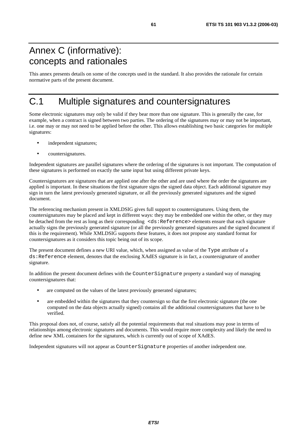# Annex C (informative): concepts and rationales

This annex presents details on some of the concepts used in the standard. It also provides the rationale for certain normative parts of the present document.

# C.1 Multiple signatures and countersignatures

Some electronic signatures may only be valid if they bear more than one signature. This is generally the case, for example, when a contract is signed between two parties. The ordering of the signatures may or may not be important, i.e. one may or may not need to be applied before the other. This allows establishing two basic categories for multiple signatures:

- independent signatures;
- countersignatures.

Independent signatures are parallel signatures where the ordering of the signatures is not important. The computation of these signatures is performed on exactly the same input but using different private keys.

Countersignatures are signatures that are applied one after the other and are used where the order the signatures are applied is important. In these situations the first signature signs the signed data object. Each additional signature may sign in turn the latest previously generated signature, or all the previously generated signatures and the signed document.

The referencing mechanism present in XMLDSIG gives full support to countersignatures. Using them, the countersignatures may be placed and kept in different ways: they may be embedded one within the other, or they may be detached from the rest as long as their corresponding <ds:Reference> elements ensure that each signature actually signs the previously generated signature (or all the previously generated signatures and the signed document if this is the requirement). While XMLDSIG supports these features, it does not propose any standard format for countersignatures as it considers this topic being out of its scope.

The present document defines a new URI value, which, when assigned as value of the Type attribute of a ds:Reference element, denotes that the enclosing XAdES signature is in fact, a countersignature of another signature.

In addition the present document defines with the CounterSignature property a standard way of managing countersignatures that:

- are computed on the values of the latest previously generated signatures;
- are embedded within the signatures that they countersign so that the first electronic signature (the one computed on the data objects actually signed) contains all the additional countersignatures that have to be verified.

This proposal does not, of course, satisfy all the potential requirements that real situations may pose in terms of relationships among electronic signatures and documents. This would require more complexity and likely the need to define new XML containers for the signatures, which is currently out of scope of XAdES.

Independent signatures will not appear as CounterSignature properties of another independent one.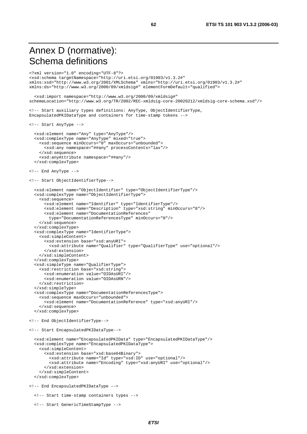# Annex D (normative): Schema definitions

```
<?xml version="1.0" encoding="UTF-8"?> 
<xsd:schema targetNamespace="http://uri.etsi.org/01903/v1.3.2#" 
xmlns:xsd="http://www.w3.org/2001/XMLSchema" xmlns="http://uri.etsi.org/01903/v1.3.2#" 
xmlns:ds="http://www.w3.org/2000/09/xmldsig#" elementFormDefault="qualified"> 
   <xsd:import namespace="http://www.w3.org/2000/09/xmldsig#" 
schemaLocation="http://www.w3.org/TR/2002/REC-xmldsig-core-20020212/xmldsig-core-schema.xsd"/> 
<!-- Start auxiliary types definitions: AnyType, ObjectIdentifierType, 
EncapsulatedPKIDataType and containers for time-stamp tokens --> 
<!-- Start AnyType --> 
   <xsd:element name="Any" type="AnyType"/> 
   <xsd:complexType name="AnyType" mixed="true"> 
     <xsd:sequence minOccurs="0" maxOccurs="unbounded"> 
       <xsd:any namespace="##any" processContents="lax"/> 
     </xsd:sequence> 
     <xsd:anyAttribute namespace="##any"/> 
   </xsd:complexType> 
<!-- End AnyType --> 
<!-- Start ObjectIdentifierType--> 
   <xsd:element name="ObjectIdentifier" type="ObjectIdentifierType"/> 
   <xsd:complexType name="ObjectIdentifierType"> 
     <xsd:sequence> 
       <xsd:element name="Identifier" type="IdentifierType"/> 
       <xsd:element name="Description" type="xsd:string" minOccurs="0"/> 
       <xsd:element name="DocumentationReferences" 
         type="DocumentationReferencesType" minOccurs="0"/> 
     </xsd:sequence> 
   </xsd:complexType> 
   <xsd:complexType name="IdentifierType"> 
     <xsd:simpleContent> 
       <xsd:extension base="xsd:anyURI"> 
         <xsd:attribute name="Qualifier" type="QualifierType" use="optional"/> 
       </xsd:extension> 
     </xsd:simpleContent> 
   </xsd:complexType> 
   <xsd:simpleType name="QualifierType"> 
     <xsd:restriction base="xsd:string"> 
       <xsd:enumeration value="OIDAsURI"/> 
       <xsd:enumeration value="OIDAsURN"/> 
     </xsd:restriction> 
   </xsd:simpleType> 
   <xsd:complexType name="DocumentationReferencesType"> 
     <xsd:sequence maxOccurs="unbounded"> 
       <xsd:element name="DocumentationReference" type="xsd:anyURI"/> 
     </xsd:sequence> 
   </xsd:complexType> 
<!-- End ObjectIdentifierType--> 
<!-- Start EncapsulatedPKIDataType--> 
   <xsd:element name="EncapsulatedPKIData" type="EncapsulatedPKIDataType"/> 
   <xsd:complexType name="EncapsulatedPKIDataType"> 
     <xsd:simpleContent> 
       <xsd:extension base="xsd:base64Binary"> 
         <xsd:attribute name="Id" type="xsd:ID" use="optional"/> 
         <xsd:attribute name="Encoding" type="xsd:anyURI" use="optional"/> 
       </xsd:extension> 
     </xsd:simpleContent> 
   </xsd:complexType> 
<!-- End EncapsulatedPKIDataType --> 
   <!-- Start time-stamp containers types --> 
   <!-- Start GenericTimeStampType -->
```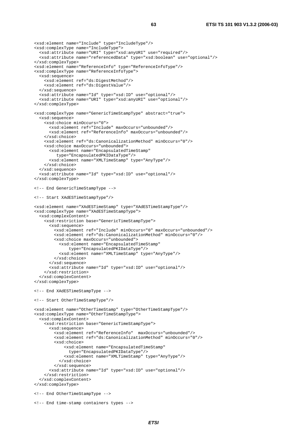```
 <xsd:element name="Include" type="IncludeType"/> 
 <xsd:complexType name="IncludeType"> 
   <xsd:attribute name="URI" type="xsd:anyURI" use="required"/> 
   <xsd:attribute name="referencedData" type="xsd:boolean" use="optional"/> 
 </xsd:complexType> 
 <xsd:element name="ReferenceInfo" type="ReferenceInfoType"/> 
 <xsd:complexType name="ReferenceInfoType"> 
   <xsd:sequence> 
     <xsd:element ref="ds:DigestMethod"/> 
     <xsd:element ref="ds:DigestValue"/> 
   </xsd:sequence> 
   <xsd:attribute name="Id" type="xsd:ID" use="optional"/> 
   <xsd:attribute name="URI" type="xsd:anyURI" use="optional"/> 
 </xsd:complexType> 
 <xsd:complexType name="GenericTimeStampType" abstract="true"> 
   <xsd:sequence> 
     <xsd:choice minOccurs="0"> 
       <xsd:element ref="Include" maxOccurs="unbounded"/> 
       <xsd:element ref="ReferenceInfo" maxOccurs="unbounded"/> 
     </xsd:choice> 
     <xsd:element ref="ds:CanonicalizationMethod" minOccurs="0"/> 
     <xsd:choice maxOccurs="unbounded"> 
       <xsd:element name="EncapsulatedTimeStamp" 
          type="EncapsulatedPKIDataType"/> 
       <xsd:element name="XMLTimeStamp" type="AnyType"/> 
     </xsd:choice> 
   </xsd:sequence> 
   <xsd:attribute name="Id" type="xsd:ID" use="optional"/> 
 </xsd:complexType> 
 <!-- End GenericTimeStampType --> 
 <!-- Start XAdESTimeStampType"/> 
 <xsd:element name="XAdESTimeStamp" type="XAdESTimeStampType"/> 
 <xsd:complexType name="XAdESTimeStampType"> 
   <xsd:complexContent> 
     <xsd:restriction base="GenericTimeStampType"> 
       <xsd:sequence> 
         <xsd:element ref="Include" minOccurs="0" maxOccurs="unbounded"/> 
         <xsd:element ref="ds:CanonicalizationMethod" minOccurs="0"/> 
         <xsd:choice maxOccurs="unbounded"> 
           <xsd:element name="EncapsulatedTimeStamp" 
               type="EncapsulatedPKIDataType"/> 
           <xsd:element name="XMLTimeStamp" type="AnyType"/> 
         </xsd:choice> 
       </xsd:sequence> 
       <xsd:attribute name="Id" type="xsd:ID" use="optional"/> 
     </xsd:restriction> 
   </xsd:complexContent> 
 </xsd:complexType> 
 <!-- End XAdESTimeStampType --> 
 <!-- Start OtherTimeStampType"/> 
 <xsd:element name="OtherTimeStamp" type="OtherTimeStampType"/> 
 <xsd:complexType name="OtherTimeStampType"> 
   <xsd:complexContent> 
     <xsd:restriction base="GenericTimeStampType"> 
       <xsd:sequence> 
         <xsd:element ref="ReferenceInfo" maxOccurs="unbounded"/> 
         <xsd:element ref="ds:CanonicalizationMethod" minOccurs="0"/> 
         <xsd:choice> 
              <xsd:element name="EncapsulatedTimeStamp" 
               type="EncapsulatedPKIDataType"/> 
             <xsd:element name="XMLTimeStamp" type="AnyType"/> 
           </xsd:choice> 
         </xsd:sequence> 
       <xsd:attribute name="Id" type="xsd:ID" use="optional"/> 
     </xsd:restriction> 
   </xsd:complexContent> 
 </xsd:complexType> 
 <!-- End OtherTimeStampType --> 
 <!-- End time-stamp containers types -->
```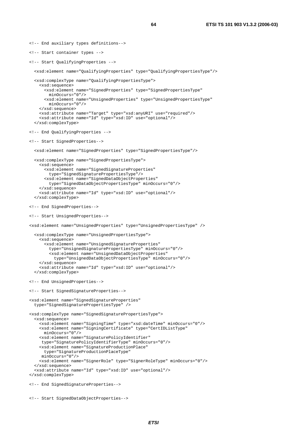<!-- End auxiliary types definitions--> <!-- Start container types --> <!-- Start QualifyingProperties --> <xsd:element name="QualifyingProperties" type="QualifyingPropertiesType"/> <xsd:complexType name="QualifyingPropertiesType"> <xsd:sequence> <xsd:element name="SignedProperties" type="SignedPropertiesType" minOccurs="0"/> <xsd:element name="UnsignedProperties" type="UnsignedPropertiesType" minOccurs="0"/> </xsd:sequence> <xsd:attribute name="Target" type="xsd:anyURI" use="required"/> <xsd:attribute name="Id" type="xsd:ID" use="optional"/> </xsd:complexType> <!-- End QualifyingProperties --> <!-- Start SignedProperties--> <xsd:element name="SignedProperties" type="SignedPropertiesType"/> <xsd:complexType name="SignedPropertiesType"> <xsd:sequence> <xsd:element name="SignedSignatureProperties" type="SignedSignaturePropertiesType"/> <xsd:element name="SignedDataObjectProperties" type="SignedDataObjectPropertiesType" minOccurs="0"/> </xsd:sequence> <xsd:attribute name="Id" type="xsd:ID" use="optional"/> </xsd:complexType> <!-- End SignedProperties--> <!-- Start UnsignedProperties--> <xsd:element name="UnsignedProperties" type="UnsignedPropertiesType" /> <xsd:complexType name="UnsignedPropertiesType"> <xsd:sequence> <xsd:element name="UnsignedSignatureProperties" type="UnsignedSignaturePropertiesType" minOccurs="0"/> <xsd:element name="UnsignedDataObjectProperties" type="UnsignedDataObjectPropertiesType" minOccurs="0"/> </xsd:sequence> <xsd:attribute name="Id" type="xsd:ID" use="optional"/> </xsd:complexType> <!-- End UnsignedProperties--> <!-- Start SignedSignatureProperties--> <xsd:element name="SignedSignatureProperties" type="SignedSignaturePropertiesType" /> <xsd:complexType name="SignedSignaturePropertiesType"> <xsd:sequence> <xsd:element name="SigningTime" type="xsd:dateTime" minOccurs="0"/> <xsd:element name="SigningCertificate" type="CertIDListType" minOccurs="0"/> <xsd:element name="SignaturePolicyIdentifier" type="SignaturePolicyIdentifierType" minOccurs="0"/> <xsd:element name="SignatureProductionPlace" type="SignatureProductionPlaceType" minOccurs="0"/> <xsd:element name="SignerRole" type="SignerRoleType" minOccurs="0"/> </xsd:sequence> <xsd:attribute name="Id" type="xsd:ID" use="optional"/> </xsd:complexType>

```
<!-- End SignedSignatureProperties-->
```

```
<!-- Start SignedDataObjectProperties-->
```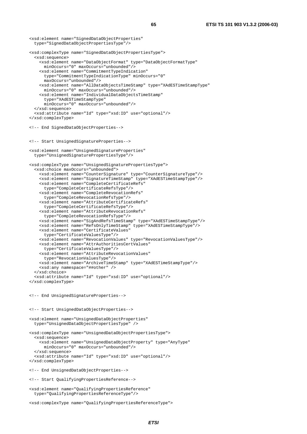```
<xsd:element name="SignedDataObjectProperties" 
  type="SignedDataObjectPropertiesType"/> 
<xsd:complexType name="SignedDataObjectPropertiesType"> 
   <xsd:sequence> 
     <xsd:element name="DataObjectFormat" type="DataObjectFormatType" 
       minOccurs="0" maxOccurs="unbounded"/> 
     <xsd:element name="CommitmentTypeIndication" 
       type="CommitmentTypeIndicationType" minOccurs="0" 
       maxOccurs="unbounded"/> 
     <xsd:element name="AllDataObjectsTimeStamp" type="XAdESTimeStampType" 
       minOccurs="0" maxOccurs="unbounded"/> 
     <xsd:element name="IndividualDataObjectsTimeStamp" 
       type="XAdESTimeStampType" 
       minOccurs="0" maxOccurs="unbounded"/> 
   </xsd:sequence> 
   <xsd:attribute name="Id" type="xsd:ID" use="optional"/> 
</xsd:complexType> 
<!-- End SignedDataObjectProperties--> 
<!-- Start UnsignedSignatureProperties--> 
<xsd:element name="UnsignedSignatureProperties" 
   type="UnsignedSignaturePropertiesType"/> 
<xsd:complexType name="UnsignedSignaturePropertiesType"> 
   <xsd:choice maxOccurs="unbounded"> 
     <xsd:element name="CounterSignature" type="CounterSignatureType"/> 
     <xsd:element name="SignatureTimeStamp" type="XAdESTimeStampType"/> 
     <xsd:element name="CompleteCertificateRefs" 
       type="CompleteCertificateRefsType"/> 
     <xsd:element name="CompleteRevocationRefs" 
       type="CompleteRevocationRefsType"/> 
     <xsd:element name="AttributeCertificateRefs" 
      type="CompleteCertificateRefsType"/> 
     <xsd:element name="AttributeRevocationRefs" 
       type="CompleteRevocationRefsType"/> 
     <xsd:element name="SigAndRefsTimeStamp" type="XAdESTimeStampType"/> 
 <xsd:element name="RefsOnlyTimeStamp" type="XAdESTimeStampType"/> 
 <xsd:element name="CertificateValues" 
       type="CertificateValuesType"/> 
     <xsd:element name="RevocationValues" type="RevocationValuesType"/> 
     <xsd:element name="AttrAuthoritiesCertValues" 
      type="CertificateValuesType"/> 
     <xsd:element name="AttributeRevocationValues" 
       type="RevocationValuesType"/> 
     <xsd:element name="ArchiveTimeStamp" type="XAdESTimeStampType"/> 
     <xsd:any namespace="##other" /> 
   </xsd:choice> 
   <xsd:attribute name="Id" type="xsd:ID" use="optional"/> 
</xsd:complexType> 
<!-- End UnsignedSignatureProperties--> 
<!-- Start UnsignedDataObjectProperties--> 
<xsd:element name="UnsignedDataObjectProperties" 
  type="UnsignedDataObjectPropertiesType" /> 
<xsd:complexType name="UnsignedDataObjectPropertiesType"> 
  <xsd:sequence> 
     <xsd:element name="UnsignedDataObjectProperty" type="AnyType" 
       minOccurs="0" maxOccurs="unbounded"/> 
   </xsd:sequence> 
   <xsd:attribute name="Id" type="xsd:ID" use="optional"/> 
</xsd:complexType> 
<!-- End UnsignedDataObjectProperties--> 
<!-- Start QualifyingPropertiesReference--> 
<xsd:element name="QualifyingPropertiesReference" 
  type="QualifyingPropertiesReferenceType"/>
```

```
<xsd:complexType name="QualifyingPropertiesReferenceType">
```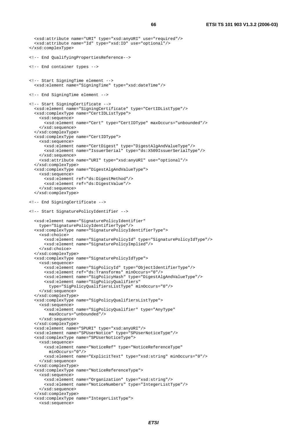```
 <xsd:attribute name="URI" type="xsd:anyURI" use="required"/> 
   <xsd:attribute name="Id" type="xsd:ID" use="optional"/> 
</xsd:complexType> 
<!-- End QualifyingPropertiesReference--> 
<!-- End container types --> 
<!-- Start SigningTime element --> 
   <xsd:element name="SigningTime" type="xsd:dateTime"/> 
<!-- End SigningTime element --> 
<!-- Start SigningCertificate --> 
   <xsd:element name="SigningCertificate" type="CertIDListType"/> 
   <xsd:complexType name="CertIDListType"> 
     <xsd:sequence> 
       <xsd:element name="Cert" type="CertIDType" maxOccurs="unbounded"/> 
     </xsd:sequence> 
   </xsd:complexType> 
   <xsd:complexType name="CertIDType"> 
     <xsd:sequence> 
       <xsd:element name="CertDigest" type="DigestAlgAndValueType"/> 
       <xsd:element name="IssuerSerial" type="ds:X509IssuerSerialType"/> 
     </xsd:sequence> 
     <xsd:attribute name="URI" type="xsd:anyURI" use="optional"/> 
   </xsd:complexType> 
   <xsd:complexType name="DigestAlgAndValueType"> 
     <xsd:sequence> 
       <xsd:element ref="ds:DigestMethod"/> 
       <xsd:element ref="ds:DigestValue"/> 
     </xsd:sequence> 
   </xsd:complexType> 
<!-- End SigningCertificate --> 
<!-- Start SignaturePolicyIdentifier --> 
   <xsd:element name="SignaturePolicyIdentifier" 
     type="SignaturePolicyIdentifierType"/> 
   <xsd:complexType name="SignaturePolicyIdentifierType"> 
     <xsd:choice> 
       <xsd:element name="SignaturePolicyId" type="SignaturePolicyIdType"/> 
       <xsd:element name="SignaturePolicyImplied"/> 
     </xsd:choice> 
   </xsd:complexType> 
   <xsd:complexType name="SignaturePolicyIdType"> 
     <xsd:sequence> 
       <xsd:element name="SigPolicyId" type="ObjectIdentifierType"/> 
       <xsd:element ref="ds:Transforms" minOccurs="0"/> 
       <xsd:element name="SigPolicyHash" type="DigestAlgAndValueType"/> 
       <xsd:element name="SigPolicyQualifiers" 
         type="SigPolicyQualifiersListType" minOccurs="0"/> 
     </xsd:sequence> 
   </xsd:complexType> 
   <xsd:complexType name="SigPolicyQualifiersListType"> 
     <xsd:sequence> 
       <xsd:element name="SigPolicyQualifier" type="AnyType" 
         maxOccurs="unbounded"/> 
     </xsd:sequence> 
   </xsd:complexType> 
   <xsd:element name="SPURI" type="xsd:anyURI"/> 
   <xsd:element name="SPUserNotice" type="SPUserNoticeType"/> 
   <xsd:complexType name="SPUserNoticeType"> 
     <xsd:sequence> 
       <xsd:element name="NoticeRef" type="NoticeReferenceType" 
         minOccurs="0"/> 
       <xsd:element name="ExplicitText" type="xsd:string" minOccurs="0"/> 
     </xsd:sequence> 
   </xsd:complexType> 
   <xsd:complexType name="NoticeReferenceType"> 
     <xsd:sequence> 
       <xsd:element name="Organization" type="xsd:string"/> 
       <xsd:element name="NoticeNumbers" type="IntegerListType"/> 
     </xsd:sequence> 
   </xsd:complexType> 
   <xsd:complexType name="IntegerListType"> 
     <xsd:sequence>
```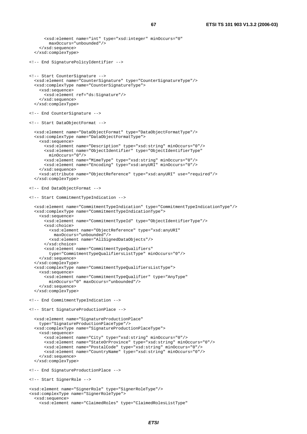```
 <xsd:element name="int" type="xsd:integer" minOccurs="0" 
         maxOccurs="unbounded"/> 
     </xsd:sequence> 
   </xsd:complexType> 
<!-- End SignaturePolicyIdentifier --> 
<!-- Start CounterSignature --> 
   <xsd:element name="CounterSignature" type="CounterSignatureType"/> 
   <xsd:complexType name="CounterSignatureType"> 
     <xsd:sequence> 
       <xsd:element ref="ds:Signature"/> 
     </xsd:sequence> 
   </xsd:complexType> 
<!-- End CounterSignature --> 
<!-- Start DataObjectFormat --> 
   <xsd:element name="DataObjectFormat" type="DataObjectFormatType"/> 
   <xsd:complexType name="DataObjectFormatType"> 
     <xsd:sequence> 
       <xsd:element name="Description" type="xsd:string" minOccurs="0"/> 
       <xsd:element name="ObjectIdentifier" type="ObjectIdentifierType" 
         minOccurs="0"/> 
       <xsd:element name="MimeType" type="xsd:string" minOccurs="0"/> 
       <xsd:element name="Encoding" type="xsd:anyURI" minOccurs="0"/> 
     </xsd:sequence> 
     <xsd:attribute name="ObjectReference" type="xsd:anyURI" use="required"/> 
   </xsd:complexType> 
<!-- End DataObjectFormat --> 
<!-- Start CommitmentTypeIndication --> 
   <xsd:element name="CommitmentTypeIndication" type="CommitmentTypeIndicationType"/> 
   <xsd:complexType name="CommitmentTypeIndicationType"> 
     <xsd:sequence> 
       <xsd:element name="CommitmentTypeId" type="ObjectIdentifierType"/> 
       <xsd:choice> 
         <xsd:element name="ObjectReference" type="xsd:anyURI" 
           maxOccurs="unbounded"/> 
         <xsd:element name="AllSignedDataObjects"/> 
       </xsd:choice> 
       <xsd:element name="CommitmentTypeQualifiers" 
         type="CommitmentTypeQualifiersListType" minOccurs="0"/> 
     </xsd:sequence> 
   </xsd:complexType> 
   <xsd:complexType name="CommitmentTypeQualifiersListType"> 
     <xsd:sequence> 
       <xsd:element name="CommitmentTypeQualifier" type="AnyType" 
         minOccurs="0" maxOccurs="unbounded"/> 
     </xsd:sequence> 
   </xsd:complexType> 
<!-- End CommitmentTypeIndication --> 
<!-- Start SignatureProductionPlace --> 
   <xsd:element name="SignatureProductionPlace" 
     type="SignatureProductionPlaceType"/> 
   <xsd:complexType name="SignatureProductionPlaceType"> 
     <xsd:sequence> 
       <xsd:element name="City" type="xsd:string" minOccurs="0"/> 
       <xsd:element name="StateOrProvince" type="xsd:string" minOccurs="0"/> 
       <xsd:element name="PostalCode" type="xsd:string" minOccurs="0"/> 
       <xsd:element name="CountryName" type="xsd:string" minOccurs="0"/> 
     </xsd:sequence> 
   </xsd:complexType> 
<!-- End SignatureProductionPlace --> 
<!-- Start SignerRole --> 
<xsd:element name="SignerRole" type="SignerRoleType"/> 
<xsd:complexType name="SignerRoleType"> 
   <xsd:sequence> 
     <xsd:element name="ClaimedRoles" type="ClaimedRolesListType"
```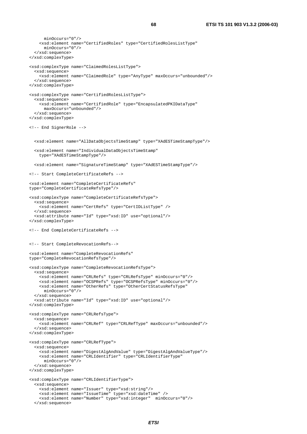```
 minOccurs="0"/> 
     <xsd:element name="CertifiedRoles" type="CertifiedRolesListType" 
       minOccurs="0"/> 
   </xsd:sequence> 
</xsd:complexType> 
<xsd:complexType name="ClaimedRolesListType"> 
   <xsd:sequence> 
     <xsd:element name="ClaimedRole" type="AnyType" maxOccurs="unbounded"/> 
   </xsd:sequence> 
</xsd:complexType> 
<xsd:complexType name="CertifiedRolesListType"> 
   <xsd:sequence> 
     <xsd:element name="CertifiedRole" type="EncapsulatedPKIDataType" 
      maxOccurs="unbounded"/> 
   </xsd:sequence> 
</xsd:complexType> 
<!-- End SignerRole --> 
   <xsd:element name="AllDataObjectsTimeStamp" type="XAdESTimeStampType"/> 
   <xsd:element name="IndividualDataObjectsTimeStamp" 
     type="XAdESTimeStampType"/> 
   <xsd:element name="SignatureTimeStamp" type="XAdESTimeStampType"/> 
<!-- Start CompleteCertificateRefs --> 
<xsd:element name="CompleteCertificateRefs" 
type="CompleteCertificateRefsType"/> 
<xsd:complexType name="CompleteCertificateRefsType"> 
   <xsd:sequence> 
     <xsd:element name="CertRefs" type="CertIDListType" /> 
   </xsd:sequence> 
   <xsd:attribute name="Id" type="xsd:ID" use="optional"/> 
</xsd:complexType> 
<!-- End CompleteCertificateRefs --> 
<!-- Start CompleteRevocationRefs--> 
<xsd:element name="CompleteRevocationRefs" 
type="CompleteRevocationRefsType"/> 
<xsd:complexType name="CompleteRevocationRefsType"> 
   <xsd:sequence> 
     <xsd:element name="CRLRefs" type="CRLRefsType" minOccurs="0"/> 
     <xsd:element name="OCSPRefs" type="OCSPRefsType" minOccurs="0"/> 
     <xsd:element name="OtherRefs" type="OtherCertStatusRefsType" 
      minOccurs="0"/> 
   </xsd:sequence> 
   <xsd:attribute name="Id" type="xsd:ID" use="optional"/> 
</xsd:complexType> 
<xsd:complexType name="CRLRefsType"> 
   <xsd:sequence> 
     <xsd:element name="CRLRef" type="CRLRefType" maxOccurs="unbounded"/> 
   </xsd:sequence> 
</xsd:complexType> 
<xsd:complexType name="CRLRefType"> 
   <xsd:sequence> 
     <xsd:element name="DigestAlgAndValue" type="DigestAlgAndValueType"/> 
     <xsd:element name="CRLIdentifier" type="CRLIdentifierType" 
       minOccurs="0"/> 
   </xsd:sequence> 
</xsd:complexType> 
<xsd:complexType name="CRLIdentifierType"> 
   <xsd:sequence> 
     <xsd:element name="Issuer" type="xsd:string"/> 
     <xsd:element name="IssueTime" type="xsd:dateTime" /> 
     <xsd:element name="Number" type="xsd:integer" minOccurs="0"/> 
   </xsd:sequence>
```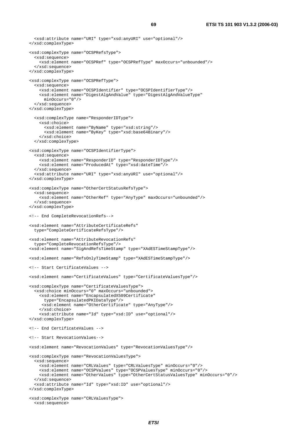```
 <xsd:attribute name="URI" type="xsd:anyURI" use="optional"/> 
</xsd:complexType> 
<xsd:complexType name="OCSPRefsType"> 
   <xsd:sequence> 
     <xsd:element name="OCSPRef" type="OCSPRefType" maxOccurs="unbounded"/> 
   </xsd:sequence> 
</xsd:complexType> 
<xsd:complexType name="OCSPRefType"> 
  <xsd:sequence> 
     <xsd:element name="OCSPIdentifier" type="OCSPIdentifierType"/> 
     <xsd:element name="DigestAlgAndValue" type="DigestAlgAndValueType" 
      minOccurs="0"/> 
   </xsd:sequence> 
</xsd:complexType> 
  <xsd:complexType name="ResponderIDType"> 
     <xsd:choice> 
       <xsd:element name="ByName" type="xsd:string"/> 
       <xsd:element name="ByKey" type="xsd:base64Binary"/> 
     </xsd:choice> 
   </xsd:complexType> 
<xsd:complexType name="OCSPIdentifierType"> 
   <xsd:sequence> 
     <xsd:element name="ResponderID" type="ResponderIDType"/> 
     <xsd:element name="ProducedAt" type="xsd:dateTime"/> 
   </xsd:sequence> 
   <xsd:attribute name="URI" type="xsd:anyURI" use="optional"/> 
</xsd:complexType> 
<xsd:complexType name="OtherCertStatusRefsType"> 
  <xsd:sequence> 
     <xsd:element name="OtherRef" type="AnyType" maxOccurs="unbounded"/> 
   </xsd:sequence> 
</xsd:complexType> 
<!-- End CompleteRevocationRefs--> 
<xsd:element name="AttributeCertificateRefs" 
  type="CompleteCertificateRefsType"/> 
<xsd:element name="AttributeRevocationRefs" 
  type="CompleteRevocationRefsType"/> 
<xsd:element name="SigAndRefsTimeStamp" type="XAdESTimeStampType"/> 
<xsd:element name="RefsOnlyTimeStamp" type="XAdESTimeStampType"/> 
<!-- Start CertificateValues --> 
<xsd:element name="CertificateValues" type="CertificateValuesType"/> 
<xsd:complexType name="CertificateValuesType"> 
  <xsd:choice minOccurs="0" maxOccurs="unbounded"> 
     <xsd:element name="EncapsulatedX509Certificate" 
       type="EncapsulatedPKIDataType"/> 
      <xsd:element name="OtherCertificate" type="AnyType"/> 
     </xsd:choice> 
     <xsd:attribute name="Id" type="xsd:ID" use="optional"/> 
</xsd:complexType> 
<!-- End CertificateValues --> 
<!-- Start RevocationValues--> 
<xsd:element name="RevocationValues" type="RevocationValuesType"/> 
<xsd:complexType name="RevocationValuesType"> 
   <xsd:sequence> 
     <xsd:element name="CRLValues" type="CRLValuesType" minOccurs="0"/> 
     <xsd:element name="OCSPValues" type="OCSPValuesType" minOccurs="0"/> 
     <xsd:element name="OtherValues" type="OtherCertStatusValuesType" minOccurs="0"/> 
   </xsd:sequence> 
   <xsd:attribute name="Id" type="xsd:ID" use="optional"/> 
</xsd:complexType> 
<xsd:complexType name="CRLValuesType"> 
   <xsd:sequence>
```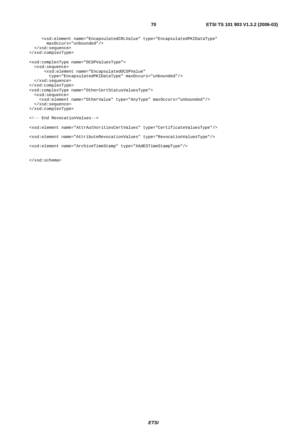```
 <xsd:element name="EncapsulatedCRLValue" type="EncapsulatedPKIDataType" 
       maxOccurs="unbounded"/> 
  </xsd:sequence> 
</xsd:complexType> 
<xsd:complexType name="OCSPValuesType"> 
   <xsd:sequence> 
       <xsd:element name="EncapsulatedOCSPValue" 
         type="EncapsulatedPKIDataType" maxOccurs="unbounded"/> 
  </xsd:sequence> 
</xsd:complexType> 
<xsd:complexType name="OtherCertStatusValuesType"> 
   <xsd:sequence> 
    <xsd:element name="OtherValue" type="AnyType" maxOccurs="unbounded"/> 
   </xsd:sequence> 
</xsd:complexType> 
<!-- End RevocationValues--> 
<xsd:element name="AttrAuthoritiesCertValues" type="CertificateValuesType"/> 
<xsd:element name="AttributeRevocationValues" type="RevocationValuesType"/> 
<xsd:element name="ArchiveTimeStamp" type="XAdESTimeStampType"/>
```
</xsd:schema>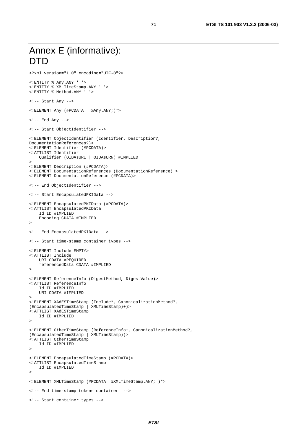```
Annex E (informative): 
DTD
```

```
<?xml version="1.0" encoding="UTF-8"?> 
<!ENTITY % Any.ANY ' '> 
<!ENTITY % XMLTimeStamp.ANY ' '> 
<!ENTITY % Method.ANY ' '> 
<!-- Start Any --> 
<!ELEMENT Any (#PCDATA %Any.ANY;)*> 
<!-- End Any --> 
<!-- Start ObjectIdentifier --> 
<!ELEMENT ObjectIdentifier (Identifier, Description?, 
DocumentationReferences?)> 
<!ELEMENT Identifier (#PCDATA)> 
<!ATTLIST Identifier 
     Qualifier (OIDAsURI | OIDAsURN) #IMPLIED 
> 
<!ELEMENT Description (#PCDATA)> 
<!ELEMENT DocumentationReferences (DocumentationReference)+> 
<!ELEMENT DocumentationReference (#PCDATA)> 
<!-- End ObjectIdentifier --> 
<!-- Start EncapsulatedPKIData --> 
<!ELEMENT EncapsulatedPKIData (#PCDATA)> 
<!ATTLIST EncapsulatedPKIData 
     Id ID #IMPLIED 
     Encoding CDATA #IMPLIED 
> 
<!-- End EncapsulatedPKIData --> 
<!-- Start time-stamp container types --> 
<!ELEMENT Include EMPTY> 
<!ATTLIST Include 
    URI CDATA #REQUIRED 
     referencedData CDATA #IMPLIED 
> 
<!ELEMENT ReferenceInfo (DigestMethod, DigestValue)> 
<!ATTLIST ReferenceInfo 
     Id ID #IMPLIED 
     URI CDATA #IMPLIED 
> 
<!ELEMENT XAdESTimeStamp (Include*, CanonicalizationMethod?, 
(EncapsulatedTimeStamp | XMLTimeStamp)+)> 
<!ATTLIST XAdESTimeStamp 
     Id ID #IMPLIED 
\sim<!ELEMENT OtherTimeStamp (ReferenceInfo+, CanonicalizationMethod?, 
(EncapsulatedTimeStamp | XMLTimeStamp))> 
<!ATTLIST OtherTimeStamp 
     Id ID #IMPLIED 
> 
<!ELEMENT EncapsulatedTimeStamp (#PCDATA)> 
<!ATTLIST EncapsulatedTimeStamp 
     Id ID #IMPLIED 
><!ELEMENT XMLTimeStamp (#PCDATA %XMLTimeStamp.ANY; )*> 
<!-- End time-stamp tokens container --> 
<!-- Start container types -->
```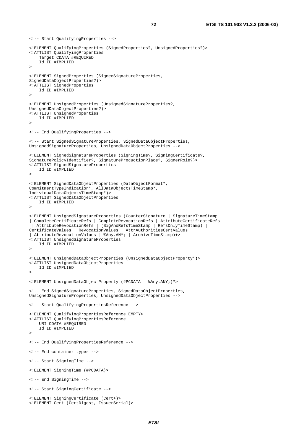```
<!-- Start QualifyingProperties --> 
<!ELEMENT QualifyingProperties (SignedProperties?, UnsignedProperties?)> 
<!ATTLIST QualifyingProperties 
     Target CDATA #REQUIRED 
     Id ID #IMPLIED 
><!ELEMENT SignedProperties (SignedSignatureProperties, 
SignedDataObjectProperties?)> 
<!ATTLIST SignedProperties 
     Id ID #IMPLIED 
><!ELEMENT UnsignedProperties (UnsignedSignatureProperties?, 
UnsignedDataObjectProperties?)> 
<!ATTLIST UnsignedProperties 
     Id ID #IMPLIED 
><!-- End QualifyingProperties --> 
<!-- Start SignedSignatureProperties, SignedDataObjectProperties, 
UnsignedSignatureProperties, UnsignedDataObjectProperties --> 
<!ELEMENT SignedSignatureProperties (SigningTime?, SigningCertificate?, 
SignaturePolicyIdentifier?, SignatureProductionPlace?, SignerRole?)> 
<!ATTLIST SignedSignatureProperties 
     Id ID #IMPLIED 
\sim<!ELEMENT SignedDataObjectProperties (DataObjectFormat*, 
CommitmentTypeIndication*, AllDataObjectsTimeStamp*, 
IndividualDataObjectsTimeStamp*)> 
<!ATTLIST SignedDataObjectProperties 
     Id ID #IMPLIED 
><!ELEMENT UnsignedSignatureProperties (CounterSignature | SignatureTimeStamp 
| CompleteCertificateRefs | CompleteRevocationRefs | AttributeCertificateRefs 
  | AttributeRevocationRefs | (SigAndRefsTimeStamp | RefsOnlyTimeStamp) | 
CertificateValues | RevocationValues | AttrAuthoritiesCertValues 
| AttributeRevocationValues | %Any.ANY; | ArchiveTimeStamp)+> 
<!ATTLIST UnsignedSignatureProperties 
     Id ID #IMPLIED 
> 
<!ELEMENT UnsignedDataObjectProperties (UnsignedDataObjectProperty*)> 
<!ATTLIST UnsignedDataObjectProperties 
     Id ID #IMPLIED 
\rightarrow<!ELEMENT UnsignedDataObjectProperty (#PCDATA %Any.ANY;)*> 
<!-- End SignedSignatureProperties, SignedDataObjectProperties, 
UnsignedSignatureProperties, UnsignedDataObjectProperties --> 
<!-- Start QualifyingPropertiesReference --> 
<!ELEMENT QualifyingPropertiesReference EMPTY> 
<!ATTLIST QualifyingPropertiesReference 
     URI CDATA #REQUIRED 
     Id ID #IMPLIED 
> 
<!-- End QualifyingPropertiesReference --> 
<!-- End container types --> 
<!-- Start SigningTime --> 
<!ELEMENT SigningTime (#PCDATA)> 
<!-- End SigningTime --> 
<!-- Start SigningCertificate --> 
<!ELEMENT SigningCertificate (Cert+)> 
<!ELEMENT Cert (CertDigest, IssuerSerial)>
```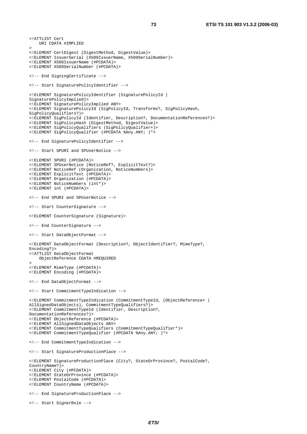```
<!ATTLIST Cert 
     URI CDATA #IMPLIED 
><!ELEMENT CertDigest (DigestMethod, DigestValue)> 
<!ELEMENT IssuerSerial (X509IssuerName, X509SerialNumber)> 
<!ELEMENT X509IssuerName (#PCDATA)> 
<!ELEMENT X509SerialNumber (#PCDATA)> 
<!-- End SigningCertificate --> 
<!-- Start SignaturePolicyIdentifier --> 
<!ELEMENT SignaturePolicyIdentifier (SignaturePolicyId | 
SignaturePolicyImplied)> 
<!ELEMENT SignaturePolicyImplied ANY> 
<!ELEMENT SignaturePolicyId (SigPolicyId, Transforms?, SigPolicyHash, 
SigPolicyQualifiers?)> 
<!ELEMENT SigPolicyId (Identifier, Description?, DocumentationReferences?)> 
<!ELEMENT SigPolicyHash (DigestMethod, DigestValue)> 
<!ELEMENT SigPolicyQualifiers (SigPolicyQualifier+)> 
<!ELEMENT SigPolicyQualifier (#PCDATA %Any.ANY; )*> 
<!-- End SignaturePolicyIdentifier --> 
<!-- Start SPURI and SPUserNotice --> 
<!ELEMENT SPURI (#PCDATA)> 
<!ELEMENT SPUserNotice (NoticeRef?, ExplicitText?)> 
<!ELEMENT NoticeRef (Organization, NoticeNumbers)> 
<!ELEMENT ExplicitText (#PCDATA)> 
<!ELEMENT Organization (#PCDATA)> 
<!ELEMENT NoticeNumbers (int*)> 
<!ELEMENT int (#PCDATA)> 
<!-- End SPURI and SPUserNotice --> 
<!-- Start CounterSignature --> 
<!ELEMENT CounterSignature (Signature)> 
<!-- End CounterSignature --> 
<!-- Start DataObjectFormat --> 
<!ELEMENT DataObjectFormat (Description?, ObjectIdentifier?, MimeType?, 
Encoding?)> 
<!ATTLIST DataObjectFormat 
     ObjectReference CDATA #REQUIRED 
><!ELEMENT MimeType (#PCDATA)> 
<!ELEMENT Encoding (#PCDATA)> 
<!-- End DataObjectFormat --> 
<!-- Start CommitmentTypeIndication --> 
<!ELEMENT CommitmentTypeIndication (CommitmentTypeId, (ObjectReference+ | 
AllSignedDataObjects), CommitmentTypeQualifiers?)> 
<!ELEMENT CommitmentTypeId (Identifier, Description?, 
DocumentationReferences?)> 
<!ELEMENT ObjectReference (#PCDATA)> 
<!ELEMENT AllSignedDataObjects ANY> 
<!ELEMENT CommitmentTypeQualifiers (CommitmentTypeQualifier*)> 
<!ELEMENT CommitmentTypeQualifier (#PCDATA %Any.ANY; )*> 
<!-- End CommitmentTypeIndication --> 
<!-- Start SignatureProductionPlace --> 
<!ELEMENT SignatureProductionPlace (City?, StateOrProvince?, PostalCode?, 
CountryName?)> 
<!ELEMENT City (#PCDATA)> 
<!ELEMENT StateOrProvince (#PCDATA)> 
<!ELEMENT PostalCode (#PCDATA)> 
<!ELEMENT CountryName (#PCDATA)> 
<!-- End SignatureProductionPlace --> 
<!-- Start SignerRole -->
```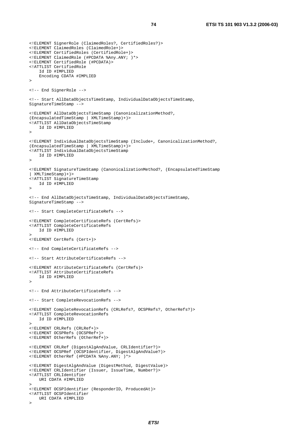```
<!ELEMENT SignerRole (ClaimedRoles?, CertifiedRoles?)> 
<!ELEMENT ClaimedRoles (ClaimedRole+)> 
<!ELEMENT CertifiedRoles (CertifiedRole+)> 
<!ELEMENT ClaimedRole (#PCDATA %Any.ANY; )*> 
<!ELEMENT CertifiedRole (#PCDATA)> 
<!ATTLIST CertifiedRole 
     Id ID #IMPLIED 
    Encoding CDATA #IMPLIED 
><!-- End SignerRole --> 
<!-- Start AllDataObjectsTimeStamp, IndividualDataObjectsTimeStamp, 
SignatureTimeStamp --> 
<!ELEMENT AllDataObjectsTimeStamp (CanonicalizationMethod?, 
(EncapsulatedTimeStamp | XMLTimeStamp)+)> 
<!ATTLIST AllDataObjectsTimeStamp 
    Id ID #IMPLIED 
><!ELEMENT IndividualDataObjectsTimeStamp (Include+, CanonicalizationMethod?, 
(EncapsulatedTimeStamp | XMLTimeStamp)+)> 
<!ATTLIST IndividualDataObjectsTimeStamp 
    Id ID #IMPLIED 
><!ELEMENT SignatureTimeStamp (CanonicalizationMethod?, (EncapsulatedTimeStamp 
| XMLTimeStamp)+)> 
<!ATTLIST SignatureTimeStamp 
     Id ID #IMPLIED 
><!-- End AllDataObjectsTimeStamp, IndividualDataObjectsTimeStamp, 
SignatureTimeStamp --> 
<!-- Start CompleteCertificateRefs --> 
<!ELEMENT CompleteCertificateRefs (CertRefs)> 
<!ATTLIST CompleteCertificateRefs 
     Id ID #IMPLIED 
\ddot{\phantom{1}}<!ELEMENT CertRefs (Cert+)> 
<!-- End CompleteCertificateRefs --> 
<!-- Start AttributeCertificateRefs --> 
<!ELEMENT AttributeCertificateRefs (CertRefs)> 
<!ATTLIST AttributeCertificateRefs 
    Id ID #IMPLIED 
><!-- End AttributeCertificateRefs --> 
<!-- Start CompleteRevocationRefs --> 
<!ELEMENT CompleteRevocationRefs (CRLRefs?, OCSPRefs?, OtherRefs?)> 
<!ATTLIST CompleteRevocationRefs 
    Id ID #IMPLIED 
><!ELEMENT CRLRefs (CRLRef+)> 
<!ELEMENT OCSPRefs (OCSPRef+)> 
<!ELEMENT OtherRefs (OtherRef+)> 
<!ELEMENT CRLRef (DigestAlgAndValue, CRLIdentifier?)> 
<!ELEMENT OCSPRef (OCSPIdentifier, DigestAlgAndValue?)> 
<!ELEMENT OtherRef (#PCDATA %Any.ANY; )*> 
<!ELEMENT DigestAlgAndValue (DigestMethod, DigestValue)> 
<!ELEMENT CRLIdentifier (Issuer, IssueTime, Number?)> 
<!ATTLIST CRLIdentifier 
    URI CDATA #IMPLIED 
> 
<!ELEMENT OCSPIdentifier (ResponderID, ProducedAt)> 
<!ATTLIST OCSPIdentifier 
    URI CDATA #IMPLIED 
\sim
```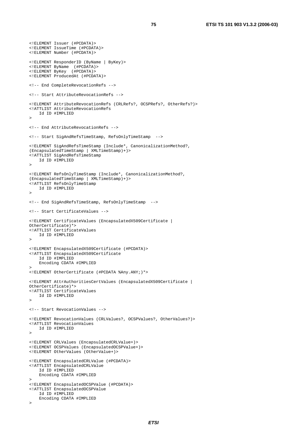```
<!ELEMENT Issuer (#PCDATA)> 
<!ELEMENT IssueTime (#PCDATA)> 
<!ELEMENT Number (#PCDATA)> 
<!ELEMENT ResponderID (ByName | ByKey)> 
<!ELEMENT ByName (#PCDATA)> 
<!ELEMENT ByKey (#PCDATA)> 
<!ELEMENT ProducedAt (#PCDATA)> 
<!-- End CompleteRevocationRefs --> 
<!-- Start AttributeRevocationRefs --> 
<!ELEMENT AttributeRevocationRefs (CRLRefs?, OCSPRefs?, OtherRefs?)> 
<!ATTLIST AttributeRevocationRefs 
     Id ID #IMPLIED 
> 
<!-- End AttributeRevocationRefs --> 
<!-- Start SigAndRefsTimeStamp, RefsOnlyTimeStamp --> 
<!ELEMENT SigAndRefsTimeStamp (Include*, CanonicalizationMethod?, 
(EncapsulatedTimeStamp | XMLTimeStamp)+)> 
<!ATTLIST SigAndRefsTimeStamp 
     Id ID #IMPLIED 
><!ELEMENT RefsOnlyTimeStamp (Include*, CanonicalizationMethod?, 
(EncapsulatedTimeStamp | XMLTimeStamp)+)> 
<!ATTLIST RefsOnlyTimeStamp 
     Id ID #IMPLIED 
> 
<!-- End SigAndRefsTimeStamp, RefsOnlyTimeStamp --> 
<!-- Start CertificateValues --> 
<!ELEMENT CertificateValues (EncapsulatedX509Certificate | 
OtherCertificate)*> 
<!ATTLIST CertificateValues 
     Id ID #IMPLIED 
><!ELEMENT EncapsulatedX509Certificate (#PCDATA)> 
<!ATTLIST EncapsulatedX509Certificate 
     Id ID #IMPLIED 
     Encoding CDATA #IMPLIED 
><!ELEMENT OtherCertificate (#PCDATA %Any.ANY;)*> 
<!ELEMENT AttrAuthoritiesCertValues (EncapsulatedX509Certificate | 
OtherCertificate)*> 
<!ATTLIST CertificateValues 
    Id ID #IMPLIED 
> 
<!-- Start RevocationValues --> 
<!ELEMENT RevocationValues (CRLValues?, OCSPValues?, OtherValues?)> 
<!ATTLIST RevocationValues 
    Id ID #IMPLIED 
> 
<!ELEMENT CRLValues (EncapsulatedCRLValue+)> 
<!ELEMENT OCSPValues (EncapsulatedOCSPValue+)> 
<!ELEMENT OtherValues (OtherValue+)> 
<!ELEMENT EncapsulatedCRLValue (#PCDATA)> 
<!ATTLIST EncapsulatedCRLValue 
     Id ID #IMPLIED 
     Encoding CDATA #IMPLIED 
\rightarrow<!ELEMENT EncapsulatedOCSPValue (#PCDATA)> 
<!ATTLIST EncapsulatedOCSPValue 
     Id ID #IMPLIED 
     Encoding CDATA #IMPLIED 
\ddot{\phantom{1}}
```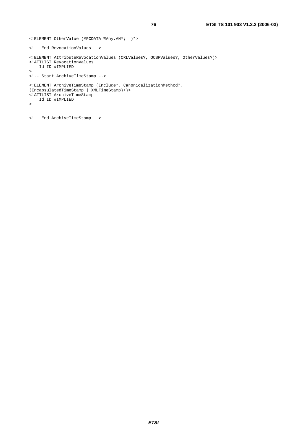```
<!ELEMENT OtherValue (#PCDATA %Any.ANY; )*> 
<!-- End RevocationValues --> 
<!ELEMENT AttributeRevocationValues (CRLValues?, OCSPValues?, OtherValues?)> 
<!ATTLIST RevocationValues 
     Id ID #IMPLIED 
\rightarrow<!-- Start ArchiveTimeStamp --> 
<!ELEMENT ArchiveTimeStamp (Include*, CanonicalizationMethod?, 
(EncapsulatedTimeStamp | XMLTimeStamp)+)> 
<!ATTLIST ArchiveTimeStamp 
    Id ID #IMPLIED 
>
```

```
<!-- End ArchiveTimeStamp -->
```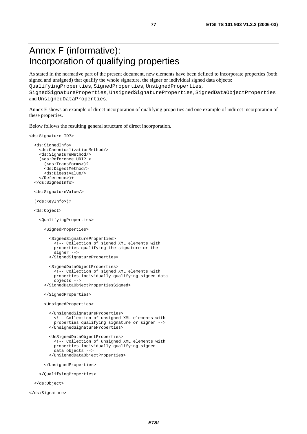# Annex F (informative): Incorporation of qualifying properties

As stated in the normative part of the present document, new elements have been defined to incorporate properties (both signed and unsigned) that qualify the whole signature, the signer or individual signed data objects: QualifyingProperties, SignedProperties, UnsignedProperties,

SignedSignatureProperties, UnsignedSignatureProperties, SignedDataObjectProperties and UnsignedDataProperties.

Annex E shows an example of direct incorporation of qualifying properties and one example of indirect incorporation of these properties.

Below follows the resulting general structure of direct incorporation.

```
<ds:Signature ID?> 
   <ds:SignedInfo> 
     <ds:CanonicalizationMethod/> 
     <ds:SignatureMethod/> 
     (<ds:Reference URI? > 
       (<ds:Transforms>)? 
       <ds:DigestMethod/> 
       <ds:DigestValue/> 
     </Reference>)+ 
   </ds:SignedInfo> 
   <ds:SignatureValue/> 
   (<ds:KeyInfo>)? 
   <ds:Object> 
     <QualifyingProperties> 
       <SignedProperties> 
         <SignedSignatureProperties> 
           <!-- Collection of signed XML elements with 
           properties qualifying the signature or the 
           signer --> 
         </SignedSignatureProperties> 
         <SignedDataObjectProperties> 
            <!-- Collection of signed XML elements with 
           properties individually qualifying signed data 
            objects --> 
       </SignedDataObjectPropertiesSigned> 
       </SignedProperties> 
       <UnsignedProperties> 
         </UnsignedSignatureProperties> 
            <!-- Collection of unsigned XML elements with 
           properties qualifying signature or signer --> 
         </UnsignedSignatureProperties> 
         <UnSignedDataObjectProperties> 
           <!-- Collection of unsigned XML elements with 
           properties individually qualifying signed 
           data objects --> 
         </UnSignedDataObjectProperties> 
       </UnsignedProperties> 
     </QualifyingProperties> 
   </ds:Object>
```
</ds:Signature>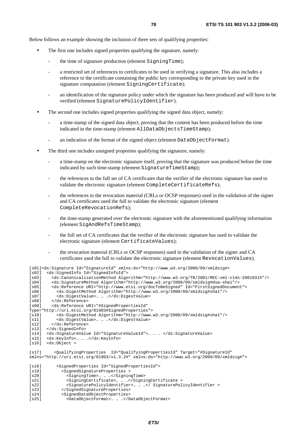Below follows an example showing the inclusion of three sets of qualifying properties:

- The first one includes signed properties qualifying the signature, namely:
	- the time of signature production (element SigningTime);
	- a restricted set of references to certificates to be used in verifying a signature. This also includes a reference to the certificate containing the public key corresponding to the private key used in the signature computation (element SigningCertificate);
	- an identification of the signature policy under which the signature has been produced and will have to be verified (element SignaturePolicyIdentifier).
- The second one includes signed properties qualifying the signed data object, namely:
	- a time-stamp of the signed data object, proving that the content has been produced before the time indicated in the time-stamp (element AllDataObjectsTimeStamp);
	- an indication of the format of the signed object (element DataObjectFormat).
- The third one includes unsigned properties qualifying the signature, namely:
	- a time-stamp on the electronic signature itself, proving that the signature was produced before the time indicated by such time-stamp (element SignatureTimeStamp);
	- the references to the full set of CA certificates that the verifier of the electronic signature has used to validate the electronic signature (element CompleteCertificateRefs);
	- the references to the revocation material (CRLs or OCSP responses) used in the validation of the signer and CA certificates used the full to validate the electronic signature (element CompleteRevocationRefs);
	- the time-stamp generated over the electronic signature with the aforementioned qualifying information (element SigAndRefsTimeStamp);
	- the full set of CA certificates that the verifier of the electronic signature has used to validate the electronic signature (element CertificateValues);
	- the revocation material (CRLs or OCSP responses) used in the validation of the signer and CA certificates used the full to validate the electronic signature (element RevocationValues).

```
[s01]<ds:Signature Id="SignatureId" xmlns:ds="http://www.w3.org/2000/09/xmldsig#> 
[s02] <ds:SignedInfo Id="SignedInfoId"> 
[s03] <ds:CanonicalizationMethod Algorithm="http://www.w3.org/TR/2001/REC-xml-c14n-20010315"/> 
[s04] <ds:SignatureMethod Algorithm="http://www.w3.org/2000/09/xmldsig#dsa-sha1"/> 
[s05] <ds:Reference URI="http://www.etsi.org/docToBeSigned" Id="FirstSignedDocument"> 
[s06] <ds:DigestMethod Algorithm="http://www.w3.org/2000/09/xmldsig#shal"/><br>[s07] <ds:DigestValue>... ... ...</ds:DigestValue>
[s07] <ds:DigestValue>… … …</ds:DigestValue> 
         [s08] </ds:Reference> 
[s09] <ds:Reference URI="#SignedPropertiesId" 
Type="http://uri.etsi.org/01903#SignedProperties"> 
[s10] <ds:DigestMethod Algorithm="http://www.w3.org/2000/09/xmldsig#sha1"/> 
[s11] <ds:DigestValue>… … …</ds:DigestValue> 
         [s12] </ds:Reference> 
[s13] </ds:SignedInfo>
[s14] <ds:SignatureValue Id="SignatureValueId">… … … </ds:SignatureValue> 
[s15] <ds:KeyInfo>… … …</ds:KeyInfo> 
[s16] <ds:Object >
[s17] <QualifyingProperties Id="QualifyingPropertiesId" Target="#SignatureId" 
xmlns="http://uri.etsi.org/01903/v1.3.2#" xmlns:ds="http://www.w3.org/2000/09/xmldsig#"> 
[s18] <SignedProperties Id="SignedPropertiesId"> 
[s19] <SignedSignatureProperties > 
[s20] <SigningTime>… … …</SigningTime> 
[s21] <SigningCertificate>… … …</SigningCertificate > 
               [s22] <SignaturePolicyIdentifier>… … …</ SignaturePolicyIdentifier > 
[s23] </SignedSignatureProperties> 
[s24] < SignedDataObjectProperties><br>
[s25] < > < DataObjectFormat>... ... ...</D
                [s25] <DataObjectFormat>… … …</DataObjectFormat>
```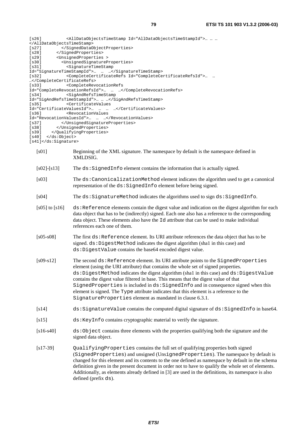| [s26]                                                                                                                                                                                                                                                                                                                                                                                                                                                                                                                                                                                                                    |                                                                                                                                                                                                                                                                                                                                    |  |  |  |
|--------------------------------------------------------------------------------------------------------------------------------------------------------------------------------------------------------------------------------------------------------------------------------------------------------------------------------------------------------------------------------------------------------------------------------------------------------------------------------------------------------------------------------------------------------------------------------------------------------------------------|------------------------------------------------------------------------------------------------------------------------------------------------------------------------------------------------------------------------------------------------------------------------------------------------------------------------------------|--|--|--|
|                                                                                                                                                                                                                                                                                                                                                                                                                                                                                                                                                                                                                          |                                                                                                                                                                                                                                                                                                                                    |  |  |  |
| [s27]<br>[s28]                                                                                                                                                                                                                                                                                                                                                                                                                                                                                                                                                                                                           |                                                                                                                                                                                                                                                                                                                                    |  |  |  |
| [s29]                                                                                                                                                                                                                                                                                                                                                                                                                                                                                                                                                                                                                    | <br><unsignedproperties></unsignedproperties>                                                                                                                                                                                                                                                                                      |  |  |  |
| [s30]                                                                                                                                                                                                                                                                                                                                                                                                                                                                                                                                                                                                                    | <unsignedsignatureproperties></unsignedsignatureproperties>                                                                                                                                                                                                                                                                        |  |  |  |
| [s31]                                                                                                                                                                                                                                                                                                                                                                                                                                                                                                                                                                                                                    | <signaturetimestamp< td=""></signaturetimestamp<>                                                                                                                                                                                                                                                                                  |  |  |  |
|                                                                                                                                                                                                                                                                                                                                                                                                                                                                                                                                                                                                                          | Id="SignatureTimeStampId">                                                                                                                                                                                                                                                                                                         |  |  |  |
| [s32]                                                                                                                                                                                                                                                                                                                                                                                                                                                                                                                                                                                                                    |                                                                                                                                                                                                                                                                                                                                    |  |  |  |
|                                                                                                                                                                                                                                                                                                                                                                                                                                                                                                                                                                                                                          |                                                                                                                                                                                                                                                                                                                                    |  |  |  |
| [s33]                                                                                                                                                                                                                                                                                                                                                                                                                                                                                                                                                                                                                    | <completerevocationrefs< td=""></completerevocationrefs<>                                                                                                                                                                                                                                                                          |  |  |  |
|                                                                                                                                                                                                                                                                                                                                                                                                                                                                                                                                                                                                                          | Id="CompleteRevocationRefsId">                                                                                                                                                                                                                                                                                                     |  |  |  |
| [s34]                                                                                                                                                                                                                                                                                                                                                                                                                                                                                                                                                                                                                    | <sigandrefstimestamp<br>Id="SigAndRefsTimeStampId"&gt;  </sigandrefstimestamp<br>                                                                                                                                                                                                                                                  |  |  |  |
| [s35]                                                                                                                                                                                                                                                                                                                                                                                                                                                                                                                                                                                                                    | <certificatevalues< td=""></certificatevalues<>                                                                                                                                                                                                                                                                                    |  |  |  |
|                                                                                                                                                                                                                                                                                                                                                                                                                                                                                                                                                                                                                          | Id="CertificateValuesId">                                                                                                                                                                                                                                                                                                          |  |  |  |
| [s36]                                                                                                                                                                                                                                                                                                                                                                                                                                                                                                                                                                                                                    | <revocationvalues< td=""></revocationvalues<>                                                                                                                                                                                                                                                                                      |  |  |  |
|                                                                                                                                                                                                                                                                                                                                                                                                                                                                                                                                                                                                                          | Id="RevocationValuesId">                                                                                                                                                                                                                                                                                                           |  |  |  |
| [s37]                                                                                                                                                                                                                                                                                                                                                                                                                                                                                                                                                                                                                    |                                                                                                                                                                                                                                                                                                                                    |  |  |  |
| [s38]                                                                                                                                                                                                                                                                                                                                                                                                                                                                                                                                                                                                                    |                                                                                                                                                                                                                                                                                                                                    |  |  |  |
| [s39]                                                                                                                                                                                                                                                                                                                                                                                                                                                                                                                                                                                                                    |                                                                                                                                                                                                                                                                                                                                    |  |  |  |
| [s40]<br><br>[s41]                                                                                                                                                                                                                                                                                                                                                                                                                                                                                                                                                                                                       |                                                                                                                                                                                                                                                                                                                                    |  |  |  |
|                                                                                                                                                                                                                                                                                                                                                                                                                                                                                                                                                                                                                          |                                                                                                                                                                                                                                                                                                                                    |  |  |  |
| [ <sub>s01</sub> ]                                                                                                                                                                                                                                                                                                                                                                                                                                                                                                                                                                                                       | Beginning of the XML signature. The namespace by default is the namespace defined in<br>XMLDSIG.                                                                                                                                                                                                                                   |  |  |  |
| $[s02] - [s13]$                                                                                                                                                                                                                                                                                                                                                                                                                                                                                                                                                                                                          | The ds: SignedInfo element contains the information that is actually signed.                                                                                                                                                                                                                                                       |  |  |  |
| $[$ 03]                                                                                                                                                                                                                                                                                                                                                                                                                                                                                                                                                                                                                  | The ds: CanonicalizationMethod element indicates the algorithm used to get a canonical                                                                                                                                                                                                                                             |  |  |  |
|                                                                                                                                                                                                                                                                                                                                                                                                                                                                                                                                                                                                                          | representation of the ds: SignedInfo element before being signed.                                                                                                                                                                                                                                                                  |  |  |  |
| $[1804]$                                                                                                                                                                                                                                                                                                                                                                                                                                                                                                                                                                                                                 | The ds: SignatureMethod indicates the algorithms used to sign ds: SignedInfo.                                                                                                                                                                                                                                                      |  |  |  |
| $[s05]$ to $[s16]$                                                                                                                                                                                                                                                                                                                                                                                                                                                                                                                                                                                                       | ds:Reference elements contain the digest value and indication on the digest algorithm for each<br>data object that has to be (indirectly) signed. Each one also has a reference to the corresponding<br>data object. These elements also have the 1d attribute that can be used to make individual<br>references each one of them. |  |  |  |
| $[s05-s08]$                                                                                                                                                                                                                                                                                                                                                                                                                                                                                                                                                                                                              | The first ds: Reference element. Its URI attribute references the data object that has to be<br>signed. ds: DigestMethod indicates the digest algorithm (shal in this case) and<br>ds: DigestValue contains the base64 encoded digest value.                                                                                       |  |  |  |
| $[s09-s12]$<br>The second ds: Reference element. Its URI attribute points to the SignedProperties<br>element (using the URI attribute) that contains the whole set of signed properties.<br>ds: DigestMethod indicates the digest algorithm (shal in this case) and ds: DigestValue<br>contains the digest value filtered in base. This means that the digest value of that<br>SignedProperties is included in ds: SignedInfo and in consequence signed when this<br>element is signed. The Type attribute indicates that this element is a reference to the<br>SignatureProperties element as mandated in clause 6.3.1. |                                                                                                                                                                                                                                                                                                                                    |  |  |  |
| [s14]                                                                                                                                                                                                                                                                                                                                                                                                                                                                                                                                                                                                                    | ds: SignatureValue contains the computed digital signature of ds: SignedInfo in base64.                                                                                                                                                                                                                                            |  |  |  |
| [s15]                                                                                                                                                                                                                                                                                                                                                                                                                                                                                                                                                                                                                    | ds: KeyInfo contains cryptographic material to verify the signature.                                                                                                                                                                                                                                                               |  |  |  |
| $[s16-s40]$                                                                                                                                                                                                                                                                                                                                                                                                                                                                                                                                                                                                              | $ds:Object$ contains three elements with the properties qualifying both the signature and the<br>signed data object.                                                                                                                                                                                                               |  |  |  |
|                                                                                                                                                                                                                                                                                                                                                                                                                                                                                                                                                                                                                          |                                                                                                                                                                                                                                                                                                                                    |  |  |  |

[s17-39] QualifyingProperties contains the full set of qualifying properties both signed (SignedProperties) and unsigned (UnsignedProperties). The namespace by default is changed for this element and its contents to the one defined as namespace by default in the schema definition given in the present document in order not to have to qualify the whole set of elements. Additionally, as elements already defined in [3] are used in the definitions, its namespace is also defined (prefix ds).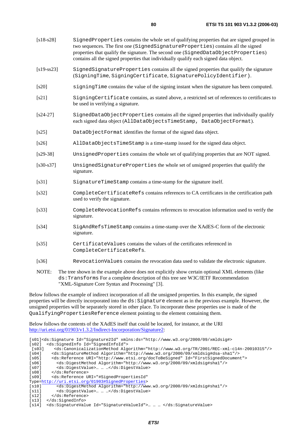| $[s18-s28]$  | SignedProperties contains the whole set of qualifying properties that are signed grouped in<br>two sequences. The first one (SignedSignatureProperties) contains all the signed<br>properties that qualify the signature. The second one (SignedDataObjectProperties)<br>contains all the signed properties that individually qualify each signed data object. |
|--------------|----------------------------------------------------------------------------------------------------------------------------------------------------------------------------------------------------------------------------------------------------------------------------------------------------------------------------------------------------------------|
| $[s19-ss23]$ | SignedSignatureProperties contains all the signed properties that qualify the signature<br>(SigningTime, SigningCertificate, SignaturePolicyIdentifier).                                                                                                                                                                                                       |
| [s20]        | signingTime contains the value of the signing instant when the signature has been computed.                                                                                                                                                                                                                                                                    |
| [s21]        | SigningCertificate contains, as stated above, a restricted set of references to certificates to                                                                                                                                                                                                                                                                |

- be used in verifying a signature.
- [s24-27] SignedDataObjectProperties contains all the signed properties that individually qualify each signed data object (AllDataObjectsTimeStamp, DataObjectFormat).
- [s25] DataObjectFormat identifies the format of the signed data object.
- [s26] AllDataObjectsTimeStamp is a time-stamp issued for the signed data object.
- [s29-38] UnsignedProperties contains the whole set of qualifying properties that are NOT signed.
- [s30-s37] UnsignedSignatureProperties the whole set of unsigned properties that qualify the signature.
- [s31] SignatureTimeStamp contains a time-stamp for the signature itself.
- [s32] CompleteCertificateRefs contains references to CA certificates in the certification path used to verify the signature.
- [s33] CompleteRevocationRefs contains references to revocation information used to verify the signature.
- [s34] SigAndRefsTimeStamp contains a time-stamp over the XAdES-C form of the electronic signature.
- [s35] CertificateValues contains the values of the certificates referenced in CompleteCertificateRefs.
- [s36] RevocationValues contains the revocation data used to validate the electronic signature.
- NOTE: The tree shown in the example above does not explicitly show certain optional XML elements (like ds:Transforms For a complete description of this tree see W3C/IETF Recommendation "XML-Signature Core Syntax and Processing" [3].

Below follows the example of indirect incorporation of all the unsigned properties. In this example, the signed properties will be directly incorporated into the ds:Signature element as in the previous example. However, the unsigned properties will be separately stored in other place. To incorporate these properties use is made of the QualifyingPropertiesReference element pointing to the element containing them.

Below follows the contents of the XAdES itself that could be located, for instance, at the URI [http://uri.etsi.org/01903/v1.3.2/Indirect-Incorporation/Signature2](http://uri.etsi.org/01903/v1.3.2/Indirect%1eIncorporation/Signature2):

[s01]<ds:Signature Id="Signature2Id" xmlns:ds="http://www.w3.org/2000/09/xmldsig#> [s02] <ds:SignedInfo Id="SignedInfoId"> [s03] <ds:CanonicalizationMethod Algorithm="http://www.w3.org/TR/2001/REC-xml-c14n-20010315"/> [s04] <ds:SignatureMethod Algorithm="http://www.w3.org/2000/09/xmldsig#dsa-sha1"/> [s05] <ds:Reference URI="http://www.etsi.org/docToBeSigned" Id="FirstSignedDocument"> [s06] <ds:DigestMethod Algorithm="http://www.w3.org/2000/09/xmldsig#sha1"/> [s07] <ds:DigestValue>… … …</ds:DigestValue> [s08] </ds:Reference> [s09] <ds:Reference URI="#SignedPropertiesId" Type=[http://uri.etsi.org/01903#SignedProperties>](http://uri.etsi.org/01903)<br>[s10] <ds:DigestMethod Algorithm="http://ww [s10] <ds:DigestMethod Algorithm="http://www.w3.org/2000/09/xmldsig#sha1"/> [s11] <ds:DigestValue>… … …</ds:DigestValue> [s12] </ds:Reference> [s13] </ds:SignedInfo> [s14] <ds:SignatureValue Id="SignatureValueId">… … … </ds:SignatureValue>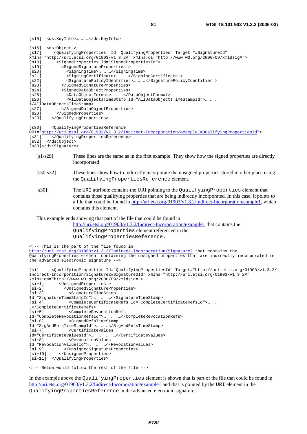| [s15] | <ds:keyinfo> </ds:keyinfo>                                                                               |  |  |  |
|-------|----------------------------------------------------------------------------------------------------------|--|--|--|
| [s16] | $ds:Object$ >                                                                                            |  |  |  |
| [s17] | <qualifyingproperties <="" id="QualifyingProperties" target="#SignatureId" td=""></qualifyingproperties> |  |  |  |
|       | $xmlns="http://uri.etsi.org/01903/v1.3.2#" xmlns:ds="http://www.w3.org/2000/09/xmldsiq#">$               |  |  |  |
| [s18] | <signedproperties id="SignedPropertiesId"></signedproperties>                                            |  |  |  |
| [s19] | <signedsignatureproperties></signedsignatureproperties>                                                  |  |  |  |
| [s20] | <signingtime> </signingtime>                                                                             |  |  |  |
| [s21] | <signingcertificate> </signingcertificate>                                                               |  |  |  |
| [s22] | <signaturepolicyidentifier> </signaturepolicyidentifier>                                                 |  |  |  |
| [s23] |                                                                                                          |  |  |  |
| [s24] | <signeddataobjectproperties></signeddataobjectproperties>                                                |  |  |  |
| [s25] | <dataobjectformat> </dataobjectformat>                                                                   |  |  |  |
| [s26] |                                                                                                          |  |  |  |
|       |                                                                                                          |  |  |  |
| [s27] |                                                                                                          |  |  |  |
| [s28] |                                                                                                          |  |  |  |
| [s29] |                                                                                                          |  |  |  |
| [s30] | <oualifyingpropertiesreference< td=""></oualifyingpropertiesreference<>                                  |  |  |  |

URI="[http://uri.etsi.org/01903/v1.3.2/Indirect-Incorporation/example1#QualifyingPropertiesId"](http://uri.etsi.org/01903/v1.3.2/Indirect%1eIncorporation/example1%23QualifyingPropertiesId)> [s31] </QualifyingPropertiesReference>

 $[s32]$  </ds:Object>

[s33]</ds:Signature>

- [s1-s29] These lines are the same as in the first example. They show how the signed properties are directly incorporated.
- [s30-s32] These lines show how to indirectly incorporate the unsigned properties stored in other place using the QualifyingPropertiesReference element.
- [s30] The URI attribute contains the URI pointing to the QualifyingProperties element that contains those qualifying properties that are being indirectly incorporated. In this case, it points to a file that could be found in <http://uri.etsi.org/01903/v1.3.2/Indirect-Incorporation/eample1>, which contains this element.

This example ends showing that part of the file that could be found in

[http://uri.etsi.org/01903/v1.3.2/Indirect-Incorporation/example1](http://uri.etsi.org/01903/v1.3.2/Indirect%1eIncorporation/example1) that contains the QualifyingProperties element referenced in the QualifyingPropertiesReference.

<!-- This is the part of the file found in [http://uri.etsi.org/01903/v1.3.2/Indirect-Incorporation/Signature2](http://uri.etsi.org/01903/v1.3.2/Indirect%1eIncorporation/Signature2) that contains the QualifyingProperties element containing the unsigned properties that are indirectly incorporated in the advanced electronic signature -->

```
[si] <QualifyingProperties Id="QualifyingPropertiesId" Target="http://uri.etsi.org/01903/v1.3.2/ 
Indirect-Incorporation/Signature2#Signature2Id" xmlns="http://uri.etsi.org/01903/v1.3.2#" 
xmlns:ds="http://www.w3.org/2000/09/xmldsig#"> 
[si+1] <UnsignedProperties > 
ح المحدث ولي العامة [si+2]<br>
sUnsignedSignatureProperties><br>
sSignatureTimeStamp>>> <SignatureTimeStamp
                 <SignatureTimeStamp<br>meStampId">... ... ...</SignatureTimeStamp>
Id="SignatureTimeStampId">... ...<br>
[s\,i+4] <CompleteCertif
          .<br><CompleteCertificateRefs Id="CompleteCertificateRefsId">… …
…</CompleteCertificateRefs> 
[si+5] <CompleteRevocationRefs 
Id="CompleteRevocationRefsId">… … …</CompleteRevocationRefs> 
[si+6] <SigAndRefsTimeStamp 
Id="SigAndRefsTimeStampId">… … …</SigAndRefsTimeStamp> 
                 <CertificateValues
Id="CertificateValuesId">… … … …</CertificateValues> 
[si+8] <RevocationValues 
Id="RevocationValuesId">… … …</RevocationValues> 
[si+9] </UnsignedSignatureProperties><br>[si+10] </UnsignedProperties>
            </UnsignedProperties>
[si+11] </QualifyingProperties> 
<!-- Below would follow the rest of the file -->
```
In the example above the QualifyingProperties element is shown that is part of the file that could be found in [http://uri.etsi.org/01903/v1.3.2/Indirect-Incorporation/example1](http://uri.etsi.org/01903/v1.2.2/Indirect-Incorporation/example1) and that is pointed by the URI element in the QualifyingPropertiesReference in the advanced electronic signature.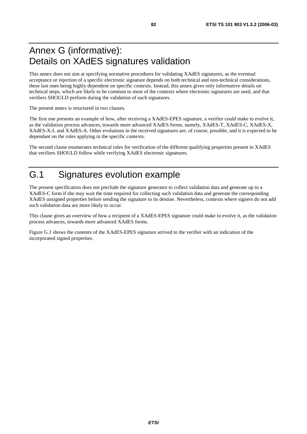# Annex G (informative): Details on XAdES signatures validation

This annex does not aim at specifying normative procedures for validating XAdES signatures, as the eventual acceptance or rejection of a specific electronic signature depends on both technical and non-technical considerations, these last ones being highly dependent on specific contexts. Instead, this annex gives only informative details on technical steps, which are likely to be common to most of the contexts where electronic signatures are used, and that verifiers SHOULD perform during the validation of such signatures.

The present annex is structured in two clauses.

The first one presents an example of how, after receiving a XAdES-EPES signature, a verifier could make to evolve it, as the validation process advances, towards more advanced XAdES forms, namely, XAdES-T, XAdES-C, XAdES-X, XAdES-X-L and XAdES-A. Other evolutions in the received signatures are, of course, possible, and it is expected to be dependant on the rules applying in the specific contexts.

The second clause enumerates technical rules for verification of the different qualifying properties present in XAdES that verifiers SHOULD follow while verifying XAdES electronic signatures.

# G.1 Signatures evolution example

The present specification does not preclude the signature generator to collect validation data and generate up to a XAdES-C form if she may wait the time required for collecting such validation data and generate the corresponding XAdES unsigned properties before sending the signature to its destine. Nevertheless, contexts where signers do not add such validation data are more likely to occur.

This clause gives an overview of how a recipient of a XAdES-EPES signature could make to evolve it, as the validation process advances, towards more advanced XAdES forms.

Figure G.1 shows the contents of the XAdES-EPES signature arrived to the verifier with an indication of the incorporated signed properties.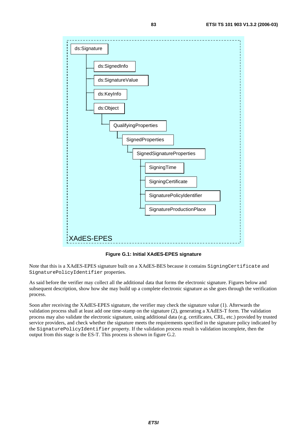

**Figure G.1: Initial XAdES-EPES signature** 

Note that this is a XAdES-EPES signature built on a XAdES-BES because it contains SigningCertificate and SignaturePolicyIdentifier properties.

As said before the verifier may collect all the additional data that forms the electronic signature. Figures below and subsequent description, show how she may build up a complete electronic signature as she goes through the verification process.

Soon after receiving the XAdES-EPES signature, the verifier may check the signature value (1). Afterwards the validation process shall at least add one time-stamp on the signature (2), generating a XAdES-T form. The validation process may also validate the electronic signature, using additional data (e.g. certificates, CRL, etc.) provided by trusted service providers, and check whether the signature meets the requirements specified in the signature policy indicated by the SignaturePolicyIdentifier property. If the validation process result is validation incomplete, then the output from this stage is the ES-T. This process is shown in figure G.2.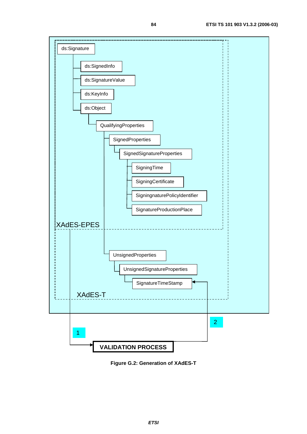

**Figure G.2: Generation of XAdES-T**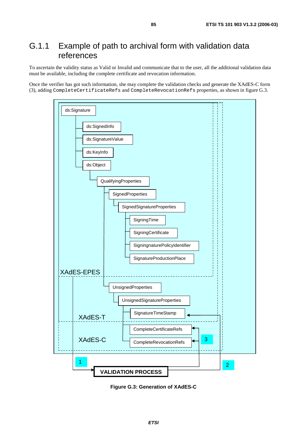# G.1.1 Example of path to archival form with validation data references

To ascertain the validity status as Valid or Invalid and communicate that to the user, all the additional validation data must be available, including the complete certificate and revocation information.

Once the verifier has got such information, she may complete the validation checks and generate the XAdES-C form (3), adding CompleteCertificateRefs and CompleteRevocationRefs properties, as shown in figure G.3.



**Figure G.3: Generation of XAdES-C**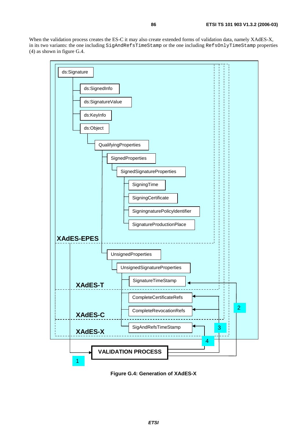When the validation process creates the ES-C it may also create extended forms of validation data, namely XAdES-X, in its two variants: the one including SigAndRefsTimeStamp or the one including RefsOnlyTimeStamp properties (4) as shown in figure G.4.



**Figure G.4: Generation of XAdES-X**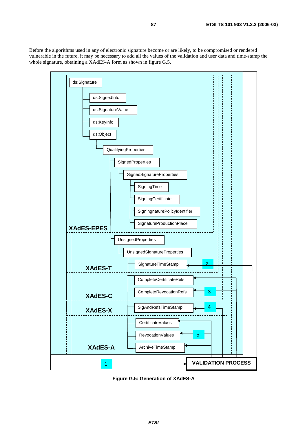Before the algorithms used in any of electronic signature become or are likely, to be compromised or rendered vulnerable in the future, it may be necessary to add all the values of the validation and user data and time-stamp the whole signature, obtaining a XAdES-A form as shown in figure G.5.



**Figure G.5: Generation of XAdES-A**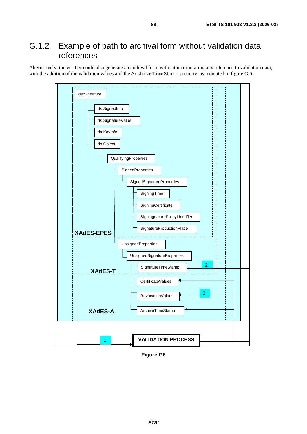# G.1.2 Example of path to archival form without validation data references

Alternatively, the verifier could also generate an archival form without incorporating any reference to validation data, with the addition of the validation values and the ArchiveTimeStamp property, as indicated in figure G.6.



**Figure G6**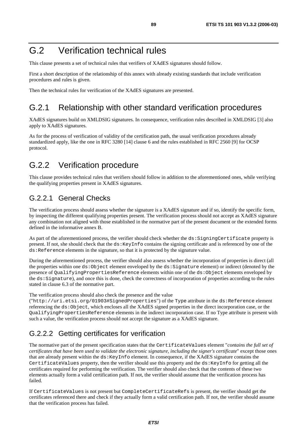# G.2 Verification technical rules

This clause presents a set of technical rules that verifiers of XAdES signatures should follow.

First a short description of the relationship of this annex with already existing standards that include verification procedures and rules is given.

Then the technical rules for verification of the XAdES signatures are presented.

## G.2.1 Relationship with other standard verification procedures

XAdES signatures build on XMLDSIG signatures. In consequence, verification rules described in XMLDSIG [3] also apply to XAdES signatures.

As for the process of verification of validity of the certification path, the usual verification procedures already standardized apply, like the one in RFC 3280 [14] clause 6 and the rules established in RFC 2560 [9] for OCSP protocol.

## G.2.2 Verification procedure

This clause provides technical rules that verifiers should follow in addition to the aforementioned ones, while verifying the qualifying properties present in XAdES signatures.

### G.2.2.1 General Checks

The verification process should assess whether the signature is a XAdES signature and if so, identify the specific form, by inspecting the different qualifying properties present. The verification process should not accept as XAdES signature any combination not aligned with those established in the normative part of the present document or the extended forms defined in the informative annex B.

As part of the aforementioned process, the verifier should check whether the ds:SigningCertificate property is present. If not, she should check that the ds:KeyInfo contains the signing certificate and is referenced by one of the ds:Reference elements in the signature, so that it is protected by the signature value.

During the aforementioned process, the verifier should also assess whether the incorporation of properties is direct (all the properties within one ds:Object element enveloped by the ds:Signature element) or indirect (denoted by the presence of QualifyingPropertiesReference elements within one of the ds:Object elements enveloped by the ds:Signature), and once this is done, check the correctness of incorporation of properties according to the rules stated in clause 6.3 of the normative part.

The verification process should also check the presence and the value

("http://uri.etsi.org/01903#SignedProperties") of the Type attribute in the ds:Reference element referencing the ds:Object, which encloses all the XAdES signed properties in the direct incorporation case, or the QualifyingPropertiesReference elements in the indirect incorporation case. If no Type attribute is present with such a value, the verification process should not accept the signature as a XAdES signature.

### G.2.2.2 Getting certificates for verification

The normative part of the present specification states that the CertificateValues element "*contains the full set of certificates that have been used to validate the electronic signature, including the signer's certificate*" except those ones that are already present within the ds:KeyInfo element. In consequence, if the XAdES signature contains the CertificateValues property, then the verifier should use this property and the ds:KeyInfo for getting all the certificates required for performing the verification. The verifier should also check that the contents of these two elements actually form a valid certification path. If not, the verifier should assume that the verification process has failed.

If CertificateValues is not present but CompleteCertificateRefs is present, the verifier should get the certificates referenced there and check if they actually form a valid certification path. If not, the verifier should assume that the verification process has failed.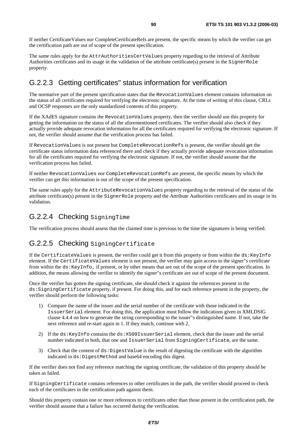The same rules apply for the AttrAuthoritiesCertValues property regarding to the retrieval of Attribute Authorities certificates and its usage in the validation of the attribute certificate(s) present in the SignerRole property.

## G.2.2.3 Getting certificates" status information for verification

The normative part of the present specification states that the RevocationValues element contains information on the status of all certificates required for verifying the electronic signature. At the time of writing of this clause, CRLs and OCSP responses are the only standardized contents of this property.

If the XAdES signature contains the RevocationValues property, then the verifier should use this property for getting the information on the status of all the aforementioned certificates. The verifier should also check if they actually provide adequate revocation information for all the certificates required for verifying the electronic signature. If not, the verifier should assume that the verification process has failed.

If RevocationValues is not present but CompleteRevocationRefs is present, the verifier should get the certificate status information data referenced there and check if they actually provide adequate revocation information for all the certificates required for verifying the electronic signature. If not, the verifier should assume that the verification process has failed.

If neither RevocationValues nor CompleteRevocationRefs are present, the specific means by which the verifier can get this information is out of the scope of the present specification.

The same rules apply for the AttributeRevocationValues property regarding to the retrieval of the status of the attribute certificate(s) present in the SignerRole property and the Attribute Authorities certificates and its usage in its validation.

## G.2.2.4 Checking SigningTime

The verification process should assess that the claimed time is previous to the time the signatures is being verified.

### G.2.2.5 Checking SigningCertificate

If the CertificateValues is present, the verifier could get it from this property or from within the ds:KeyInfo element. If the CertificateValues element is not present, the verifier may gain access to the signer"s certificate from within the ds:KeyInfo, if present, or by other means that are out of the scope of the present specification. In addition, the means allowing the verifier to identify the signer"s certificate are out of scope of the present document.

Once the verifier has gotten the signing certificate, she should check it against the references present in the ds:SigningCertificate property, if present. For doing this, and for each reference present in the property, the verifier should perform the following tasks:

- 1) Compare the name of the issuer and the serial number of the certificate with those indicated in the IssuerSerial element. For doing this, the application must follow the indications given in XMLDSIG clause 4.4.4 on how to generate the string corresponding to the issuer"s distinguished name. If not, take the next reference and re-start again in 1. If they match, continue with 2.
- 2) If the ds: KeyInfo contains the ds: X509IssuerSerial element, check that the issuer and the serial number indicated in both, that one and IssuerSerial from SigningCertificate, are the same.
- 3) Check that the content of ds:DigestValue is the result of digesting the certificate with the algorithm indicated in ds:DigestMethod and base64 encoding this digest.

If the verifier does not find any reference matching the signing certificate, the validation of this property should be taken as failed.

If SigningCertificate contains references to other certificates in the path, the verifier should proceed to check each of the certificates in the certification path against them.

Should this property contain one or more references to certificates other than those present in the certification path, the verifier should assume that a failure has occurred during the verification.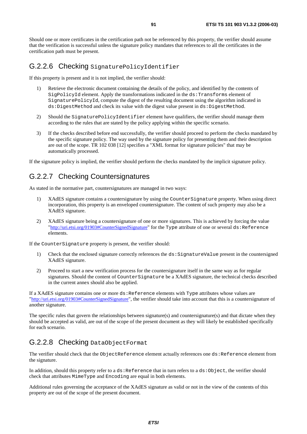Should one or more certificates in the certification path not be referenced by this property, the verifier should assume that the verification is successful unless the signature policy mandates that references to all the certificates in the certification path must be present.

### G.2.2.6 Checking SignaturePolicyIdentifier

If this property is present and it is not implied, the verifier should:

- 1) Retrieve the electronic document containing the details of the policy, and identified by the contents of SigPolicyId element. Apply the transformations indicated in the ds:Transforms element of SignaturePolicyId, compute the digest of the resulting document using the algorithm indicated in ds:DigestMethod and check its value with the digest value present in ds:DigestMethod.
- 2) Should the SignaturePolicyIdentifier element have qualifiers, the verifier should manage them according to the rules that are stated by the policy applying within the specific scenario.
- 3) If the checks described before end successfully, the verifier should proceed to perform the checks mandated by the specific signature policy. The way used by the signature policy for presenting them and their description are out of the scope. TR 102 038 [12] specifies a "XML format for signature policies" that may be automatically processed.

If the signature policy is implied, the verifier should perform the checks mandated by the implicit signature policy.

## G.2.2.7 Checking Countersignatures

As stated in the normative part, countersignatures are managed in two ways:

- 1) XAdES signature contains a countersignature by using the CounterSignature property. When using direct incorporation, this property is an enveloped countersignature. The content of such property may also be a XAdES signature.
- 2) XAdES signature being a countersignature of one or more signatures. This is achieved by forcing the value "[http://uri.etsi.org/01903#CounterSignedSignature"](http://uri.etsi.org/01903) for the Type attribute of one or several ds:Reference elements.

If the CounterSignature property is present, the verifier should:

- 1) Check that the enclosed signature correctly references the ds:SignatureValue present in the countersigned XAdES signature.
- 2) Proceed to start a new verification process for the countersignature itself in the same way as for regular signatures. Should the content of CounterSignature be a XAdES signature, the technical checks described in the current annex should also be applied.

If a XAdES signature contains one or more ds:Reference elements with Type attributes whose values are "[http://uri.etsi.org/01903#CounterSignedSignature"](http://uri.etsi.org/01903), the verifier should take into account that this is a countersignature of another signature.

The specific rules that govern the relationships between signature(s) and countersignature(s) and that dictate when they should be accepted as valid, are out of the scope of the present document as they will likely be established specifically for each scenario.

## G.2.2.8 Checking DataObjectFormat

The verifier should check that the ObjectReference element actually references one ds:Reference element from the signature.

In addition, should this property refer to a  $ds$ : Reference that in turn refers to a  $ds$ : Object, the verifier should check that attributes MimeType and Encoding are equal in both elements.

Additional rules governing the acceptance of the XAdES signature as valid or not in the view of the contents of this property are out of the scope of the present document.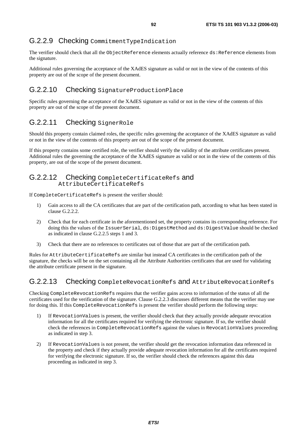# G.2.2.9 Checking CommitmentTypeIndication

The verifier should check that all the ObjectReference elements actually reference ds:Reference elements from the signature.

Additional rules governing the acceptance of the XAdES signature as valid or not in the view of the contents of this property are out of the scope of the present document.

### G.2.2.10 Checking SignatureProductionPlace

Specific rules governing the acceptance of the XAdES signature as valid or not in the view of the contents of this property are out of the scope of the present document.

## G.2.2.11 Checking SignerRole

Should this property contain claimed roles, the specific rules governing the acceptance of the XAdES signature as valid or not in the view of the contents of this property are out of the scope of the present document.

If this property contains some certified role, the verifier should verify the validity of the attribute certificates present. Additional rules the governing the acceptance of the XAdES signature as valid or not in the view of the contents of this property, are out of the scope of the present document.

#### G.2.2.12 Checking CompleteCertificateRefs and AttributeCertificateRefs

If CompleteCertificateRefs is present the verifier should:

- 1) Gain access to all the CA certificates that are part of the certification path, according to what has been stated in clause G.2.2.2.
- 2) Check that for each certificate in the aforementioned set, the property contains its corresponding reference. For doing this the values of the IssuerSerial, ds:DigestMethod and ds:DigestValue should be checked as indicated in clause G.2.2.5 steps 1 and 3.
- 3) Check that there are no references to certificates out of those that are part of the certification path.

Rules for AttributeCertificateRefs are similar but instead CA certificates in the certification path of the signature, the checks will be on the set containing all the Attribute Authorities certificates that are used for validating the attribute certificate present in the signature.

### G.2.2.13 Checking CompleteRevocationRefs and AttributeRevocationRefs

Checking CompleteRevocationRefs requires that the verifier gains access to information of the status of all the certificates used for the verification of the signature. Clause G.2.2.3 discusses different means that the verifier may use for doing this. If this CompleteRevocationRefs is present the verifier should perform the following steps:

- 1) If RevocationValues is present, the verifier should check that they actually provide adequate revocation information for all the certificates required for verifying the electronic signature. If so, the verifier should check the references in CompleteRevocationRefs against the values in RevocationValues proceeding as indicated in step 3.
- 2) If RevocationValues is not present, the verifier should get the revocation information data referenced in the property and check if they actually provide adequate revocation information for all the certificates required for verifying the electronic signature. If so, the verifier should check the references against this data proceeding as indicated in step 3.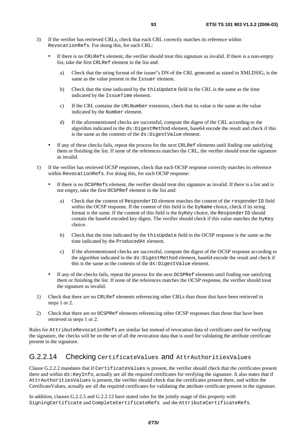- 3) If the verifier has retrieved CRLs, check that each CRL correctly matches its reference within RevocationRefs. For doing this, for each CRL:
	- If there is no CRLRefs element, the verifier should treat this signature as invalid. If there is a non-empty list, take the first CRLRef element in the list and:
		- a) Check that the string format of the issuer"s DN of the CRL generated as stated in XMLDSIG, is the same as the value present in the Issuer element.
		- b) Check that the time indicated by the thisUpdate field in the CRL is the same as the time indicated by the IssueTime element.
		- c) If the CRL contains the cRLNumber extension, check that its value is the same as the value indicated by the Number element.
		- d) If the aforementioned checks are successful, compute the digest of the CRL according to the algorithm indicated in the ds: DigestMethod element, base64 encode the result and check if this is the same as the contents of the ds:DigestValue element.
	- If any of these checks fails, repeat the process for the next CRLRef elements until finding one satisfying them or finishing the list. If none of the references matches the CRL, the verifier should treat the signature as invalid.
- 1) If the verifier has retrieved OCSP responses, check that each OCSP response correctly matches its reference within RevocationRefs. For doing this, for each OCSP response:
	- If there is no OCSPRefs element, the verifier should treat this signature as invalid. If there is a list and is not empty, take the first OCSPRef element in the list and:
		- a) Check that the content of ResponderID element matches the content of the responderID field within the OCSP response. If the content of this field is the byName choice, check if its string format is the same. If the content of this field is the byKey choice, the ResponderID should contain the base64 encoded key digest. The verifier should check if this value matches the byKey choice.
		- b) Check that the time indicated by the thisUpdate field in the OCSP response is the same as the time indicated by the ProducedAt element.
		- c) If the aforementioned checks are successful, compute the digest of the OCSP response according to the algorithm indicated in the ds:DigestMethod element, base64 encode the result and check if this is the same as the contents of the  $ds:DiagestValue$  element.
	- If any of the checks fails, repeat the process for the next OCSPRef elements until finding one satisfying them or finishing the list. If none of the references matches the OCSP response, the verifier should treat the signature as invalid.
- 1) Check that there are no CRLRef elements referencing other CRLs than those that have been retrieved in steps 1 or 2.
- 2) Check that there are no OCSPRef elements referencing other OCSP responses than those that have been retrieved in steps 1 or 2.

Rules for AttributeRevocationRefs are similar but instead of revocation data of certificates used for verifying the signature, the checks will be on the set of all the revocation data that is used for validating the attribute certificate present in the signature.

### G.2.2.14 Checking CertificateValues and AttrAuthoritiesValues

Clause G.2.2.2 mandates that if CertificateValues is present, the verifier should check that the certificates present there and within ds:KeyInfo, actually are all the required certificates for verifying the signature. It also states that if AttrAuthoritiesValues is present, the verifier should check that the certificates present there, and within the CertificateValues, actually are all the required certificates for validating the attribute certificate present in the signature.

In addition, clauses G.2.2.5 and G.2.2.12 have stated rules for the jointly usage of this property with SigningCertificate and CompleteCertificateRefs and the AttributeCertificateRefs.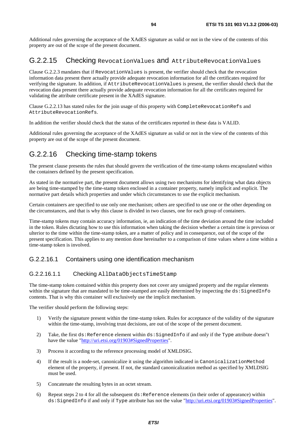Additional rules governing the acceptance of the XAdES signature as valid or not in the view of the contents of this property are out of the scope of the present document.

### G.2.2.15 Checking RevocationValues and AttributeRevocationValues

Clause G.2.2.3 mandates that if RevocationValues is present, the verifier should check that the revocation information data present there actually provide adequate revocation information for all the certificates required for verifying the signature. In addition, if AttributeRevocationValues is present, the verifier should check that the revocation data present there actually provide adequate revocation information for all the certificates required for validating the attribute certificate present in the XAdES signature.

Clause G.2.2.13 has stated rules for the join usage of this property with CompleteRevocationRefs and AttributeRevocationRefs.

In addition the verifier should check that the status of the certificates reported in these data is VALID.

Additional rules governing the acceptance of the XAdES signature as valid or not in the view of the contents of this property are out of the scope of the present document.

### G.2.2.16 Checking time-stamp tokens

The present clause presents the rules that should govern the verification of the time-stamp tokens encapsulated within the containers defined by the present specification.

As stated in the normative part, the present document allows using two mechanisms for identifying what data objects are being time-stamped by the time-stamp token enclosed in a container property, namely implicit and explicit. The normative part details which properties and under which circumstances to use the explicit mechanism.

Certain containers are specified to use only one mechanism; others are specified to use one or the other depending on the circumstances, and that is why this clause is divided in two clauses, one for each group of containers.

Time-stamp tokens may contain accuracy information, ie, an indication of the time deviation around the time included in the token. Rules dictating how to use this information when taking the decision whether a certain time is previous or ulterior to the time within the time-stamp token, are a matter of policy and in consequence, out of the scope of the present specification. This applies to any mention done hereinafter to a comparison of time values where a time within a time-stamp token is involved.

#### G.2.2.16.1 Containers using one identification mechanism

#### G.2.2.16.1.1 Checking AllDataObjectsTimeStamp

The time-stamp token contained within this property does not cover any unsigned property and the regular elements within the signature that are mandated to be time-stamped are easily determined by inspecting the ds: SignedInfo contents. That is why this container will exclusively use the implicit mechanism.

The verifier should perform the following steps:

- 1) Verify the signature present within the time-stamp token. Rules for acceptance of the validity of the signature within the time-stamp, involving trust decisions, are out of the scope of the present document.
- 2) Take, the first ds:Reference element within ds:SignedInfo if and only if the Type attribute doesn"t have the value "[http://uri.etsi.org/01903#SignedProperties"](http://uri.etsi.org/01903).
- 3) Process it according to the reference processing model of XMLDSIG.
- 4) If the result is a node-set, canonicalize it using the algorithm indicated in CanonicalizationMethod element of the property, if present. If not, the standard canonicalization method as specified by XMLDSIG must be used.
- 5) Concatenate the resulting bytes in an octet stream.
- 6) Repeat steps 2 to 4 for all the subsequent  $ds$ : Reference elements (in their order of appearance) within ds:SignedInfo if and only if Type attribute has not the value "[http://uri.etsi.org/01903#SignedProperties"](http://uri.etsi.org/01903).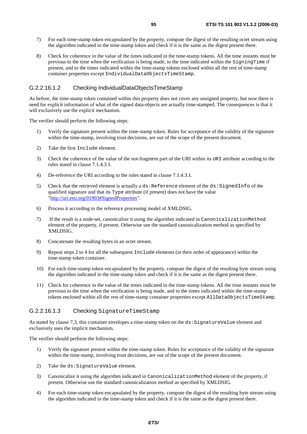- 7) For each time-stamp token encapsulated by the property, compute the digest of the resulting octet stream using the algorithm indicated in the time-stamp token and check if it is the same as the digest present there.
- 8) Check for coherence in the value of the times indicated in the time-stamp tokens. All the time instants must be previous to the time when the verification is being made, to the time indicated within the SigningTime if present, and to the times indicated within the time-stamp tokens enclosed within all the rest of time-stamp container properties except IndividualDataObjectsTimeStamp.

#### G.2.2.16.1.2 Checking IndividualDataObjectsTimeStamp

As before, the time-stamp token contained within this property does not cover any unsigned property, but now there is need for explicit information of what of the signed data-objects are actually time-stamped. The consequences is that it will exclusively use the explicit mechanism.

The verifier should perform the following steps:

- 1) Verify the signature present within the time-stamp token. Rules for acceptance of the validity of the signature within the time-stamp, involving trust decisions, are out of the scope of the present document.
- 2) Take the first Include element.
- 3) Check the coherence of the value of the not-fragment part of the URI within its URI attribute according to the rules stated in clause 7.1.4.3.1.
- 4) De-reference the URI according to the rules stated in clause 7.1.4.3.1.
- 5) Check that the retrieved element is actually a ds: Reference element of the ds: SignedInfo of the qualified signature and that its Type attribute (if present) does not have the value "[http://uri.etsi.org/01903#SignedProperties"](http://uri.etsi.org/01903).
- 6) Process it according to the reference processing model of XMLDSIG.
- 7) If the result is a node-set, canonicalize it using the algorithm indicated in CanonicalizationMethod element of the property, if present. Otherwise use the standard canonicalization method as specified by XMLDSIG.
- 8) Concatenate the resulting bytes in an octet stream.
- 9) Repeat steps 2 to 4 for all the subsequent Include elements (in their order of appearance) within the time-stamp token container.
- 10) For each time-stamp token encapsulated by the property, compute the digest of the resulting byte stream using the algorithm indicated in the time-stamp token and check if it is the same as the digest present there.
- 11) Check for coherence in the value of the times indicated in the time-stamp tokens. All the time instants must be previous to the time when the verification is being made, and to the times indicated within the time-stamp tokens enclosed within all the rest of time-stamp container properties except AllDataObjectsTimeStamp.

#### G.2.2.16.1.3 Checking SignatureTimeStamp

As stated by clause 7.3, this container envelopes a time-stamp token on the ds: SignatureValue element and exclusively uses the implicit mechanism.

The verifier should perform the following steps:

- 1) Verify the signature present within the time-stamp token. Rules for acceptance of the validity of the signature within the time-stamp, involving trust decisions, are out of the scope of the present document.
- 2) Take the ds: SignatureValue element.
- 3) Canonicalize it using the algorithm indicated in CanonicalizationMethod element of the property, if present. Otherwise use the standard canonicalization method as specified by XMLDSIG.
- 4) For each time-stamp token encapsulated by the property, compute the digest of the resulting byte stream using the algorithm indicated in the time-stamp token and check if it is the same as the digest present there.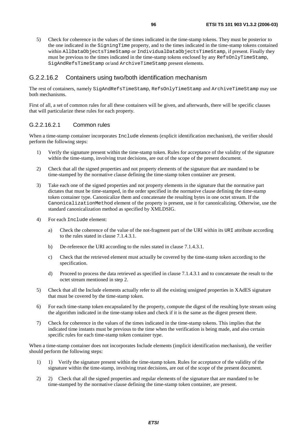5) Check for coherence in the values of the times indicated in the time-stamp tokens. They must be posterior to the one indicated in the SigningTime property, and to the times indicated in the time-stamp tokens contained within AllDataObjectsTimeStamp or IndividualDataObjectsTimeStamp, if present. Finally they must be previous to the times indicated in the time-stamp tokens enclosed by any RefsOnlyTimeStamp, SigAndRefsTimeStamp or/and ArchiveTimeStamp present elements.

#### G.2.2.16.2 Containers using two/both identification mechanism

The rest of containers, namely SigAndRefsTimeStamp, RefsOnlyTimeStamp and ArchiveTimeStamp may use both mechanisms.

First of all, a set of common rules for all these containers will be given, and afterwards, there will be specific clauses that will particularize these rules for each property.

#### G.2.2.16.2.1 Common rules

When a time-stamp container incorporates Include elements (explicit identification mechanism), the verifier should perform the following steps:

- 1) Verify the signature present within the time-stamp token. Rules for acceptance of the validity of the signature within the time-stamp, involving trust decisions, are out of the scope of the present document.
- 2) Check that all the signed properties and not property elements of the signature that are mandated to be time-stamped by the normative clause defining the time-stamp token container are present.
- 3) Take each one of the signed properties and not property elements in the signature that the normative part dictates that must be time-stamped, in the order specified in the normative clause defining the time-stamp token container type. Canonicalize them and concatenate the resulting bytes in one octet stream. If the CanonicalizationMethod element of the property is present, use it for canonicalizing. Otherwise, use the standard canonicalization method as specified by XMLDSIG.
- 4) For each Include element:
	- a) Check the coherence of the value of the not-fragment part of the URI within its URI attribute according to the rules stated in clause 7.1.4.3.1.
	- b) De-reference the URI according to the rules stated in clause 7.1.4.3.1.
	- c) Check that the retrieved element must actually be covered by the time-stamp token according to the specification.
	- d) Proceed to process the data retrieved as specified in clause 7.1.4.3.1 and to concatenate the result to the octet stream mentioned in step 2.
- 5) Check that all the Include elements actually refer to all the existing unsigned properties in XAdES signature that must be covered by the time-stamp token.
- 6) For each time-stamp token encapsulated by the property, compute the digest of the resulting byte stream using the algorithm indicated in the time-stamp token and check if it is the same as the digest present there.
- 7) Check for coherence in the values of the times indicated in the time-stamp tokens. This implies that the indicated time instants must be previous to the time when the verification is being made, and also certain specific rules for each time-stamp token container type.

When a time-stamp container does not incorporates Include elements (implicit identification mechanism), the verifier should perform the following steps:

- 1) 1) Verify the signature present within the time-stamp token. Rules for acceptance of the validity of the signature within the time-stamp, involving trust decisions, are out of the scope of the present document.
- 2) 2) Check that all the signed properties and regular elements of the signature that are mandated to be time-stamped by the normative clause defining the time-stamp token container, are present.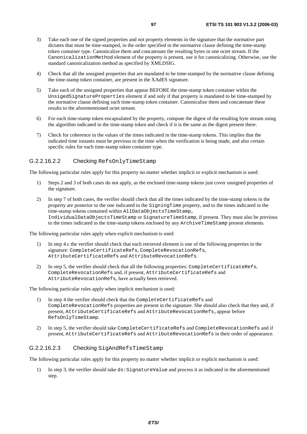- 3) Take each one of the signed properties and not property elements in the signature that the normative part dictates that must be time-stamped, in the order specified in the normative clause defining the time-stamp token container type. Canonicalize them and concatenate the resulting bytes in one octet stream. If the CanonicalizationMethod element of the property is present, use it for canonicalizing. Otherwise, use the standard canonicalization method as specified by XMLDSIG.
- 4) Check that all the unsigned properties that are mandated to be time-stamped by the normative clause defining the time-stamp token container, are present in the XAdES signature.
- 5) Take each of the unsigned properties that appear BEFORE the time-stamp token container within the UnsigedSignatureProperties element if and only if that property is mandated to be time-stamped by the normative clause defining such time-stamp token container. Canonicalize them and concatenate these results to the aforementioned octet stream.
- 6) For each time-stamp token encapsulated by the property, compute the digest of the resulting byte stream using the algorithm indicated in the time-stamp token and check if it is the same as the digest present there.
- 7) Check for coherence in the values of the times indicated in the time-stamp tokens. This implies that the indicated time instants must be previous to the time when the verification is being made, and also certain specific rules for each time-stamp token container type.

#### G.2.2.16.2.2 Checking RefsOnlyTimeStamp

The following particular rules apply for this property no matter whether implicit or explicit mechanism is used:

- 1) Steps 2 and 3 of both cases do not apply, as the enclosed time-stamp tokens just cover unsigned properties of the signature.
- 2) In step 7 of both cases, the verifier should check that all the times indicated by the time-stamp tokens in the property are posterior to the one indicated in the SigningTime property, and to the times indicated in the time-stamp tokens contained within AllDataObjectsTimeStamp, IndividualDataObjectsTimeStamp or SignatureTimeStamp, if present. They must also be previous to the times indicated in the time-stamp tokens enclosed by any ArchiveTimeStamp present elements.

The following particular rules apply when explicit mechanism is used:

- 1) In step 4.c the verifier should check that each retrieved element is one of the following properties in the signature: CompleteCertificateRefs, CompleteRevocationRefs, AttributeCertificateRefs and AttributeRevocationRefs.
- 2) In step 5, the verifier should check that all the following properties: CompleteCertificateRefs, CompleteRevocationRefs and, if present, AttributeCertificateRefs and AttributeRevocationRefs, have actually been retrieved.

The following particular rules apply when implicit mechanism is used:

- 1) In step 4 the verifier should check that the CompleteCertificateRefs and CompleteRevocationRefs properties are present in the signature. She should also check that they and, if present, AttributeCertificateRefs and AttributeRevocationRefs,appear before RefsOnlyTimeStamp.
- 2) In step 5, the verifier should take CompleteCertificateRefs and CompleteRevocationRefs and if present, AttributeCertificateRefs and AttributeRevocationRefs in their order of appearance.

#### G.2.2.16.2.3 Checking SigAndRefsTimeStamp

The following particular rules apply for this property no matter whether implicit or explicit mechanism is used:

1) In step 3, the verifier should take ds:SignatureValue and process it as indicated in the aforementioned step.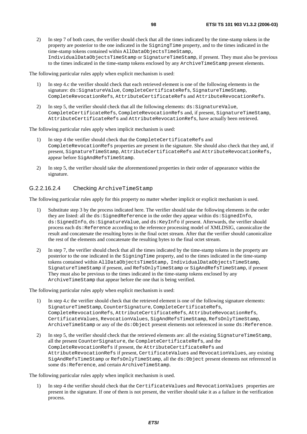2) In step 7 of both cases, the verifier should check that all the times indicated by the time-stamp tokens in the property are posterior to the one indicated in the SigningTime property, and to the times indicated in the time-stamp tokens contained within AllDataObjectsTimeStamp, IndividualDataObjectsTimeStamp or SignatureTimeStamp, if present. They must also be previous to the times indicated in the time-stamp tokens enclosed by any ArchiveTimeStamp present elements.

The following particular rules apply when explicit mechanism is used:

- 1) In step 4.c the verifier should check that each retrieved element is one of the following elements in the signature: ds:SignatureValue, CompleteCertificateRefs, SignatureTimeStamp, CompleteRevocationRefs, AttributeCertificateRefs and AttributeRevocationRefs.
- 2) In step 5, the verifier should check that all the following elements:  $ds:SignatureValue$ , CompleteCertificateRefs, CompleteRevocationRefs and, if present, SignatureTimeStamp, AttributeCertificateRefs and AttributeRevocationRefs, have actually been retrieved.

The following particular rules apply when implicit mechanism is used:

- 1) In step 4 the verifier should check that the CompleteCertificateRefs and CompleteRevocationRefs properties are present in the signature. She should also check that they and, if present, SignatureTimeStamp, AttributeCertificateRefs and AttributeRevocationRefs, appear before SigAndRefsTimeStamp.
- 2) In step 5, the verifier should take the aforementioned properties in their order of appearance within the signature.

#### G.2.2.16.2.4 Checking ArchiveTimeStamp

The following particular rules apply for this property no matter whether implicit or explicit mechanism is used.

- 1) Substitute step 3 by the process indicated here. The verifier should take the following elements in the order they are listed: all the ds:SignedReference in the order they appear within ds:SignedInfo, ds:SignedInfo, ds:SignatureValue, and ds:KeyInfo if present. Afterwards, the verifier should process each ds:Reference according to the reference processing model of XMLDSIG, canonicalize the result and concatenate the resulting bytes in the final octet stream. After that the verifier should canonicalize the rest of the elements and concatenate the resulting bytes to the final octet stream.
- 2) In step 7, the verifier should check that all the times indicated by the time-stamp tokens in the property are posterior to the one indicated in the SigningTime property, and to the times indicated in the time-stamp tokens contained within AllDataObjectsTimeStamp, IndividualDataObjectsTimeStamp, SignatureTimeStamp if present, and RefsOnlyTimeStamp or SigAndRefsTimeStamp, if present They must also be previous to the times indicated in the time-stamp tokens enclosed by any ArchiveTimeStamp that appear before the one that is being verified.

The following particular rules apply when explicit mechanism is used:

- 1) In step 4.c the verifier should check that the retrieved element is one of the following signature elements: SignatureTimeStamp, CounterSignature, CompleteCertificateRefs, CompleteRevocationRefs, AttributeCertificateRefs, AttributeRevocationRefs, CertificateValues, RevocationValues, SigAndRefsTimeStamp, RefsOnlyTimeStamp, ArchiveTimeStamp or any of the ds:Object present elements not referenced in some ds:Reference.
- 2) In step 5, the verifier should check that the retrieved elements are: all the existing SignatureTimeStamp, all the present CounterSignature, the CompleteCertificateRefs, and the CompleteRevocationRefs if present, the AttributeCertificateRefs and AttributeRevocationRefs if present, CertificateValues and RevocationValues, any existing SigAndRefsTimeStamp or RefsOnlyTimeStamp, all the ds:Object present elements not referenced in some ds:Reference, and certain ArchiveTimeStamp.

The following particular rules apply when implicit mechanism is used.

1) In step 4 the verifier should check that the CertificateValues and RevocationValues properties are present in the signature. If one of them is not present, the verifier should take it as a failure in the verification process.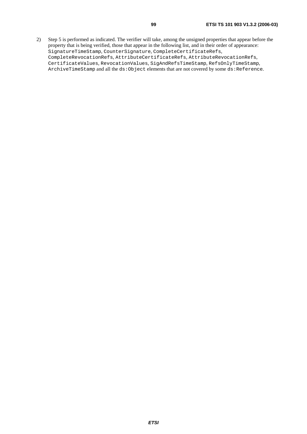2) Step 5 is performed as indicated. The verifier will take, among the unsigned properties that appear before the property that is being verified, those that appear in the following list, and in their order of appearance: SignatureTimeStamp, CounterSignature, CompleteCertificateRefs, CompleteRevocationRefs, AttributeCertificateRefs, AttributeRevocationRefs, CertificateValues, RevocationValues, SigAndRefsTimeStamp, RefsOnlyTimeStamp, ArchiveTimeStamp and all the ds:Object elements that are not covered by some ds:Reference.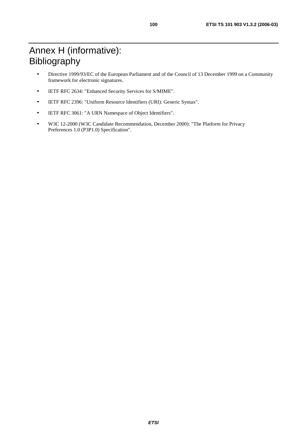# Annex H (informative): Bibliography

- Directive 1999/93/EC of the European Parliament and of the Council of 13 December 1999 on a Community framework for electronic signatures.
- IETF RFC 2634: "Enhanced Security Services for S/MIME".
- IETF RFC 2396: "Uniform Resource Identifiers (URI): Generic Syntax".
- IETF RFC 3061: "A URN Namespace of Object Identifiers".
- W3C 12-2000 (W3C Candidate Recommendation, December 2000): "The Platform for Privacy Preferences 1.0 (P3P1.0) Specification".